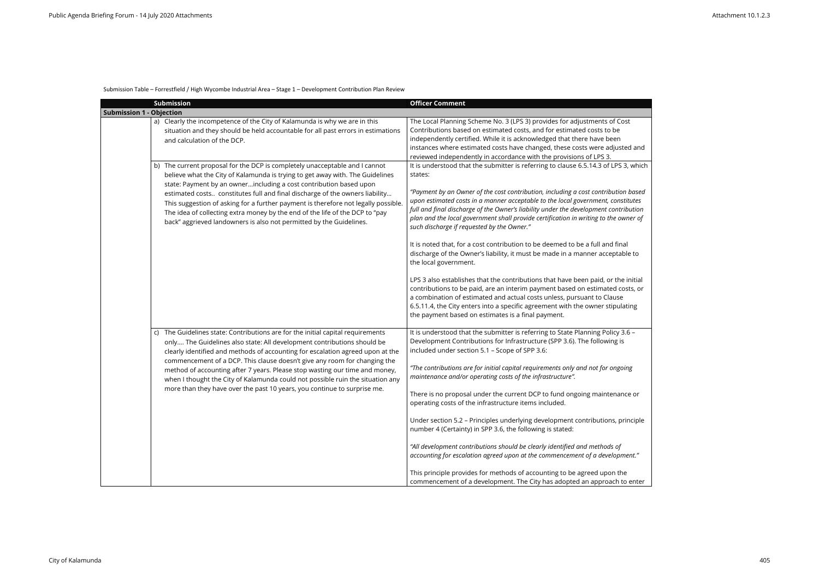## Submission Table – Forrestfield / High Wycombe Industrial Area – Stage 1 – Development Contribution Plan Review

|                                 | <b>Submission</b>                                                                                                                                                                                                                                                                                                                                                                                                                                                                                                                                                      | <b>Officer Comment</b>                                                                                                                                                                                                                                                                                                                                                                                                                                                                                                                                                                                                                                                                                                                                                                                                                                                                                                                                                                                                                                                                    |
|---------------------------------|------------------------------------------------------------------------------------------------------------------------------------------------------------------------------------------------------------------------------------------------------------------------------------------------------------------------------------------------------------------------------------------------------------------------------------------------------------------------------------------------------------------------------------------------------------------------|-------------------------------------------------------------------------------------------------------------------------------------------------------------------------------------------------------------------------------------------------------------------------------------------------------------------------------------------------------------------------------------------------------------------------------------------------------------------------------------------------------------------------------------------------------------------------------------------------------------------------------------------------------------------------------------------------------------------------------------------------------------------------------------------------------------------------------------------------------------------------------------------------------------------------------------------------------------------------------------------------------------------------------------------------------------------------------------------|
| <b>Submission 1 - Objection</b> |                                                                                                                                                                                                                                                                                                                                                                                                                                                                                                                                                                        |                                                                                                                                                                                                                                                                                                                                                                                                                                                                                                                                                                                                                                                                                                                                                                                                                                                                                                                                                                                                                                                                                           |
|                                 | a) Clearly the incompetence of the City of Kalamunda is why we are in this<br>situation and they should be held accountable for all past errors in estimations<br>and calculation of the DCP.                                                                                                                                                                                                                                                                                                                                                                          | The Local Planning Scheme No. 3 (LPS 3) provides for adjustments of Cost<br>Contributions based on estimated costs, and for estimated costs to be<br>independently certified. While it is acknowledged that there have been<br>instances where estimated costs have changed, these costs were adjusted and<br>reviewed independently in accordance with the provisions of LPS 3.                                                                                                                                                                                                                                                                                                                                                                                                                                                                                                                                                                                                                                                                                                          |
|                                 | b) The current proposal for the DCP is completely unacceptable and I cannot<br>believe what the City of Kalamunda is trying to get away with. The Guidelines<br>state: Payment by an ownerincluding a cost contribution based upon<br>estimated costs constitutes full and final discharge of the owners liability<br>This suggestion of asking for a further payment is therefore not legally possible.<br>The idea of collecting extra money by the end of the life of the DCP to "pay<br>back" aggrieved landowners is also not permitted by the Guidelines.        | It is understood that the submitter is referring to clause 6.5.14.3 of LPS 3, which<br>states:<br>"Payment by an Owner of the cost contribution, including a cost contribution based<br>upon estimated costs in a manner acceptable to the local government, constitutes<br>full and final discharge of the Owner's liability under the development contribution<br>plan and the local government shall provide certification in writing to the owner of<br>such discharge if requested by the Owner."<br>It is noted that, for a cost contribution to be deemed to be a full and final<br>discharge of the Owner's liability, it must be made in a manner acceptable to<br>the local government.<br>LPS 3 also establishes that the contributions that have been paid, or the initial<br>contributions to be paid, are an interim payment based on estimated costs, or<br>a combination of estimated and actual costs unless, pursuant to Clause<br>6.5.11.4, the City enters into a specific agreement with the owner stipulating<br>the payment based on estimates is a final payment. |
|                                 | c) The Guidelines state: Contributions are for the initial capital requirements<br>only The Guidelines also state: All development contributions should be<br>clearly identified and methods of accounting for escalation agreed upon at the<br>commencement of a DCP. This clause doesn't give any room for changing the<br>method of accounting after 7 years. Please stop wasting our time and money,<br>when I thought the City of Kalamunda could not possible ruin the situation any<br>more than they have over the past 10 years, you continue to surprise me. | It is understood that the submitter is referring to State Planning Policy 3.6 -<br>Development Contributions for Infrastructure (SPP 3.6). The following is<br>included under section 5.1 - Scope of SPP 3.6:<br>"The contributions are for initial capital requirements only and not for ongoing<br>maintenance and/or operating costs of the infrastructure".<br>There is no proposal under the current DCP to fund ongoing maintenance or<br>operating costs of the infrastructure items included.<br>Under section 5.2 - Principles underlying development contributions, principle<br>number 4 (Certainty) in SPP 3.6, the following is stated:<br>"All development contributions should be clearly identified and methods of<br>accounting for escalation agreed upon at the commencement of a development."<br>This principle provides for methods of accounting to be agreed upon the<br>commencement of a development. The City has adopted an approach to enter                                                                                                                 |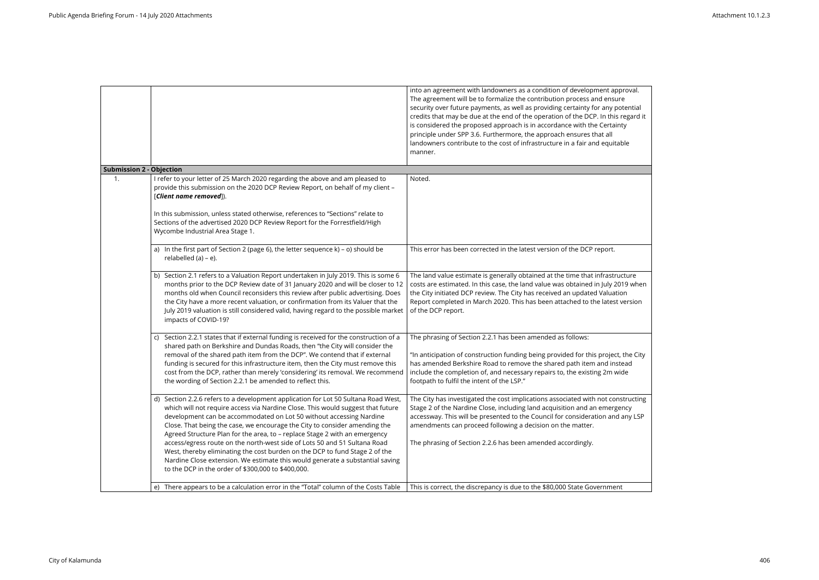|                                 |                                                                                                                                                                                                                                                                                                                                                                                                                                                                                                                                                                                                                                                                                                             | into an agreement with landowners as a condition of development approval.<br>The agreement will be to formalize the contribution process and ensure<br>security over future payments, as well as providing certainty for any potential<br>credits that may be due at the end of the operation of the DCP. In this regard it<br>is considered the proposed approach is in accordance with the Certainty<br>principle under SPP 3.6. Furthermore, the approach ensures that all<br>landowners contribute to the cost of infrastructure in a fair and equitable<br>manner. |
|---------------------------------|-------------------------------------------------------------------------------------------------------------------------------------------------------------------------------------------------------------------------------------------------------------------------------------------------------------------------------------------------------------------------------------------------------------------------------------------------------------------------------------------------------------------------------------------------------------------------------------------------------------------------------------------------------------------------------------------------------------|-------------------------------------------------------------------------------------------------------------------------------------------------------------------------------------------------------------------------------------------------------------------------------------------------------------------------------------------------------------------------------------------------------------------------------------------------------------------------------------------------------------------------------------------------------------------------|
| <b>Submission 2 - Objection</b> |                                                                                                                                                                                                                                                                                                                                                                                                                                                                                                                                                                                                                                                                                                             |                                                                                                                                                                                                                                                                                                                                                                                                                                                                                                                                                                         |
| 1.                              | I refer to your letter of 25 March 2020 regarding the above and am pleased to<br>provide this submission on the 2020 DCP Review Report, on behalf of my client -<br>[Client name removed]).                                                                                                                                                                                                                                                                                                                                                                                                                                                                                                                 | Noted.                                                                                                                                                                                                                                                                                                                                                                                                                                                                                                                                                                  |
|                                 | In this submission, unless stated otherwise, references to "Sections" relate to<br>Sections of the advertised 2020 DCP Review Report for the Forrestfield/High<br>Wycombe Industrial Area Stage 1.                                                                                                                                                                                                                                                                                                                                                                                                                                                                                                          |                                                                                                                                                                                                                                                                                                                                                                                                                                                                                                                                                                         |
|                                 | a) In the first part of Section 2 (page 6), the letter sequence $k$ ) - o) should be<br>relabelled (a) - e).                                                                                                                                                                                                                                                                                                                                                                                                                                                                                                                                                                                                | This error has been corrected in the latest version of the DCP report.                                                                                                                                                                                                                                                                                                                                                                                                                                                                                                  |
|                                 | b) Section 2.1 refers to a Valuation Report undertaken in July 2019. This is some 6<br>months prior to the DCP Review date of 31 January 2020 and will be closer to 12<br>months old when Council reconsiders this review after public advertising. Does<br>the City have a more recent valuation, or confirmation from its Valuer that the<br>July 2019 valuation is still considered valid, having regard to the possible market<br>impacts of COVID-19?                                                                                                                                                                                                                                                  | The land value estimate is generally obtained at the time that infrastructure<br>costs are estimated. In this case, the land value was obtained in July 2019 when<br>the City initiated DCP review. The City has received an updated Valuation<br>Report completed in March 2020. This has been attached to the latest version<br>of the DCP report.                                                                                                                                                                                                                    |
|                                 | c) Section 2.2.1 states that if external funding is received for the construction of a<br>shared path on Berkshire and Dundas Roads, then "the City will consider the<br>removal of the shared path item from the DCP". We contend that if external<br>funding is secured for this infrastructure item, then the City must remove this<br>cost from the DCP, rather than merely 'considering' its removal. We recommend<br>the wording of Section 2.2.1 be amended to reflect this.                                                                                                                                                                                                                         | The phrasing of Section 2.2.1 has been amended as follows:<br>"In anticipation of construction funding being provided for this project, the City<br>has amended Berkshire Road to remove the shared path item and instead<br>include the completion of, and necessary repairs to, the existing 2m wide<br>footpath to fulfil the intent of the LSP."                                                                                                                                                                                                                    |
|                                 | d) Section 2.2.6 refers to a development application for Lot 50 Sultana Road West,<br>which will not require access via Nardine Close. This would suggest that future<br>development can be accommodated on Lot 50 without accessing Nardine<br>Close. That being the case, we encourage the City to consider amending the<br>Agreed Structure Plan for the area, to - replace Stage 2 with an emergency<br>access/egress route on the north-west side of Lots 50 and 51 Sultana Road<br>West, thereby eliminating the cost burden on the DCP to fund Stage 2 of the<br>Nardine Close extension. We estimate this would generate a substantial saving<br>to the DCP in the order of \$300,000 to \$400,000. | The City has investigated the cost implications associated with not constructing<br>Stage 2 of the Nardine Close, including land acquisition and an emergency<br>accessway. This will be presented to the Council for consideration and any LSP<br>amendments can proceed following a decision on the matter.<br>The phrasing of Section 2.2.6 has been amended accordingly.                                                                                                                                                                                            |
|                                 | e) There appears to be a calculation error in the "Total" column of the Costs Table                                                                                                                                                                                                                                                                                                                                                                                                                                                                                                                                                                                                                         | This is correct, the discrepancy is due to the \$80,000 State Government                                                                                                                                                                                                                                                                                                                                                                                                                                                                                                |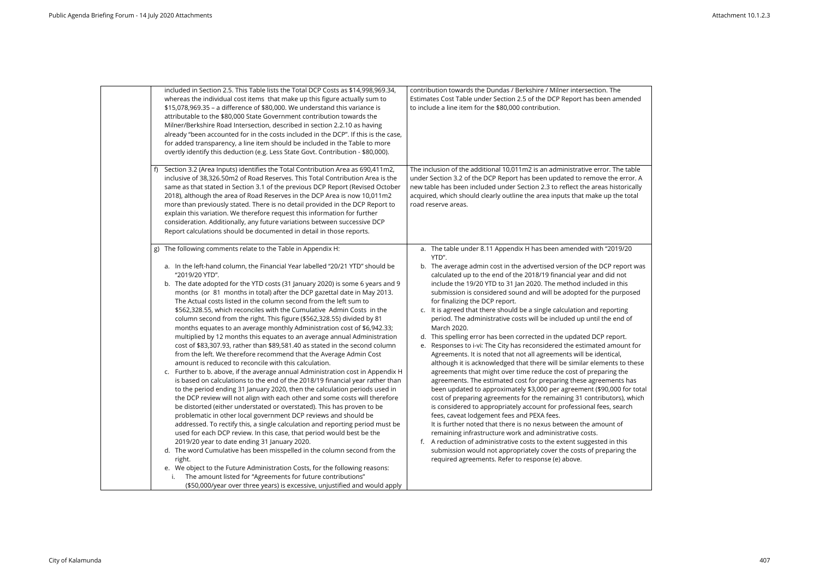| included in Section 2.5. This Table lists the Total DCP Costs as \$14,998,969.34,<br>whereas the individual cost items that make up this figure actually sum to<br>\$15,078,969.35 - a difference of \$80,000. We understand this variance is<br>attributable to the \$80,000 State Government contribution towards the<br>Milner/Berkshire Road Intersection, described in section 2.2.10 as having<br>already "been accounted for in the costs included in the DCP". If this is the case,<br>for added transparency, a line item should be included in the Table to more<br>overtly identify this deduction (e.g. Less State Govt. Contribution - \$80,000).                                                                                                                                                                                                                                                                                                                                                                                                                                                                                                                                                                                                                                                                                                                                                                                                                                                                                                                                                                                                                                                                                                                                                                                                                                                                       | contribution towards the Dundas / Berkshire / Milner intersection. The<br>Estimates Cost Table under Section 2.5 of the DCP Report has been amended<br>to include a line item for the \$80,000 contribution.                                                                                                                                                                                                                                                                                                                                                                                                                                                                                                                                                                                                                                                                                                                                                                                                                                                                                                                                                                                                                                                                                                                                                                                                                                                                                                                                                                                                                                  |
|--------------------------------------------------------------------------------------------------------------------------------------------------------------------------------------------------------------------------------------------------------------------------------------------------------------------------------------------------------------------------------------------------------------------------------------------------------------------------------------------------------------------------------------------------------------------------------------------------------------------------------------------------------------------------------------------------------------------------------------------------------------------------------------------------------------------------------------------------------------------------------------------------------------------------------------------------------------------------------------------------------------------------------------------------------------------------------------------------------------------------------------------------------------------------------------------------------------------------------------------------------------------------------------------------------------------------------------------------------------------------------------------------------------------------------------------------------------------------------------------------------------------------------------------------------------------------------------------------------------------------------------------------------------------------------------------------------------------------------------------------------------------------------------------------------------------------------------------------------------------------------------------------------------------------------------|-----------------------------------------------------------------------------------------------------------------------------------------------------------------------------------------------------------------------------------------------------------------------------------------------------------------------------------------------------------------------------------------------------------------------------------------------------------------------------------------------------------------------------------------------------------------------------------------------------------------------------------------------------------------------------------------------------------------------------------------------------------------------------------------------------------------------------------------------------------------------------------------------------------------------------------------------------------------------------------------------------------------------------------------------------------------------------------------------------------------------------------------------------------------------------------------------------------------------------------------------------------------------------------------------------------------------------------------------------------------------------------------------------------------------------------------------------------------------------------------------------------------------------------------------------------------------------------------------------------------------------------------------|
| Section 3.2 (Area Inputs) identifies the Total Contribution Area as 690,411m2,<br>inclusive of 38,326.50m2 of Road Reserves. This Total Contribution Area is the<br>same as that stated in Section 3.1 of the previous DCP Report (Revised October<br>2018), although the area of Road Reserves in the DCP Area is now 10,011m2<br>more than previously stated. There is no detail provided in the DCP Report to<br>explain this variation. We therefore request this information for further<br>consideration. Additionally, any future variations between successive DCP<br>Report calculations should be documented in detail in those reports.                                                                                                                                                                                                                                                                                                                                                                                                                                                                                                                                                                                                                                                                                                                                                                                                                                                                                                                                                                                                                                                                                                                                                                                                                                                                                   | The inclusion of the additional 10,011m2 is an administrative error. The table<br>under Section 3.2 of the DCP Report has been updated to remove the error. A<br>new table has been included under Section 2.3 to reflect the areas historically<br>acquired, which should clearly outline the area inputs that make up the total<br>road reserve areas.                                                                                                                                                                                                                                                                                                                                                                                                                                                                                                                                                                                                                                                                                                                                                                                                                                                                                                                                                                                                                                                                                                                                                                                                                                                                                      |
| The following comments relate to the Table in Appendix H:<br>g)<br>a. In the left-hand column, the Financial Year labelled "20/21 YTD" should be<br>"2019/20 YTD".<br>b. The date adopted for the YTD costs (31 January 2020) is some 6 years and 9<br>months (or 81 months in total) after the DCP gazettal date in May 2013.<br>The Actual costs listed in the column second from the left sum to<br>\$562,328.55, which reconciles with the Cumulative Admin Costs in the<br>column second from the right. This figure (\$562,328.55) divided by 81<br>months equates to an average monthly Administration cost of \$6,942.33;<br>multiplied by 12 months this equates to an average annual Administration<br>cost of \$83,307.93, rather than \$89,581.40 as stated in the second column<br>from the left. We therefore recommend that the Average Admin Cost<br>amount is reduced to reconcile with this calculation.<br>c. Further to b. above, if the average annual Administration cost in Appendix H<br>is based on calculations to the end of the 2018/19 financial year rather than<br>to the period ending 31 January 2020, then the calculation periods used in<br>the DCP review will not align with each other and some costs will therefore<br>be distorted (either understated or overstated). This has proven to be<br>problematic in other local government DCP reviews and should be<br>addressed. To rectify this, a single calculation and reporting period must be<br>used for each DCP review. In this case, that period would best be the<br>2019/20 year to date ending 31 January 2020.<br>d. The word Cumulative has been misspelled in the column second from the<br>right.<br>e. We object to the Future Administration Costs, for the following reasons:<br>The amount listed for "Agreements for future contributions"<br>(\$50,000/year over three years) is excessive, unjustified and would apply | a. The table under 8.11 Appendix H has been amended with "2019/20<br>YTD".<br>b. The average admin cost in the advertised version of the DCP report was<br>calculated up to the end of the 2018/19 financial year and did not<br>include the 19/20 YTD to 31 Jan 2020. The method included in this<br>submission is considered sound and will be adopted for the purposed<br>for finalizing the DCP report.<br>c. It is agreed that there should be a single calculation and reporting<br>period. The administrative costs will be included up until the end of<br>March 2020.<br>d. This spelling error has been corrected in the updated DCP report.<br>e. Responses to i-vi: The City has reconsidered the estimated amount for<br>Agreements. It is noted that not all agreements will be identical,<br>although it is acknowledged that there will be similar elements to these<br>agreements that might over time reduce the cost of preparing the<br>agreements. The estimated cost for preparing these agreements has<br>been updated to approximately \$3,000 per agreement (\$90,000 for total<br>cost of preparing agreements for the remaining 31 contributors), which<br>is considered to appropriately account for professional fees, search<br>fees, caveat lodgement fees and PEXA fees.<br>It is further noted that there is no nexus between the amount of<br>remaining infrastructure work and administrative costs.<br>f. A reduction of administrative costs to the extent suggested in this<br>submission would not appropriately cover the costs of preparing the<br>required agreements. Refer to response (e) above. |

| e<br>nended                                                                                |  |
|--------------------------------------------------------------------------------------------|--|
| าe table<br>error. A<br>torically<br>າe total                                              |  |
| 9/20                                                                                       |  |
| eport was<br>not<br>this<br>ırposed                                                        |  |
| ting<br>nd of                                                                              |  |
| ort.<br>ount for<br>ıl,<br>to these<br>the<br>ıts has<br>0 for total<br>s), which<br>earch |  |
| of                                                                                         |  |
| this<br>ng the                                                                             |  |
|                                                                                            |  |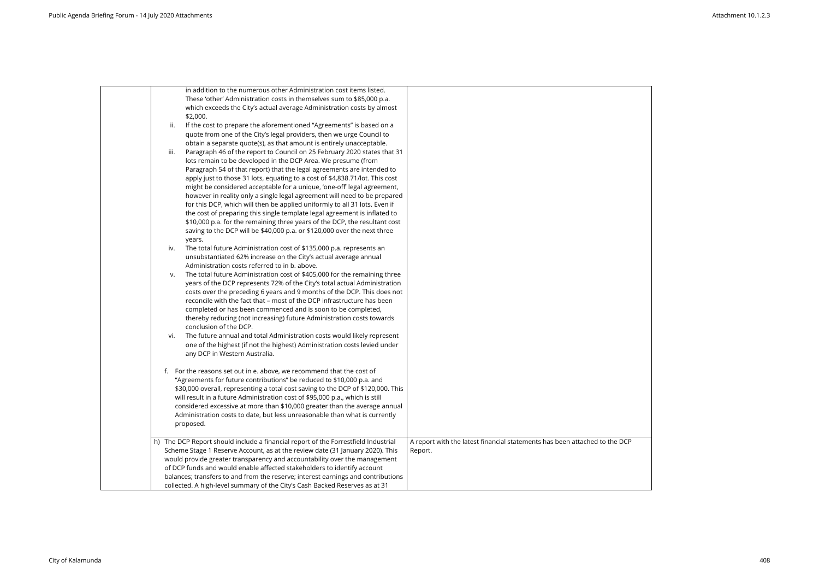| in addition to the numerous other Administration cost items listed.                                                                                      |                                                                            |
|----------------------------------------------------------------------------------------------------------------------------------------------------------|----------------------------------------------------------------------------|
| These 'other' Administration costs in themselves sum to \$85,000 p.a.                                                                                    |                                                                            |
| which exceeds the City's actual average Administration costs by almost<br>\$2,000.                                                                       |                                                                            |
| If the cost to prepare the aforementioned "Agreements" is based on a<br>ii.                                                                              |                                                                            |
| quote from one of the City's legal providers, then we urge Council to                                                                                    |                                                                            |
| obtain a separate quote(s), as that amount is entirely unacceptable.                                                                                     |                                                                            |
| Paragraph 46 of the report to Council on 25 February 2020 states that 31<br>iii.                                                                         |                                                                            |
| lots remain to be developed in the DCP Area. We presume (from                                                                                            |                                                                            |
| Paragraph 54 of that report) that the legal agreements are intended to                                                                                   |                                                                            |
| apply just to those 31 lots, equating to a cost of \$4,838.71/lot. This cost                                                                             |                                                                            |
| might be considered acceptable for a unique, 'one-off' legal agreement,                                                                                  |                                                                            |
| however in reality only a single legal agreement will need to be prepared                                                                                |                                                                            |
| for this DCP, which will then be applied uniformly to all 31 lots. Even if                                                                               |                                                                            |
| the cost of preparing this single template legal agreement is inflated to                                                                                |                                                                            |
| \$10,000 p.a. for the remaining three years of the DCP, the resultant cost                                                                               |                                                                            |
| saving to the DCP will be \$40,000 p.a. or \$120,000 over the next three                                                                                 |                                                                            |
| years.                                                                                                                                                   |                                                                            |
| The total future Administration cost of \$135,000 p.a. represents an<br>iv.<br>unsubstantiated 62% increase on the City's actual average annual          |                                                                            |
| Administration costs referred to in b. above.                                                                                                            |                                                                            |
| The total future Administration cost of \$405,000 for the remaining three<br>v.                                                                          |                                                                            |
| years of the DCP represents 72% of the City's total actual Administration                                                                                |                                                                            |
| costs over the preceding 6 years and 9 months of the DCP. This does not                                                                                  |                                                                            |
| reconcile with the fact that - most of the DCP infrastructure has been                                                                                   |                                                                            |
| completed or has been commenced and is soon to be completed,                                                                                             |                                                                            |
| thereby reducing (not increasing) future Administration costs towards                                                                                    |                                                                            |
| conclusion of the DCP.                                                                                                                                   |                                                                            |
| The future annual and total Administration costs would likely represent<br>vi.                                                                           |                                                                            |
| one of the highest (if not the highest) Administration costs levied under                                                                                |                                                                            |
| any DCP in Western Australia.                                                                                                                            |                                                                            |
|                                                                                                                                                          |                                                                            |
| f. For the reasons set out in e. above, we recommend that the cost of                                                                                    |                                                                            |
| "Agreements for future contributions" be reduced to \$10,000 p.a. and                                                                                    |                                                                            |
| \$30,000 overall, representing a total cost saving to the DCP of \$120,000. This                                                                         |                                                                            |
| will result in a future Administration cost of \$95,000 p.a., which is still                                                                             |                                                                            |
| considered excessive at more than \$10,000 greater than the average annual<br>Administration costs to date, but less unreasonable than what is currently |                                                                            |
| proposed.                                                                                                                                                |                                                                            |
|                                                                                                                                                          |                                                                            |
| h) The DCP Report should include a financial report of the Forrestfield Industrial                                                                       | A report with the latest financial statements has been attached to the DCP |
| Scheme Stage 1 Reserve Account, as at the review date (31 January 2020). This                                                                            | Report.                                                                    |
| would provide greater transparency and accountability over the management                                                                                |                                                                            |
| of DCP funds and would enable affected stakeholders to identify account                                                                                  |                                                                            |
| balances; transfers to and from the reserve; interest earnings and contributions                                                                         |                                                                            |
| collected. A high-level summary of the City's Cash Backed Reserves as at 31                                                                              |                                                                            |
|                                                                                                                                                          |                                                                            |

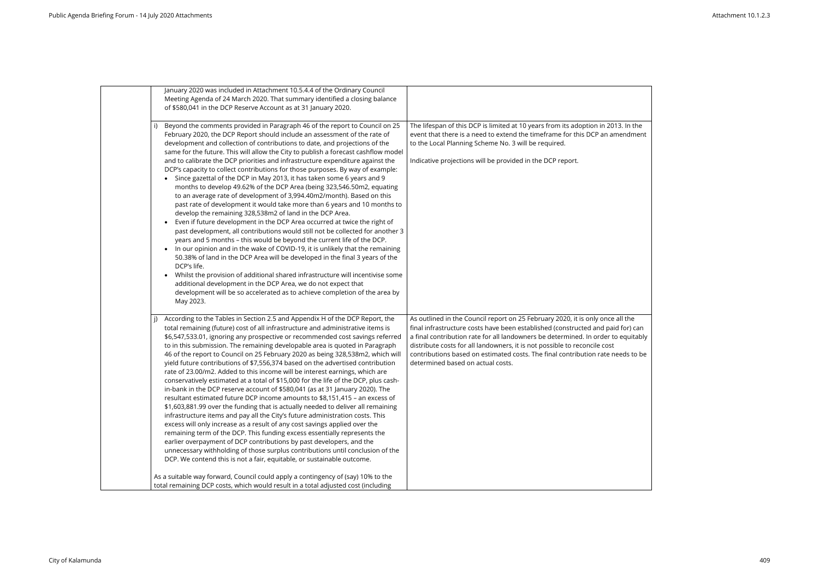| January 2020 was included in Attachment 10.5.4.4 of the Ordinary Council<br>Meeting Agenda of 24 March 2020. That summary identified a closing balance<br>of \$580,041 in the DCP Reserve Account as at 31 January 2020.                                                                                                                                                                                                                                                                                                                                                                                                                                                                                                                                                                                                                                                                                                                                                                                                                                                                                                                                                                                                                                                                                                                                                                                                                                                                                       |                                                                                                                                                                                                                                                                                                                                                                                                                                                             |
|----------------------------------------------------------------------------------------------------------------------------------------------------------------------------------------------------------------------------------------------------------------------------------------------------------------------------------------------------------------------------------------------------------------------------------------------------------------------------------------------------------------------------------------------------------------------------------------------------------------------------------------------------------------------------------------------------------------------------------------------------------------------------------------------------------------------------------------------------------------------------------------------------------------------------------------------------------------------------------------------------------------------------------------------------------------------------------------------------------------------------------------------------------------------------------------------------------------------------------------------------------------------------------------------------------------------------------------------------------------------------------------------------------------------------------------------------------------------------------------------------------------|-------------------------------------------------------------------------------------------------------------------------------------------------------------------------------------------------------------------------------------------------------------------------------------------------------------------------------------------------------------------------------------------------------------------------------------------------------------|
| i) Beyond the comments provided in Paragraph 46 of the report to Council on 25<br>February 2020, the DCP Report should include an assessment of the rate of<br>development and collection of contributions to date, and projections of the<br>same for the future. This will allow the City to publish a forecast cashflow model<br>and to calibrate the DCP priorities and infrastructure expenditure against the<br>DCP's capacity to collect contributions for those purposes. By way of example:<br>• Since gazettal of the DCP in May 2013, it has taken some 6 years and 9<br>months to develop 49.62% of the DCP Area (being 323,546.50m2, equating<br>to an average rate of development of 3,994.40m2/month). Based on this<br>past rate of development it would take more than 6 years and 10 months to<br>develop the remaining 328,538m2 of land in the DCP Area.<br>Even if future development in the DCP Area occurred at twice the right of<br>past development, all contributions would still not be collected for another 3<br>years and 5 months - this would be beyond the current life of the DCP.<br>In our opinion and in the wake of COVID-19, it is unlikely that the remaining<br>$\bullet$<br>50.38% of land in the DCP Area will be developed in the final 3 years of the<br>DCP's life.<br>Whilst the provision of additional shared infrastructure will incentivise some<br>$\bullet$<br>additional development in the DCP Area, we do not expect that                             | The lifespan of this DCP is limited at 10 years from its adoption in 2013. In the<br>event that there is a need to extend the timeframe for this DCP an amendment<br>to the Local Planning Scheme No. 3 will be required.<br>Indicative projections will be provided in the DCP report.                                                                                                                                                                     |
| development will be so accelerated as to achieve completion of the area by<br>May 2023.<br>According to the Tables in Section 2.5 and Appendix H of the DCP Report, the<br>j)<br>total remaining (future) cost of all infrastructure and administrative items is<br>\$6,547,533.01, ignoring any prospective or recommended cost savings referred<br>to in this submission. The remaining developable area is quoted in Paragraph<br>46 of the report to Council on 25 February 2020 as being 328,538m2, which will<br>yield future contributions of \$7,556,374 based on the advertised contribution<br>rate of 23.00/m2. Added to this income will be interest earnings, which are<br>conservatively estimated at a total of \$15,000 for the life of the DCP, plus cash-<br>in-bank in the DCP reserve account of \$580,041 (as at 31 January 2020). The<br>resultant estimated future DCP income amounts to \$8,151,415 - an excess of<br>\$1,603,881.99 over the funding that is actually needed to deliver all remaining<br>infrastructure items and pay all the City's future administration costs. This<br>excess will only increase as a result of any cost savings applied over the<br>remaining term of the DCP. This funding excess essentially represents the<br>earlier overpayment of DCP contributions by past developers, and the<br>unnecessary withholding of those surplus contributions until conclusion of the<br>DCP. We contend this is not a fair, equitable, or sustainable outcome. | As outlined in the Council report on 25 February 2020, it is only once all the<br>final infrastructure costs have been established (constructed and paid for) can<br>a final contribution rate for all landowners be determined. In order to equitably<br>distribute costs for all landowners, it is not possible to reconcile cost<br>contributions based on estimated costs. The final contribution rate needs to be<br>determined based on actual costs. |
| As a suitable way forward, Council could apply a contingency of (say) 10% to the<br>total remaining DCP costs, which would result in a total adjusted cost (including                                                                                                                                                                                                                                                                                                                                                                                                                                                                                                                                                                                                                                                                                                                                                                                                                                                                                                                                                                                                                                                                                                                                                                                                                                                                                                                                          |                                                                                                                                                                                                                                                                                                                                                                                                                                                             |

| 3. In the<br><b>nendment</b>                    |  |
|-------------------------------------------------|--|
|                                                 |  |
| all the<br>l for) can<br>equitably<br>eds to be |  |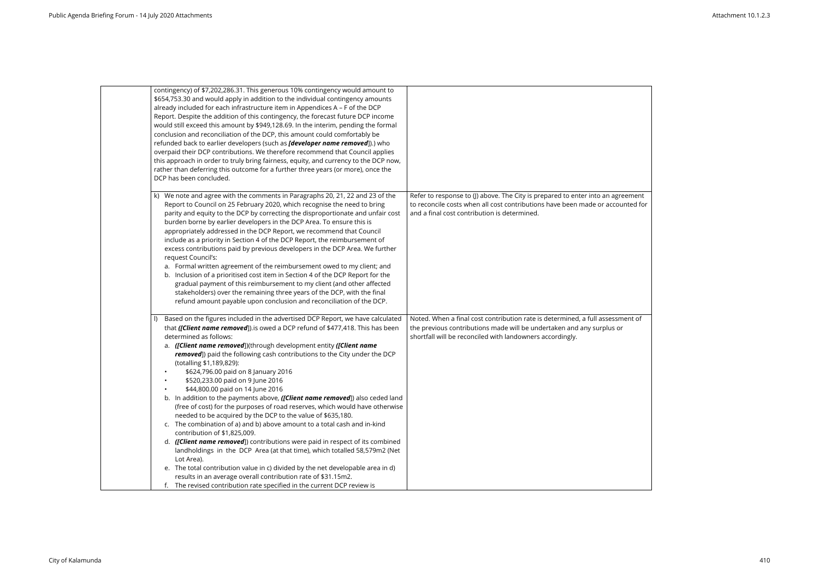| contingency) of \$7,202,286.31. This generous 10% contingency would amount to<br>\$654,753.30 and would apply in addition to the individual contingency amounts<br>already included for each infrastructure item in Appendices A - F of the DCP<br>Report. Despite the addition of this contingency, the forecast future DCP income<br>would still exceed this amount by \$949,128.69. In the interim, pending the formal<br>conclusion and reconciliation of the DCP, this amount could comfortably be                                                                                                                                                                                                                                                                                                                                                                                                                                                                                                                                                                                                                                                                                          |  |
|--------------------------------------------------------------------------------------------------------------------------------------------------------------------------------------------------------------------------------------------------------------------------------------------------------------------------------------------------------------------------------------------------------------------------------------------------------------------------------------------------------------------------------------------------------------------------------------------------------------------------------------------------------------------------------------------------------------------------------------------------------------------------------------------------------------------------------------------------------------------------------------------------------------------------------------------------------------------------------------------------------------------------------------------------------------------------------------------------------------------------------------------------------------------------------------------------|--|
|                                                                                                                                                                                                                                                                                                                                                                                                                                                                                                                                                                                                                                                                                                                                                                                                                                                                                                                                                                                                                                                                                                                                                                                                  |  |
|                                                                                                                                                                                                                                                                                                                                                                                                                                                                                                                                                                                                                                                                                                                                                                                                                                                                                                                                                                                                                                                                                                                                                                                                  |  |
|                                                                                                                                                                                                                                                                                                                                                                                                                                                                                                                                                                                                                                                                                                                                                                                                                                                                                                                                                                                                                                                                                                                                                                                                  |  |
|                                                                                                                                                                                                                                                                                                                                                                                                                                                                                                                                                                                                                                                                                                                                                                                                                                                                                                                                                                                                                                                                                                                                                                                                  |  |
|                                                                                                                                                                                                                                                                                                                                                                                                                                                                                                                                                                                                                                                                                                                                                                                                                                                                                                                                                                                                                                                                                                                                                                                                  |  |
|                                                                                                                                                                                                                                                                                                                                                                                                                                                                                                                                                                                                                                                                                                                                                                                                                                                                                                                                                                                                                                                                                                                                                                                                  |  |
| refunded back to earlier developers (such as <i>[developer name removed</i> ]).) who                                                                                                                                                                                                                                                                                                                                                                                                                                                                                                                                                                                                                                                                                                                                                                                                                                                                                                                                                                                                                                                                                                             |  |
| overpaid their DCP contributions. We therefore recommend that Council applies                                                                                                                                                                                                                                                                                                                                                                                                                                                                                                                                                                                                                                                                                                                                                                                                                                                                                                                                                                                                                                                                                                                    |  |
| this approach in order to truly bring fairness, equity, and currency to the DCP now,                                                                                                                                                                                                                                                                                                                                                                                                                                                                                                                                                                                                                                                                                                                                                                                                                                                                                                                                                                                                                                                                                                             |  |
| rather than deferring this outcome for a further three years (or more), once the                                                                                                                                                                                                                                                                                                                                                                                                                                                                                                                                                                                                                                                                                                                                                                                                                                                                                                                                                                                                                                                                                                                 |  |
| DCP has been concluded.                                                                                                                                                                                                                                                                                                                                                                                                                                                                                                                                                                                                                                                                                                                                                                                                                                                                                                                                                                                                                                                                                                                                                                          |  |
| k) We note and agree with the comments in Paragraphs 20, 21, 22 and 23 of the<br>Refer to response to (J) above. The City is prepared to enter into an agreement<br>to reconcile costs when all cost contributions have been made or accounted for<br>Report to Council on 25 February 2020, which recognise the need to bring<br>parity and equity to the DCP by correcting the disproportionate and unfair cost<br>and a final cost contribution is determined.<br>burden borne by earlier developers in the DCP Area. To ensure this is<br>appropriately addressed in the DCP Report, we recommend that Council<br>include as a priority in Section 4 of the DCP Report, the reimbursement of<br>excess contributions paid by previous developers in the DCP Area. We further<br>request Council's:<br>a. Formal written agreement of the reimbursement owed to my client; and<br>b. Inclusion of a prioritised cost item in Section 4 of the DCP Report for the<br>gradual payment of this reimbursement to my client (and other affected<br>stakeholders) over the remaining three years of the DCP, with the final<br>refund amount payable upon conclusion and reconciliation of the DCP. |  |
| Based on the figures included in the advertised DCP Report, we have calculated<br>Noted. When a final cost contribution rate is determined, a full assessment of<br>the previous contributions made will be undertaken and any surplus or<br>that ([Client name removed]).is owed a DCP refund of \$477,418. This has been<br>determined as follows:<br>shortfall will be reconciled with landowners accordingly.                                                                                                                                                                                                                                                                                                                                                                                                                                                                                                                                                                                                                                                                                                                                                                                |  |
| a. ([Client name removed])(through development entity ([Client name<br>removed]) paid the following cash contributions to the City under the DCP<br>(totalling \$1,189,829):                                                                                                                                                                                                                                                                                                                                                                                                                                                                                                                                                                                                                                                                                                                                                                                                                                                                                                                                                                                                                     |  |
| \$624,796.00 paid on 8 January 2016<br>$\bullet$                                                                                                                                                                                                                                                                                                                                                                                                                                                                                                                                                                                                                                                                                                                                                                                                                                                                                                                                                                                                                                                                                                                                                 |  |
| \$520,233.00 paid on 9 June 2016                                                                                                                                                                                                                                                                                                                                                                                                                                                                                                                                                                                                                                                                                                                                                                                                                                                                                                                                                                                                                                                                                                                                                                 |  |
| \$44,800.00 paid on 14 June 2016<br>$\bullet$                                                                                                                                                                                                                                                                                                                                                                                                                                                                                                                                                                                                                                                                                                                                                                                                                                                                                                                                                                                                                                                                                                                                                    |  |
| b. In addition to the payments above, ([Client name removed]) also ceded land                                                                                                                                                                                                                                                                                                                                                                                                                                                                                                                                                                                                                                                                                                                                                                                                                                                                                                                                                                                                                                                                                                                    |  |
| (free of cost) for the purposes of road reserves, which would have otherwise                                                                                                                                                                                                                                                                                                                                                                                                                                                                                                                                                                                                                                                                                                                                                                                                                                                                                                                                                                                                                                                                                                                     |  |
| needed to be acquired by the DCP to the value of \$635,180.                                                                                                                                                                                                                                                                                                                                                                                                                                                                                                                                                                                                                                                                                                                                                                                                                                                                                                                                                                                                                                                                                                                                      |  |
| c. The combination of a) and b) above amount to a total cash and in-kind                                                                                                                                                                                                                                                                                                                                                                                                                                                                                                                                                                                                                                                                                                                                                                                                                                                                                                                                                                                                                                                                                                                         |  |
| contribution of \$1,825,009.                                                                                                                                                                                                                                                                                                                                                                                                                                                                                                                                                                                                                                                                                                                                                                                                                                                                                                                                                                                                                                                                                                                                                                     |  |
| d. ([Client name removed]) contributions were paid in respect of its combined                                                                                                                                                                                                                                                                                                                                                                                                                                                                                                                                                                                                                                                                                                                                                                                                                                                                                                                                                                                                                                                                                                                    |  |
| landholdings in the DCP Area (at that time), which totalled 58,579m2 (Net                                                                                                                                                                                                                                                                                                                                                                                                                                                                                                                                                                                                                                                                                                                                                                                                                                                                                                                                                                                                                                                                                                                        |  |
| Lot Area).                                                                                                                                                                                                                                                                                                                                                                                                                                                                                                                                                                                                                                                                                                                                                                                                                                                                                                                                                                                                                                                                                                                                                                                       |  |
| e. The total contribution value in c) divided by the net developable area in d)                                                                                                                                                                                                                                                                                                                                                                                                                                                                                                                                                                                                                                                                                                                                                                                                                                                                                                                                                                                                                                                                                                                  |  |
| results in an average overall contribution rate of \$31.15m2.                                                                                                                                                                                                                                                                                                                                                                                                                                                                                                                                                                                                                                                                                                                                                                                                                                                                                                                                                                                                                                                                                                                                    |  |
|                                                                                                                                                                                                                                                                                                                                                                                                                                                                                                                                                                                                                                                                                                                                                                                                                                                                                                                                                                                                                                                                                                                                                                                                  |  |

| reement<br>bunted for |  |
|-----------------------|--|
| ment of<br>or         |  |
|                       |  |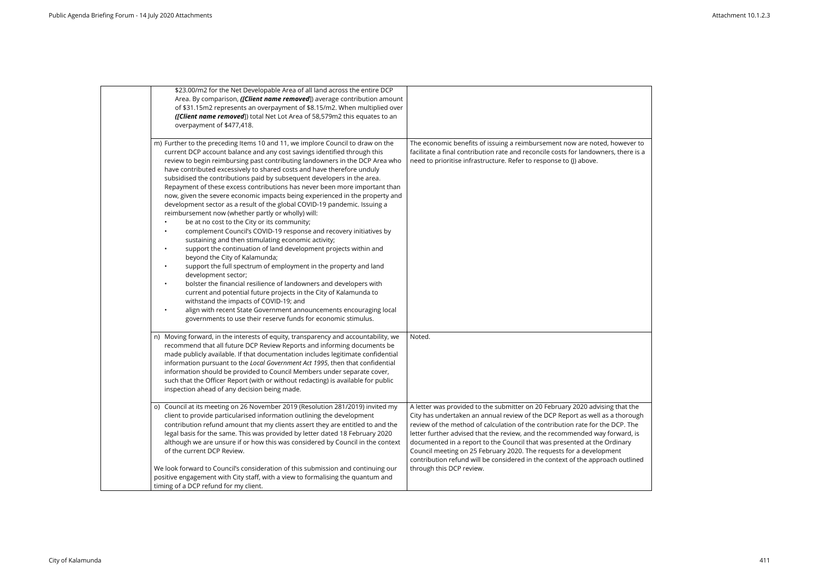| \$23.00/m2 for the Net Developable Area of all land across the entire DCP<br>Area. By comparison, ([Client name removed]) average contribution amount<br>of \$31.15m2 represents an overpayment of \$8.15/m2. When multiplied over<br>([Client name removed]) total Net Lot Area of 58,579m2 this equates to an<br>overpayment of \$477,418.                                                                                                                                                                                                                                                                                                                                                                                                                                                                                                                                                                                                                                                                                                                                                                                                                                                                                                                                                                                                                                                                                                                |                                                                                                                                                                                                                                                                                                                                                                                                                                                                                                                                                                                               |
|-------------------------------------------------------------------------------------------------------------------------------------------------------------------------------------------------------------------------------------------------------------------------------------------------------------------------------------------------------------------------------------------------------------------------------------------------------------------------------------------------------------------------------------------------------------------------------------------------------------------------------------------------------------------------------------------------------------------------------------------------------------------------------------------------------------------------------------------------------------------------------------------------------------------------------------------------------------------------------------------------------------------------------------------------------------------------------------------------------------------------------------------------------------------------------------------------------------------------------------------------------------------------------------------------------------------------------------------------------------------------------------------------------------------------------------------------------------|-----------------------------------------------------------------------------------------------------------------------------------------------------------------------------------------------------------------------------------------------------------------------------------------------------------------------------------------------------------------------------------------------------------------------------------------------------------------------------------------------------------------------------------------------------------------------------------------------|
| m) Further to the preceding Items 10 and 11, we implore Council to draw on the<br>current DCP account balance and any cost savings identified through this<br>review to begin reimbursing past contributing landowners in the DCP Area who<br>have contributed excessively to shared costs and have therefore unduly<br>subsidised the contributions paid by subsequent developers in the area.<br>Repayment of these excess contributions has never been more important than<br>now, given the severe economic impacts being experienced in the property and<br>development sector as a result of the global COVID-19 pandemic. Issuing a<br>reimbursement now (whether partly or wholly) will:<br>be at no cost to the City or its community;<br>complement Council's COVID-19 response and recovery initiatives by<br>$\bullet$<br>sustaining and then stimulating economic activity;<br>support the continuation of land development projects within and<br>$\bullet$<br>beyond the City of Kalamunda;<br>support the full spectrum of employment in the property and land<br>$\bullet$<br>development sector;<br>bolster the financial resilience of landowners and developers with<br>$\bullet$<br>current and potential future projects in the City of Kalamunda to<br>withstand the impacts of COVID-19; and<br>align with recent State Government announcements encouraging local<br>governments to use their reserve funds for economic stimulus. | The economic benefits of issuing a reimbursement now are noted, however to<br>facilitate a final contribution rate and reconcile costs for landowners, there is a<br>need to prioritise infrastructure. Refer to response to (J) above.                                                                                                                                                                                                                                                                                                                                                       |
| n) Moving forward, in the interests of equity, transparency and accountability, we<br>recommend that all future DCP Review Reports and informing documents be<br>made publicly available. If that documentation includes legitimate confidential<br>information pursuant to the Local Government Act 1995, then that confidential<br>information should be provided to Council Members under separate cover,<br>such that the Officer Report (with or without redacting) is available for public<br>inspection ahead of any decision being made.                                                                                                                                                                                                                                                                                                                                                                                                                                                                                                                                                                                                                                                                                                                                                                                                                                                                                                            | Noted.                                                                                                                                                                                                                                                                                                                                                                                                                                                                                                                                                                                        |
| o) Council at its meeting on 26 November 2019 (Resolution 281/2019) invited my<br>client to provide particularised information outlining the development<br>contribution refund amount that my clients assert they are entitled to and the<br>legal basis for the same. This was provided by letter dated 18 February 2020<br>although we are unsure if or how this was considered by Council in the context<br>of the current DCP Review.<br>We look forward to Council's consideration of this submission and continuing our<br>positive engagement with City staff, with a view to formalising the quantum and                                                                                                                                                                                                                                                                                                                                                                                                                                                                                                                                                                                                                                                                                                                                                                                                                                           | A letter was provided to the submitter on 20 February 2020 advising that the<br>City has undertaken an annual review of the DCP Report as well as a thorough<br>review of the method of calculation of the contribution rate for the DCP. The<br>letter further advised that the review, and the recommended way forward, is<br>documented in a report to the Council that was presented at the Ordinary<br>Council meeting on 25 February 2020. The requests for a development<br>contribution refund will be considered in the context of the approach outlined<br>through this DCP review. |
|                                                                                                                                                                                                                                                                                                                                                                                                                                                                                                                                                                                                                                                                                                                                                                                                                                                                                                                                                                                                                                                                                                                                                                                                                                                                                                                                                                                                                                                             |                                                                                                                                                                                                                                                                                                                                                                                                                                                                                                                                                                                               |

| wever to<br>here is a:                           |
|--------------------------------------------------|
|                                                  |
|                                                  |
|                                                  |
|                                                  |
|                                                  |
| าat the<br>horough<br>P. The<br>vard, is<br>nary |
| t<br>outlined                                    |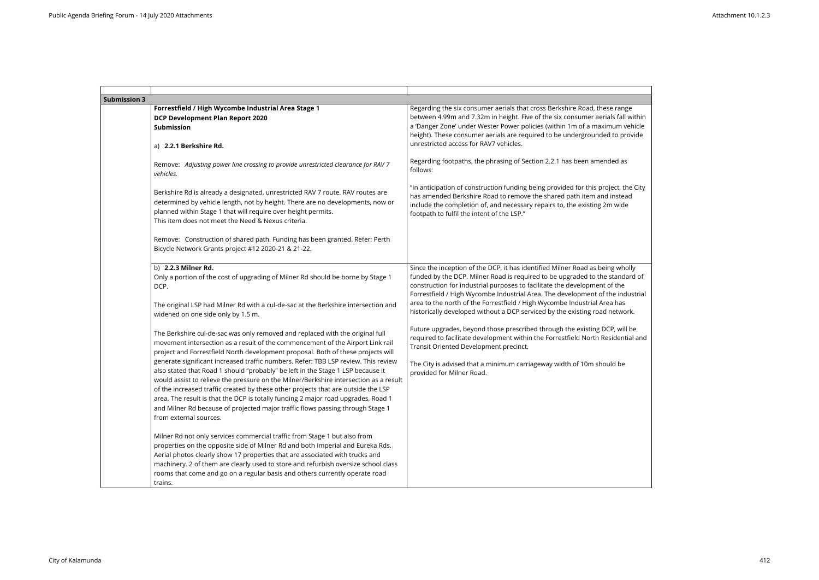| <b>Submission 3</b> |                                                                                                                                                                                                                                                                                                                                                                                                                                                                                                                                                      |                                                                                                                                                                                                                                                                                                                                                                      |
|---------------------|------------------------------------------------------------------------------------------------------------------------------------------------------------------------------------------------------------------------------------------------------------------------------------------------------------------------------------------------------------------------------------------------------------------------------------------------------------------------------------------------------------------------------------------------------|----------------------------------------------------------------------------------------------------------------------------------------------------------------------------------------------------------------------------------------------------------------------------------------------------------------------------------------------------------------------|
|                     | Forrestfield / High Wycombe Industrial Area Stage 1<br><b>DCP Development Plan Report 2020</b><br><b>Submission</b><br>a) 2.2.1 Berkshire Rd.                                                                                                                                                                                                                                                                                                                                                                                                        | Regarding the six consumer aerials that cross Berkshire Road, these range<br>between 4.99m and 7.32m in height. Five of the six consumer aerials fall within<br>a 'Danger Zone' under Wester Power policies (within 1m of a maximum vehicle<br>height). These consumer aerials are required to be undergrounded to provide<br>unrestricted access for RAV7 vehicles. |
|                     | Remove: Adjusting power line crossing to provide unrestricted clearance for RAV 7<br>vehicles.                                                                                                                                                                                                                                                                                                                                                                                                                                                       | Regarding footpaths, the phrasing of Section 2.2.1 has been amended as<br>follows:                                                                                                                                                                                                                                                                                   |
|                     | Berkshire Rd is already a designated, unrestricted RAV 7 route. RAV routes are<br>determined by vehicle length, not by height. There are no developments, now or<br>planned within Stage 1 that will require over height permits.<br>This item does not meet the Need & Nexus criteria.                                                                                                                                                                                                                                                              | "In anticipation of construction funding being provided for this project, the City<br>has amended Berkshire Road to remove the shared path item and instead<br>include the completion of, and necessary repairs to, the existing 2m wide<br>footpath to fulfil the intent of the LSP."                                                                               |
|                     | Remove: Construction of shared path. Funding has been granted. Refer: Perth<br>Bicycle Network Grants project #12 2020-21 & 21-22.                                                                                                                                                                                                                                                                                                                                                                                                                   |                                                                                                                                                                                                                                                                                                                                                                      |
|                     | b) 2.2.3 Milner Rd.<br>Only a portion of the cost of upgrading of Milner Rd should be borne by Stage 1<br>DCP.                                                                                                                                                                                                                                                                                                                                                                                                                                       | Since the inception of the DCP, it has identified Milner Road as being wholly<br>funded by the DCP. Milner Road is required to be upgraded to the standard of<br>construction for industrial purposes to facilitate the development of the<br>Forrestfield / High Wycombe Industrial Area. The development of the industrial                                         |
|                     | The original LSP had Milner Rd with a cul-de-sac at the Berkshire intersection and<br>widened on one side only by 1.5 m.                                                                                                                                                                                                                                                                                                                                                                                                                             | area to the north of the Forrestfield / High Wycombe Industrial Area has<br>historically developed without a DCP serviced by the existing road network.                                                                                                                                                                                                              |
|                     | The Berkshire cul-de-sac was only removed and replaced with the original full<br>movement intersection as a result of the commencement of the Airport Link rail<br>project and Forrestfield North development proposal. Both of these projects will                                                                                                                                                                                                                                                                                                  | Future upgrades, beyond those prescribed through the existing DCP, will be<br>required to facilitate development within the Forrestfield North Residential and<br>Transit Oriented Development precinct.                                                                                                                                                             |
|                     | generate significant increased traffic numbers. Refer: TBB LSP review. This review<br>also stated that Road 1 should "probably" be left in the Stage 1 LSP because it<br>would assist to relieve the pressure on the Milner/Berkshire intersection as a result<br>of the increased traffic created by these other projects that are outside the LSP<br>area. The result is that the DCP is totally funding 2 major road upgrades, Road 1<br>and Milner Rd because of projected major traffic flows passing through Stage 1<br>from external sources. | The City is advised that a minimum carriageway width of 10m should be<br>provided for Milner Road.                                                                                                                                                                                                                                                                   |
|                     | Milner Rd not only services commercial traffic from Stage 1 but also from<br>properties on the opposite side of Milner Rd and both Imperial and Eureka Rds.<br>Aerial photos clearly show 17 properties that are associated with trucks and<br>machinery. 2 of them are clearly used to store and refurbish oversize school class<br>rooms that come and go on a regular basis and others currently operate road<br>trains.                                                                                                                          |                                                                                                                                                                                                                                                                                                                                                                      |

| ange<br>all within <sup>.</sup><br>n vehicle<br>provide |  |
|---------------------------------------------------------|--|
| l as                                                    |  |
| the City<br>tead<br>ide                                 |  |
|                                                         |  |
| vholly<br>ndard of                                      |  |
| ٦e<br>industrial                                        |  |
| as<br>work.                                             |  |
| will be<br>ential and                                   |  |
| be                                                      |  |
|                                                         |  |
|                                                         |  |
|                                                         |  |
|                                                         |  |
|                                                         |  |
|                                                         |  |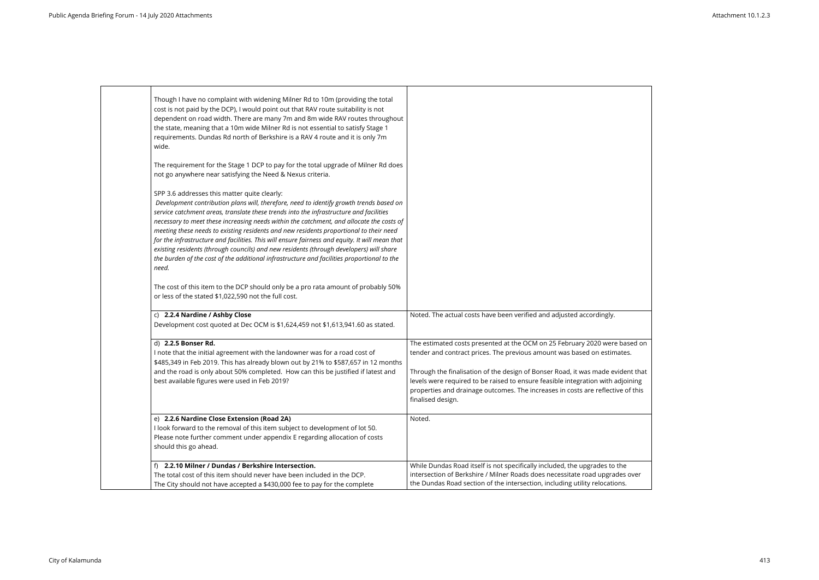| Though I have no complaint with widening Milner Rd to 10m (providing the total<br>cost is not paid by the DCP), I would point out that RAV route suitability is not<br>dependent on road width. There are many 7m and 8m wide RAV routes throughout<br>the state, meaning that a 10m wide Milner Rd is not essential to satisfy Stage 1<br>requirements. Dundas Rd north of Berkshire is a RAV 4 route and it is only 7m<br>wide.                                                                                                                                                                                                                                                                                           |                                                                                                                                                                                                                                                                                                                                                                                                                                     |
|-----------------------------------------------------------------------------------------------------------------------------------------------------------------------------------------------------------------------------------------------------------------------------------------------------------------------------------------------------------------------------------------------------------------------------------------------------------------------------------------------------------------------------------------------------------------------------------------------------------------------------------------------------------------------------------------------------------------------------|-------------------------------------------------------------------------------------------------------------------------------------------------------------------------------------------------------------------------------------------------------------------------------------------------------------------------------------------------------------------------------------------------------------------------------------|
| The requirement for the Stage 1 DCP to pay for the total upgrade of Milner Rd does                                                                                                                                                                                                                                                                                                                                                                                                                                                                                                                                                                                                                                          |                                                                                                                                                                                                                                                                                                                                                                                                                                     |
| not go anywhere near satisfying the Need & Nexus criteria.                                                                                                                                                                                                                                                                                                                                                                                                                                                                                                                                                                                                                                                                  |                                                                                                                                                                                                                                                                                                                                                                                                                                     |
| SPP 3.6 addresses this matter quite clearly:<br>Development contribution plans will, therefore, need to identify growth trends based on<br>service catchment areas, translate these trends into the infrastructure and facilities<br>necessary to meet these increasing needs within the catchment, and allocate the costs of<br>meeting these needs to existing residents and new residents proportional to their need<br>for the infrastructure and facilities. This will ensure fairness and equity. It will mean that<br>existing residents (through councils) and new residents (through developers) will share<br>the burden of the cost of the additional infrastructure and facilities proportional to the<br>need. |                                                                                                                                                                                                                                                                                                                                                                                                                                     |
| The cost of this item to the DCP should only be a pro rata amount of probably 50%<br>or less of the stated \$1,022,590 not the full cost.                                                                                                                                                                                                                                                                                                                                                                                                                                                                                                                                                                                   |                                                                                                                                                                                                                                                                                                                                                                                                                                     |
| c) 2.2.4 Nardine / Ashby Close<br>Development cost quoted at Dec OCM is \$1,624,459 not \$1,613,941.60 as stated.                                                                                                                                                                                                                                                                                                                                                                                                                                                                                                                                                                                                           | Noted. The actual costs have been verified and adjusted accordingly.                                                                                                                                                                                                                                                                                                                                                                |
| d) 2.2.5 Bonser Rd.<br>I note that the initial agreement with the landowner was for a road cost of<br>\$485,349 in Feb 2019. This has already blown out by 21% to \$587,657 in 12 months<br>and the road is only about 50% completed. How can this be justified if latest and<br>best available figures were used in Feb 2019?                                                                                                                                                                                                                                                                                                                                                                                              | The estimated costs presented at the OCM on 25 February 2020 were based on<br>tender and contract prices. The previous amount was based on estimates.<br>Through the finalisation of the design of Bonser Road, it was made evident that<br>levels were required to be raised to ensure feasible integration with adjoining<br>properties and drainage outcomes. The increases in costs are reflective of this<br>finalised design. |
| e) 2.2.6 Nardine Close Extension (Road 2A)<br>I look forward to the removal of this item subject to development of lot 50.<br>Please note further comment under appendix E regarding allocation of costs<br>should this go ahead.                                                                                                                                                                                                                                                                                                                                                                                                                                                                                           | Noted.                                                                                                                                                                                                                                                                                                                                                                                                                              |
| 2.2.10 Milner / Dundas / Berkshire Intersection.<br>The total cost of this item should never have been included in the DCP.<br>The City should not have accepted a \$430,000 fee to pay for the complete                                                                                                                                                                                                                                                                                                                                                                                                                                                                                                                    | While Dundas Road itself is not specifically included, the upgrades to the<br>intersection of Berkshire / Milner Roads does necessitate road upgrades over<br>the Dundas Road section of the intersection, including utility relocations.                                                                                                                                                                                           |

| $\cdot$                                   |  |  |
|-------------------------------------------|--|--|
| re based on<br>mates.                     |  |  |
| evident that<br>adjoining<br>tive of this |  |  |
|                                           |  |  |
| the כ<br>ades over<br>ions.               |  |  |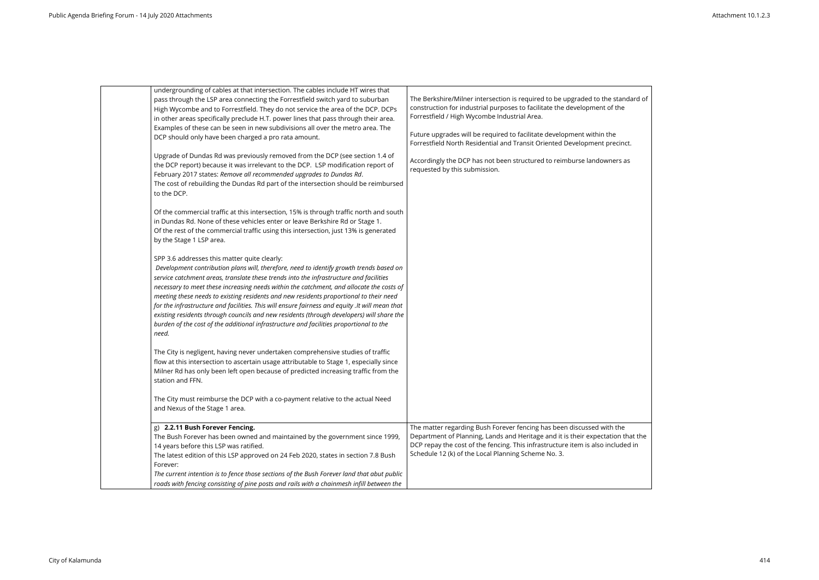| undergrounding of cables at that intersection. The cables include HT wires that<br>pass through the LSP area connecting the Forrestfield switch yard to suburban<br>High Wycombe and to Forrestfield. They do not service the area of the DCP. DCPs<br>in other areas specifically preclude H.T. power lines that pass through their area.<br>Examples of these can be seen in new subdivisions all over the metro area. The<br>DCP should only have been charged a pro rata amount.                                                                                                                                                                                                                                      | The Berkshire/Milner intersection is required to be upgraded to the standard of<br>construction for industrial purposes to facilitate the development of the<br>Forrestfield / High Wycombe Industrial Area.<br>Future upgrades will be required to facilitate development within the<br>Forrestfield North Residential and Transit Oriented Development precinct. |
|---------------------------------------------------------------------------------------------------------------------------------------------------------------------------------------------------------------------------------------------------------------------------------------------------------------------------------------------------------------------------------------------------------------------------------------------------------------------------------------------------------------------------------------------------------------------------------------------------------------------------------------------------------------------------------------------------------------------------|--------------------------------------------------------------------------------------------------------------------------------------------------------------------------------------------------------------------------------------------------------------------------------------------------------------------------------------------------------------------|
| Upgrade of Dundas Rd was previously removed from the DCP (see section 1.4 of<br>the DCP report) because it was irrelevant to the DCP. LSP modification report of<br>February 2017 states: Remove all recommended upgrades to Dundas Rd.<br>The cost of rebuilding the Dundas Rd part of the intersection should be reimbursed<br>to the DCP.                                                                                                                                                                                                                                                                                                                                                                              | Accordingly the DCP has not been structured to reimburse landowners as<br>requested by this submission.                                                                                                                                                                                                                                                            |
| Of the commercial traffic at this intersection, 15% is through traffic north and south<br>in Dundas Rd. None of these vehicles enter or leave Berkshire Rd or Stage 1.<br>Of the rest of the commercial traffic using this intersection, just 13% is generated<br>by the Stage 1 LSP area.                                                                                                                                                                                                                                                                                                                                                                                                                                |                                                                                                                                                                                                                                                                                                                                                                    |
| SPP 3.6 addresses this matter quite clearly:<br>Development contribution plans will, therefore, need to identify growth trends based on<br>service catchment areas, translate these trends into the infrastructure and facilities<br>necessary to meet these increasing needs within the catchment, and allocate the costs of<br>meeting these needs to existing residents and new residents proportional to their need<br>for the infrastructure and facilities. This will ensure fairness and equity .It will mean that<br>existing residents through councils and new residents (through developers) will share the<br>burden of the cost of the additional infrastructure and facilities proportional to the<br>need. |                                                                                                                                                                                                                                                                                                                                                                    |
| The City is negligent, having never undertaken comprehensive studies of traffic<br>flow at this intersection to ascertain usage attributable to Stage 1, especially since<br>Milner Rd has only been left open because of predicted increasing traffic from the<br>station and FFN.                                                                                                                                                                                                                                                                                                                                                                                                                                       |                                                                                                                                                                                                                                                                                                                                                                    |
| The City must reimburse the DCP with a co-payment relative to the actual Need<br>and Nexus of the Stage 1 area.                                                                                                                                                                                                                                                                                                                                                                                                                                                                                                                                                                                                           |                                                                                                                                                                                                                                                                                                                                                                    |
| g) 2.2.11 Bush Forever Fencing.<br>The Bush Forever has been owned and maintained by the government since 1999,<br>14 years before this LSP was ratified.<br>The latest edition of this LSP approved on 24 Feb 2020, states in section 7.8 Bush<br>Forever:<br>The current intention is to fence those sections of the Bush Forever land that abut public<br>roads with fencing consisting of pine posts and rails with a chainmesh infill between the                                                                                                                                                                                                                                                                    | The matter regarding Bush Forever fencing has been discussed with the<br>Department of Planning, Lands and Heritage and it is their expectation that the<br>DCP repay the cost of the fencing. This infrastructure item is also included in<br>Schedule 12 (k) of the Local Planning Scheme No. 3.                                                                 |

| cinct.<br>s as<br>he<br>n that the<br>uded in | tandard of<br>he |  |
|-----------------------------------------------|------------------|--|
|                                               |                  |  |
|                                               |                  |  |
|                                               |                  |  |
|                                               |                  |  |
|                                               |                  |  |
|                                               |                  |  |
|                                               |                  |  |
|                                               |                  |  |
|                                               |                  |  |
|                                               |                  |  |
|                                               |                  |  |
|                                               |                  |  |
|                                               |                  |  |
|                                               |                  |  |
|                                               |                  |  |
|                                               |                  |  |
|                                               |                  |  |
|                                               |                  |  |
|                                               |                  |  |
|                                               |                  |  |
|                                               |                  |  |
|                                               |                  |  |
|                                               |                  |  |
|                                               |                  |  |
|                                               |                  |  |

┑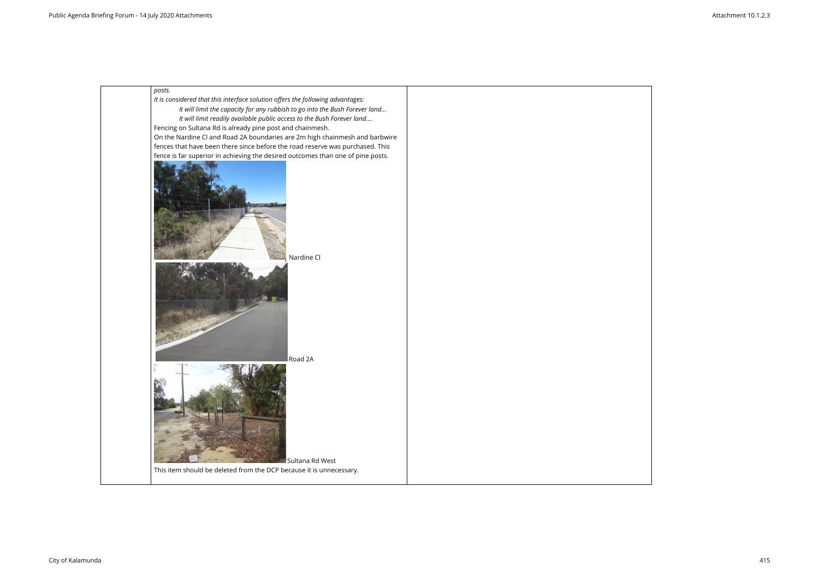

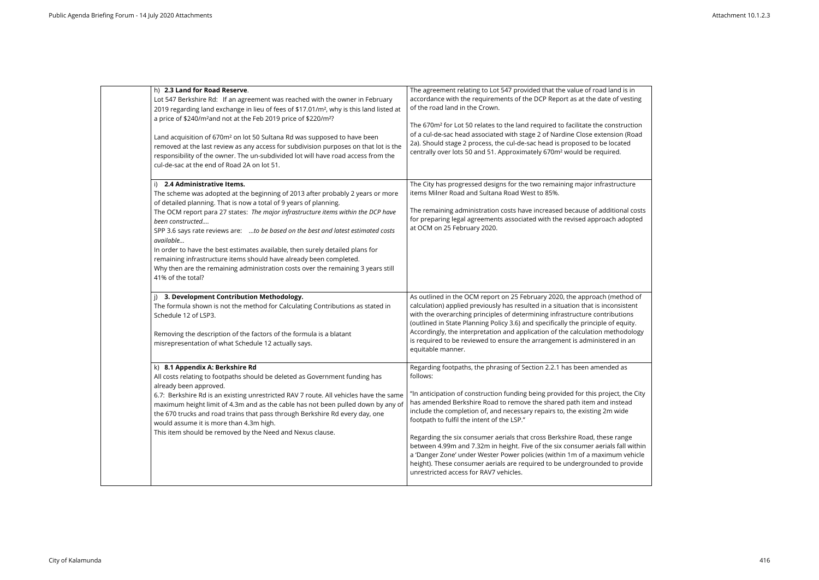| h) 2.3 Land for Road Reserve.<br>Lot 547 Berkshire Rd: If an agreement was reached with the owner in February<br>2019 regarding land exchange in lieu of fees of \$17.01/m <sup>2</sup> , why is this land listed at<br>a price of \$240/m <sup>2</sup> and not at the Feb 2019 price of \$220/m <sup>2</sup> ?<br>Land acquisition of 670m <sup>2</sup> on lot 50 Sultana Rd was supposed to have been<br>removed at the last review as any access for subdivision purposes on that lot is the<br>responsibility of the owner. The un-subdivided lot will have road access from the<br>cul-de-sac at the end of Road 2A on lot 51.                            | The agreement relating to Lot 547 provided that the value of road land is in<br>accordance with the requirements of the DCP Report as at the date of vesting<br>of the road land in the Crown.<br>The 670m <sup>2</sup> for Lot 50 relates to the land required to facilitate the construction<br>of a cul-de-sac head associated with stage 2 of Nardine Close extension (Road<br>2a). Should stage 2 process, the cul-de-sac head is proposed to be located<br>centrally over lots 50 and 51. Approximately 670m <sup>2</sup> would be required.                                                                                                                                                                                                   |
|----------------------------------------------------------------------------------------------------------------------------------------------------------------------------------------------------------------------------------------------------------------------------------------------------------------------------------------------------------------------------------------------------------------------------------------------------------------------------------------------------------------------------------------------------------------------------------------------------------------------------------------------------------------|------------------------------------------------------------------------------------------------------------------------------------------------------------------------------------------------------------------------------------------------------------------------------------------------------------------------------------------------------------------------------------------------------------------------------------------------------------------------------------------------------------------------------------------------------------------------------------------------------------------------------------------------------------------------------------------------------------------------------------------------------|
| i) 2.4 Administrative Items.<br>The scheme was adopted at the beginning of 2013 after probably 2 years or more<br>of detailed planning. That is now a total of 9 years of planning.<br>The OCM report para 27 states: The major infrastructure items within the DCP have<br>been constructed<br>SPP 3.6 says rate reviews are: to be based on the best and latest estimated costs<br>available<br>In order to have the best estimates available, then surely detailed plans for<br>remaining infrastructure items should have already been completed.<br>Why then are the remaining administration costs over the remaining 3 years still<br>41% of the total? | The City has progressed designs for the two remaining major infrastructure<br>items Milner Road and Sultana Road West to 85%.<br>The remaining administration costs have increased because of additional costs<br>for preparing legal agreements associated with the revised approach adopted<br>at OCM on 25 February 2020.                                                                                                                                                                                                                                                                                                                                                                                                                         |
| 3. Development Contribution Methodology.<br>The formula shown is not the method for Calculating Contributions as stated in<br>Schedule 12 of LSP3.<br>Removing the description of the factors of the formula is a blatant<br>misrepresentation of what Schedule 12 actually says.                                                                                                                                                                                                                                                                                                                                                                              | As outlined in the OCM report on 25 February 2020, the approach (method of<br>calculation) applied previously has resulted in a situation that is inconsistent<br>with the overarching principles of determining infrastructure contributions<br>(outlined in State Planning Policy 3.6) and specifically the principle of equity.<br>Accordingly, the interpretation and application of the calculation methodology<br>is required to be reviewed to ensure the arrangement is administered in an<br>equitable manner.                                                                                                                                                                                                                              |
| k) 8.1 Appendix A: Berkshire Rd<br>All costs relating to footpaths should be deleted as Government funding has<br>already been approved.<br>6.7: Berkshire Rd is an existing unrestricted RAV 7 route. All vehicles have the same<br>maximum height limit of 4.3m and as the cable has not been pulled down by any of<br>the 670 trucks and road trains that pass through Berkshire Rd every day, one<br>would assume it is more than 4.3m high.<br>This item should be removed by the Need and Nexus clause.                                                                                                                                                  | Regarding footpaths, the phrasing of Section 2.2.1 has been amended as<br>follows:<br>"In anticipation of construction funding being provided for this project, the City<br>has amended Berkshire Road to remove the shared path item and instead<br>include the completion of, and necessary repairs to, the existing 2m wide<br>footpath to fulfil the intent of the LSP."<br>Regarding the six consumer aerials that cross Berkshire Road, these range<br>between 4.99m and 7.32m in height. Five of the six consumer aerials fall within<br>a 'Danger Zone' under Wester Power policies (within 1m of a maximum vehicle<br>height). These consumer aerials are required to be undergrounded to provide<br>unrestricted access for RAV7 vehicles. |

| ıd is in<br>f vesting                                            |  |
|------------------------------------------------------------------|--|
| struction<br>วท (Road<br>ated:<br>d.                             |  |
| ucture                                                           |  |
| onal costs<br>adopted                                            |  |
| ethod of<br>isistent<br>utions<br>equity.<br>hodology<br>d in an |  |
| d as                                                             |  |
| t, the City:<br>stead<br>vide                                    |  |
| ange<br>fall within<br>m vehicle<br>p provide                    |  |
|                                                                  |  |

 $\overline{\phantom{0}}$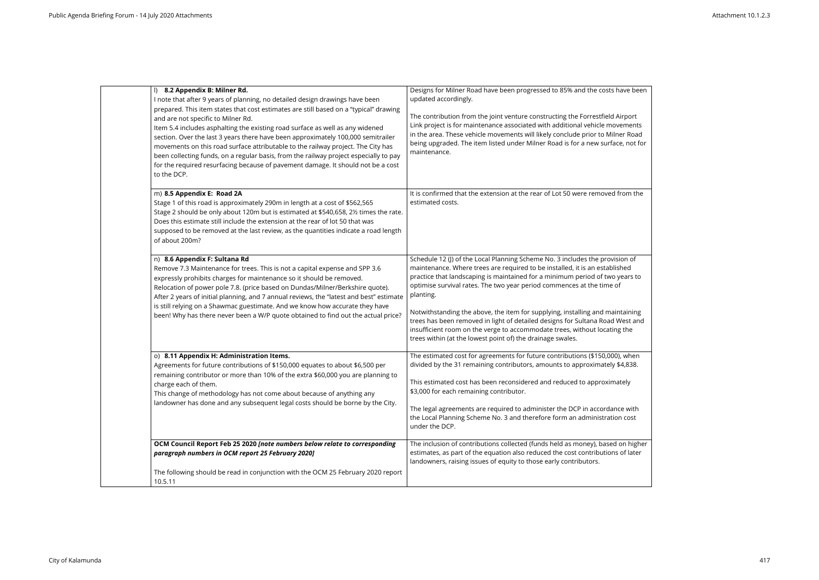| l) 8.2 Appendix B: Milner Rd.<br>I note that after 9 years of planning, no detailed design drawings have been<br>prepared. This item states that cost estimates are still based on a "typical" drawing<br>and are not specific to Milner Rd.<br>Item 5.4 includes asphalting the existing road surface as well as any widened<br>section. Over the last 3 years there have been approximately 100,000 semitrailer<br>movements on this road surface attributable to the railway project. The City has<br>been collecting funds, on a regular basis, from the railway project especially to pay<br>for the required resurfacing because of pavement damage. It should not be a cost<br>to the DCP. | Designs for Milner Road have been progressed to 85% and the costs have been<br>updated accordingly.<br>The contribution from the joint venture constructing the Forrestfield Airport<br>Link project is for maintenance associated with additional vehicle movements<br>in the area. These vehicle movements will likely conclude prior to Milner Road<br>being upgraded. The item listed under Milner Road is for a new surface, not for<br>maintenance.                                                                                                                                                                                      |
|---------------------------------------------------------------------------------------------------------------------------------------------------------------------------------------------------------------------------------------------------------------------------------------------------------------------------------------------------------------------------------------------------------------------------------------------------------------------------------------------------------------------------------------------------------------------------------------------------------------------------------------------------------------------------------------------------|------------------------------------------------------------------------------------------------------------------------------------------------------------------------------------------------------------------------------------------------------------------------------------------------------------------------------------------------------------------------------------------------------------------------------------------------------------------------------------------------------------------------------------------------------------------------------------------------------------------------------------------------|
| m) 8.5 Appendix E: Road 2A<br>Stage 1 of this road is approximately 290m in length at a cost of \$562,565<br>Stage 2 should be only about 120m but is estimated at \$540,658, 2½ times the rate.<br>Does this estimate still include the extension at the rear of lot 50 that was<br>supposed to be removed at the last review, as the quantities indicate a road length<br>of about 200m?                                                                                                                                                                                                                                                                                                        | It is confirmed that the extension at the rear of Lot 50 were removed from the<br>estimated costs.                                                                                                                                                                                                                                                                                                                                                                                                                                                                                                                                             |
| n) 8.6 Appendix F: Sultana Rd<br>Remove 7.3 Maintenance for trees. This is not a capital expense and SPP 3.6<br>expressly prohibits charges for maintenance so it should be removed.<br>Relocation of power pole 7.8. (price based on Dundas/Milner/Berkshire quote).<br>After 2 years of initial planning, and 7 annual reviews, the "latest and best" estimate<br>is still relying on a Shawmac guestimate. And we know how accurate they have<br>been! Why has there never been a W/P quote obtained to find out the actual price?                                                                                                                                                             | Schedule 12 (J) of the Local Planning Scheme No. 3 includes the provision of<br>maintenance. Where trees are required to be installed, it is an established<br>practice that landscaping is maintained for a minimum period of two years to<br>optimise survival rates. The two year period commences at the time of<br>planting.<br>Notwithstanding the above, the item for supplying, installing and maintaining<br>trees has been removed in light of detailed designs for Sultana Road West and<br>insufficient room on the verge to accommodate trees, without locating the<br>trees within (at the lowest point of) the drainage swales. |
| o) 8.11 Appendix H: Administration Items.<br>Agreements for future contributions of \$150,000 equates to about \$6,500 per<br>remaining contributor or more than 10% of the extra \$60,000 you are planning to<br>charge each of them.<br>This change of methodology has not come about because of anything any<br>landowner has done and any subsequent legal costs should be borne by the City.                                                                                                                                                                                                                                                                                                 | The estimated cost for agreements for future contributions (\$150,000), when<br>divided by the 31 remaining contributors, amounts to approximately \$4,838.<br>This estimated cost has been reconsidered and reduced to approximately<br>\$3,000 for each remaining contributor.<br>The legal agreements are required to administer the DCP in accordance with<br>the Local Planning Scheme No. 3 and therefore form an administration cost<br>under the DCP.                                                                                                                                                                                  |
| OCM Council Report Feb 25 2020 [note numbers below relate to corresponding<br>paragraph numbers in OCM report 25 February 2020]<br>The following should be read in conjunction with the OCM 25 February 2020 report<br>10.5.11                                                                                                                                                                                                                                                                                                                                                                                                                                                                    | The inclusion of contributions collected (funds held as money), based on higher<br>estimates, as part of the equation also reduced the cost contributions of later<br>landowners, raising issues of equity to those early contributors.                                                                                                                                                                                                                                                                                                                                                                                                        |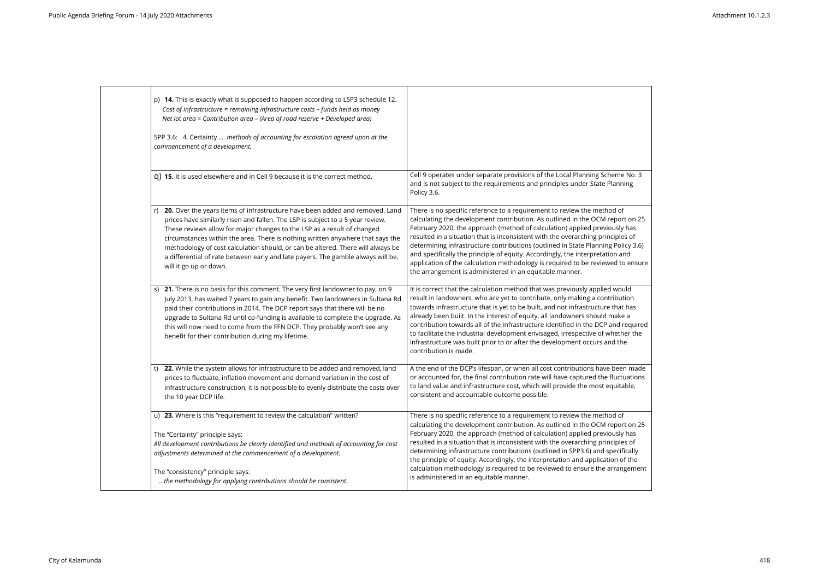| p) 14. This is exactly what is supposed to happen according to LSP3 schedule 12.<br>Cost of infrastructure = remaining infrastructure costs - funds held as money<br>Net lot area = Contribution area - (Area of road reserve + Developed area)<br>SPP 3.6: 4. Certainty  methods of accounting for escalation agreed upon at the<br>commencement of a development.                                                                                                                                                          |                                                                                                                                                                                                                                                                                                                                                                                                                                                                                                                                                                                                                                              |
|------------------------------------------------------------------------------------------------------------------------------------------------------------------------------------------------------------------------------------------------------------------------------------------------------------------------------------------------------------------------------------------------------------------------------------------------------------------------------------------------------------------------------|----------------------------------------------------------------------------------------------------------------------------------------------------------------------------------------------------------------------------------------------------------------------------------------------------------------------------------------------------------------------------------------------------------------------------------------------------------------------------------------------------------------------------------------------------------------------------------------------------------------------------------------------|
| q) 15. It is used elsewhere and in Cell 9 because it is the correct method.                                                                                                                                                                                                                                                                                                                                                                                                                                                  | Cell 9 operates under separate provisions of the Local Planning Scheme No. 3<br>and is not subject to the requirements and principles under State Planning<br>Policy 3.6.                                                                                                                                                                                                                                                                                                                                                                                                                                                                    |
| 20. Over the years items of infrastructure have been added and removed. Land<br>prices have similarly risen and fallen. The LSP is subject to a 5 year review.<br>These reviews allow for major changes to the LSP as a result of changed<br>circumstances within the area. There is nothing written anywhere that says the<br>methodology of cost calculation should, or can be altered. There will always be<br>a differential of rate between early and late payers. The gamble always will be,<br>will it go up or down. | There is no specific reference to a requirement to review the method of<br>calculating the development contribution. As outlined in the OCM report on 25<br>February 2020, the approach (method of calculation) applied previously has<br>resulted in a situation that is inconsistent with the overarching principles of<br>determining infrastructure contributions (outlined in State Planning Policy 3.6)<br>and specifically the principle of equity. Accordingly, the interpretation and<br>application of the calculation methodology is required to be reviewed to ensure<br>the arrangement is administered in an equitable manner. |
| s) 21. There is no basis for this comment. The very first landowner to pay, on 9<br>July 2013, has waited 7 years to gain any benefit. Two landowners in Sultana Rd<br>paid their contributions in 2014. The DCP report says that there will be no<br>upgrade to Sultana Rd until co-funding is available to complete the upgrade. As<br>this will now need to come from the FFN DCP. They probably won't see any<br>benefit for their contribution during my lifetime.                                                      | It is correct that the calculation method that was previously applied would<br>result in landowners, who are yet to contribute, only making a contribution<br>towards infrastructure that is yet to be built, and not infrastructure that has<br>already been built. In the interest of equity, all landowners should make a<br>contribution towards all of the infrastructure identified in the DCP and required<br>to facilitate the industrial development envisaged, irrespective of whether the<br>infrastructure was built prior to or after the development occurs and the<br>contribution is made.                                   |
| 22. While the system allows for infrastructure to be added and removed, land<br>t)<br>prices to fluctuate, inflation movement and demand variation in the cost of<br>infrastructure construction, it is not possible to evenly distribute the costs over<br>the 10 year DCP life.                                                                                                                                                                                                                                            | A the end of the DCP's lifespan, or when all cost contributions have been made<br>or accounted for, the final contribution rate will have captured the fluctuations<br>to land value and infrastructure cost, which will provide the most equitable,<br>consistent and accountable outcome possible.                                                                                                                                                                                                                                                                                                                                         |
| u) 23. Where is this "requirement to review the calculation" written?<br>The "Certainty" principle says:<br>All development contributions be clearly identified and methods of accounting for cost<br>adjustments determined at the commencement of a development.<br>The "consistency" principle says:<br>the methodology for applying contributions should be consistent.                                                                                                                                                  | There is no specific reference to a requirement to review the method of<br>calculating the development contribution. As outlined in the OCM report on 25<br>February 2020, the approach (method of calculation) applied previously has<br>resulted in a situation that is inconsistent with the overarching principles of<br>determining infrastructure contributions (outlined in SPP3.6) and specifically<br>the principle of equity. Accordingly, the interpretation and application of the<br>calculation methodology is required to be reviewed to ensure the arrangement<br>is administered in an equitable manner.                    |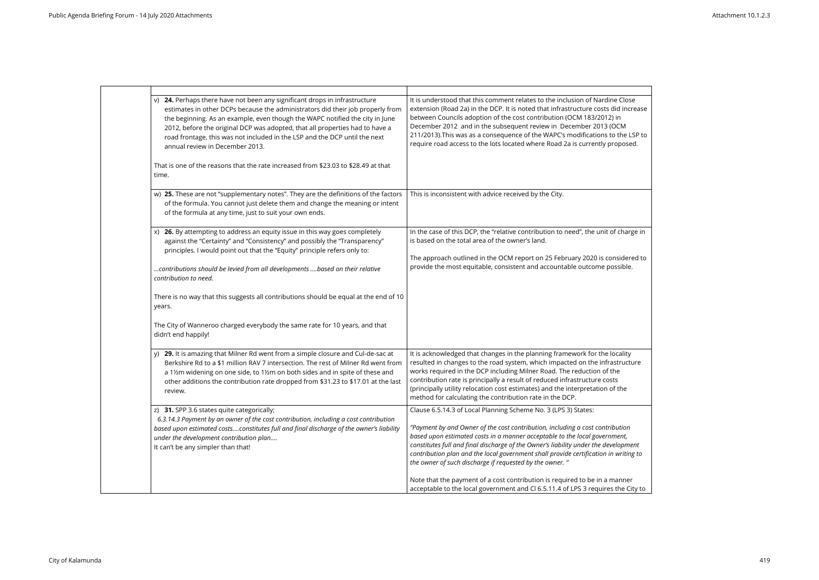| v) 24. Perhaps there have not been any significant drops in infrastructure<br>estimates in other DCPs because the administrators did their job properly from<br>the beginning. As an example, even though the WAPC notified the city in June<br>2012, before the original DCP was adopted, that all properties had to have a<br>road frontage, this was not included in the LSP and the DCP until the next<br>annual review in December 2013.<br>That is one of the reasons that the rate increased from \$23.03 to \$28.49 at that | It is understood that this comment relates to the inclusion of Nardine Close<br>extension (Road 2a) in the DCP. It is noted that infrastructure costs did increase<br>between Councils adoption of the cost contribution (OCM 183/2012) in<br>December 2012 and in the subsequent review in December 2013 (OCM<br>211/2013). This was as a consequence of the WAPC's modifications to the LSP to<br>require road access to the lots located where Road 2a is currently proposed. |
|-------------------------------------------------------------------------------------------------------------------------------------------------------------------------------------------------------------------------------------------------------------------------------------------------------------------------------------------------------------------------------------------------------------------------------------------------------------------------------------------------------------------------------------|----------------------------------------------------------------------------------------------------------------------------------------------------------------------------------------------------------------------------------------------------------------------------------------------------------------------------------------------------------------------------------------------------------------------------------------------------------------------------------|
| time.                                                                                                                                                                                                                                                                                                                                                                                                                                                                                                                               |                                                                                                                                                                                                                                                                                                                                                                                                                                                                                  |
| w) 25. These are not "supplementary notes". They are the definitions of the factors<br>of the formula. You cannot just delete them and change the meaning or intent<br>of the formula at any time, just to suit your own ends.                                                                                                                                                                                                                                                                                                      | This is inconsistent with advice received by the City.                                                                                                                                                                                                                                                                                                                                                                                                                           |
| 26. By attempting to address an equity issue in this way goes completely<br>X)<br>against the "Certainty" and "Consistency" and possibly the "Transparency"<br>principles. I would point out that the "Equity" principle refers only to:                                                                                                                                                                                                                                                                                            | In the case of this DCP, the "relative contribution to need", the unit of charge in<br>is based on the total area of the owner's land.<br>The approach outlined in the OCM report on 25 February 2020 is considered to                                                                                                                                                                                                                                                           |
| contributions should be levied from all developments  based on their relative<br>contribution to need.                                                                                                                                                                                                                                                                                                                                                                                                                              | provide the most equitable, consistent and accountable outcome possible.                                                                                                                                                                                                                                                                                                                                                                                                         |
| There is no way that this suggests all contributions should be equal at the end of 10<br>years.                                                                                                                                                                                                                                                                                                                                                                                                                                     |                                                                                                                                                                                                                                                                                                                                                                                                                                                                                  |
| The City of Wanneroo charged everybody the same rate for 10 years, and that<br>didn't end happily!                                                                                                                                                                                                                                                                                                                                                                                                                                  |                                                                                                                                                                                                                                                                                                                                                                                                                                                                                  |
| 29. It is amazing that Milner Rd went from a simple closure and Cul-de-sac at<br>Berkshire Rd to a \$1 million RAV 7 intersection. The rest of Milner Rd went from<br>a 1½m widening on one side, to 1½m on both sides and in spite of these and<br>other additions the contribution rate dropped from \$31.23 to \$17.01 at the last<br>review.                                                                                                                                                                                    | It is acknowledged that changes in the planning framework for the locality<br>resulted in changes to the road system, which impacted on the infrastructure<br>works required in the DCP including Milner Road. The reduction of the<br>contribution rate is principally a result of reduced infrastructure costs<br>(principally utility relocation cost estimates) and the interpretation of the<br>method for calculating the contribution rate in the DCP.                    |
| z) 31. SPP 3.6 states quite categorically;<br>6.3.14.3 Payment by an owner of the cost contribution, including a cost contribution<br>based upon estimated costsconstitutes full and final discharge of the owner's liability<br>under the development contribution plan<br>It can't be any simpler than that!                                                                                                                                                                                                                      | Clause 6.5.14.3 of Local Planning Scheme No. 3 (LPS 3) States:<br>"Payment by and Owner of the cost contribution, including a cost contribution<br>based upon estimated costs in a manner acceptable to the local government,<br>constitutes full and final discharge of the Owner's liability under the development<br>contribution plan and the local government shall provide certification in writing to<br>the owner of such discharge if requested by the owner. "         |
|                                                                                                                                                                                                                                                                                                                                                                                                                                                                                                                                     | Note that the payment of a cost contribution is required to be in a manner<br>acceptable to the local government and Cl 6.5.11.4 of LPS 3 requires the City to                                                                                                                                                                                                                                                                                                                   |

| Close<br>l increase<br>Ì<br>M:<br>he LSP to<br>oosed. |  |
|-------------------------------------------------------|--|
|                                                       |  |
| harge in:                                             |  |
| idered to<br>ible.                                    |  |
|                                                       |  |
|                                                       |  |
|                                                       |  |
| ality<br>ructure<br>ļ                                 |  |
| he                                                    |  |
|                                                       |  |
| tion<br>:nt,                                          |  |
| pment                                                 |  |
| riting to                                             |  |
| nner                                                  |  |

the City to  $\|$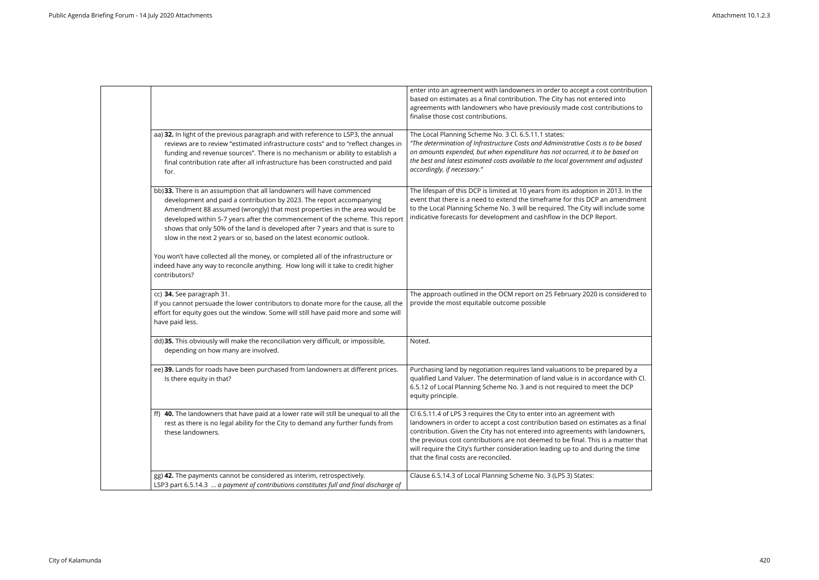|                                                                                                                                                                                                                                                                                                                                                                                                                                                                       | enter into an agreement with landowners in order to accept a cost contribution<br>based on estimates as a final contribution. The City has not entered into<br>agreements with landowners who have previously made cost contributions to<br>finalise those cost contributions.                                                                                                                                                                             |
|-----------------------------------------------------------------------------------------------------------------------------------------------------------------------------------------------------------------------------------------------------------------------------------------------------------------------------------------------------------------------------------------------------------------------------------------------------------------------|------------------------------------------------------------------------------------------------------------------------------------------------------------------------------------------------------------------------------------------------------------------------------------------------------------------------------------------------------------------------------------------------------------------------------------------------------------|
| aa) 32. In light of the previous paragraph and with reference to LSP3, the annual<br>reviews are to review "estimated infrastructure costs" and to "reflect changes in<br>funding and revenue sources". There is no mechanism or ability to establish a<br>final contribution rate after all infrastructure has been constructed and paid<br>for.                                                                                                                     | The Local Planning Scheme No. 3 Cl. 6.5.11.1 states:<br>"The determination of Infrastructure Costs and Administrative Costs is to be based<br>on amounts expended, but when expenditure has not occurred, it to be based on<br>the best and latest estimated costs available to the local government and adjusted<br>accordingly, if necessary."                                                                                                           |
| bb) 33. There is an assumption that all landowners will have commenced<br>development and paid a contribution by 2023. The report accompanying<br>Amendment 88 assumed (wrongly) that most properties in the area would be<br>developed within 5-7 years after the commencement of the scheme. This report<br>shows that only 50% of the land is developed after 7 years and that is sure to<br>slow in the next 2 years or so, based on the latest economic outlook. | The lifespan of this DCP is limited at 10 years from its adoption in 2013. In the<br>event that there is a need to extend the timeframe for this DCP an amendment<br>to the Local Planning Scheme No. 3 will be required. The City will include some<br>indicative forecasts for development and cashflow in the DCP Report.                                                                                                                               |
| You won't have collected all the money, or completed all of the infrastructure or<br>indeed have any way to reconcile anything. How long will it take to credit higher<br>contributors?                                                                                                                                                                                                                                                                               |                                                                                                                                                                                                                                                                                                                                                                                                                                                            |
| cc) 34. See paragraph 31.<br>If you cannot persuade the lower contributors to donate more for the cause, all the<br>effort for equity goes out the window. Some will still have paid more and some will<br>have paid less.                                                                                                                                                                                                                                            | The approach outlined in the OCM report on 25 February 2020 is considered to<br>provide the most equitable outcome possible                                                                                                                                                                                                                                                                                                                                |
| dd) 35. This obviously will make the reconciliation very difficult, or impossible,<br>depending on how many are involved.                                                                                                                                                                                                                                                                                                                                             | Noted.                                                                                                                                                                                                                                                                                                                                                                                                                                                     |
| ee) 39. Lands for roads have been purchased from landowners at different prices.<br>Is there equity in that?                                                                                                                                                                                                                                                                                                                                                          | Purchasing land by negotiation requires land valuations to be prepared by a<br>qualified Land Valuer. The determination of land value is in accordance with Cl.<br>6.5.12 of Local Planning Scheme No. 3 and is not required to meet the DCP<br>equity principle.                                                                                                                                                                                          |
| ff) 40. The landowners that have paid at a lower rate will still be unequal to all the<br>rest as there is no legal ability for the City to demand any further funds from<br>these landowners.                                                                                                                                                                                                                                                                        | Cl 6.5.11.4 of LPS 3 requires the City to enter into an agreement with<br>landowners in order to accept a cost contribution based on estimates as a final<br>contribution. Given the City has not entered into agreements with landowners,<br>the previous cost contributions are not deemed to be final. This is a matter that<br>will require the City's further consideration leading up to and during the time<br>that the final costs are reconciled. |
| gg) 42. The payments cannot be considered as interim, retrospectively.<br>LSP3 part 6.5.14.3  a payment of contributions constitutes full and final discharge of                                                                                                                                                                                                                                                                                                      | Clause 6.5.14.3 of Local Planning Scheme No. 3 (LPS 3) States:                                                                                                                                                                                                                                                                                                                                                                                             |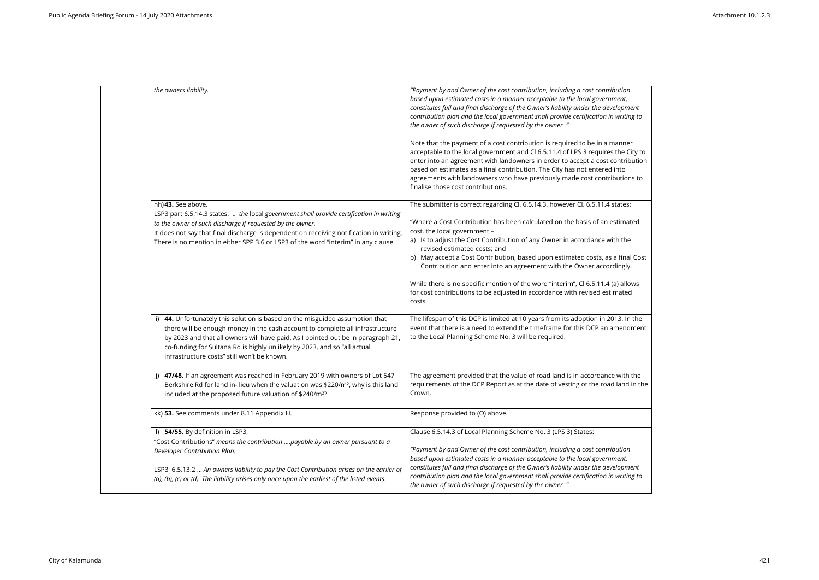| the owners liability.                                                                                                                                                                                                                                                                                                                                                            | "Payment by and Owner of the cost contribution, including a cost contribution<br>based upon estimated costs in a manner acceptable to the local government,<br>constitutes full and final discharge of the Owner's liability under the development<br>contribution plan and the local government shall provide certification in writing to<br>the owner of such discharge if requested by the owner. "                                                                                                                                                                                                                                          |
|----------------------------------------------------------------------------------------------------------------------------------------------------------------------------------------------------------------------------------------------------------------------------------------------------------------------------------------------------------------------------------|-------------------------------------------------------------------------------------------------------------------------------------------------------------------------------------------------------------------------------------------------------------------------------------------------------------------------------------------------------------------------------------------------------------------------------------------------------------------------------------------------------------------------------------------------------------------------------------------------------------------------------------------------|
|                                                                                                                                                                                                                                                                                                                                                                                  | Note that the payment of a cost contribution is required to be in a manner<br>acceptable to the local government and Cl 6.5.11.4 of LPS 3 requires the City to<br>enter into an agreement with landowners in order to accept a cost contribution<br>based on estimates as a final contribution. The City has not entered into<br>agreements with landowners who have previously made cost contributions to<br>finalise those cost contributions.                                                                                                                                                                                                |
| hh) 43. See above.<br>LSP3 part 6.5.14.3 states:  the local government shall provide certification in writing<br>to the owner of such discharge if requested by the owner.<br>It does not say that final discharge is dependent on receiving notification in writing.<br>There is no mention in either SPP 3.6 or LSP3 of the word "interim" in any clause.                      | The submitter is correct regarding Cl. 6.5.14.3, however Cl. 6.5.11.4 states:<br>"Where a Cost Contribution has been calculated on the basis of an estimated<br>cost, the local government -<br>a) Is to adjust the Cost Contribution of any Owner in accordance with the<br>revised estimated costs; and<br>b) May accept a Cost Contribution, based upon estimated costs, as a final Cost<br>Contribution and enter into an agreement with the Owner accordingly.<br>While there is no specific mention of the word "interim", Cl 6.5.11.4 (a) allows<br>for cost contributions to be adjusted in accordance with revised estimated<br>costs. |
| 44. Unfortunately this solution is based on the misguided assumption that<br>ii)<br>there will be enough money in the cash account to complete all infrastructure<br>by 2023 and that all owners will have paid. As I pointed out be in paragraph 21,<br>co-funding for Sultana Rd is highly unlikely by 2023, and so "all actual<br>infrastructure costs" still won't be known. | The lifespan of this DCP is limited at 10 years from its adoption in 2013. In the<br>event that there is a need to extend the timeframe for this DCP an amendment<br>to the Local Planning Scheme No. 3 will be required.                                                                                                                                                                                                                                                                                                                                                                                                                       |
| 47/48. If an agreement was reached in February 2019 with owners of Lot 547<br>Berkshire Rd for land in- lieu when the valuation was \$220/m <sup>2</sup> , why is this land<br>included at the proposed future valuation of \$240/m <sup>2</sup> ?                                                                                                                               | The agreement provided that the value of road land is in accordance with the<br>requirements of the DCP Report as at the date of vesting of the road land in the<br>Crown.                                                                                                                                                                                                                                                                                                                                                                                                                                                                      |
| kk) 53. See comments under 8.11 Appendix H.                                                                                                                                                                                                                                                                                                                                      | Response provided to (O) above.                                                                                                                                                                                                                                                                                                                                                                                                                                                                                                                                                                                                                 |
| II) 54/55. By definition in LSP3,<br>"Cost Contributions" means the contribution payable by an owner pursuant to a<br>Developer Contribution Plan.<br>LSP3 6.5.13.2  An owners liability to pay the Cost Contribution arises on the earlier of<br>(a), (b), (c) or (d). The liability arises only once upon the earliest of the listed events.                                   | Clause 6.5.14.3 of Local Planning Scheme No. 3 (LPS 3) States:<br>"Payment by and Owner of the cost contribution, including a cost contribution<br>based upon estimated costs in a manner acceptable to the local government,<br>constitutes full and final discharge of the Owner's liability under the development<br>contribution plan and the local government shall provide certification in writing to<br>the owner of such discharge if requested by the owner. "                                                                                                                                                                        |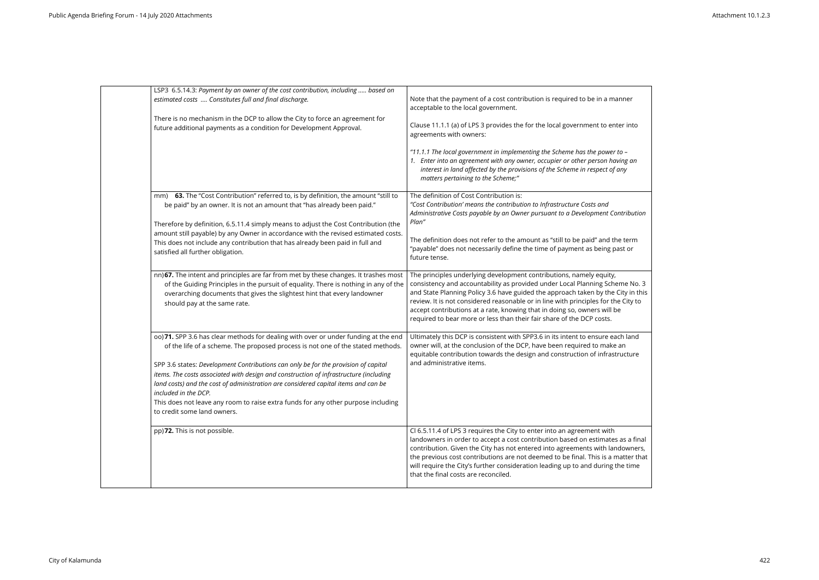| LSP3 6.5.14.3: Payment by an owner of the cost contribution, including  based on<br>Note that the payment of a cost contribution is required to be in a manner<br>estimated costs  Constitutes full and final discharge.<br>acceptable to the local government.<br>There is no mechanism in the DCP to allow the City to force an agreement for<br>Clause 11.1.1 (a) of LPS 3 provides the for the local government to enter into<br>future additional payments as a condition for Development Approval.<br>agreements with owners:<br>"11.1.1 The local government in implementing the Scheme has the power to -<br>1. Enter into an agreement with any owner, occupier or other person having an<br>interest in land affected by the provisions of the Scheme in respect of any<br>matters pertaining to the Scheme;"<br>63. The "Cost Contribution" referred to, is by definition, the amount "still to<br>The definition of Cost Contribution is:<br>mm)<br>"Cost Contribution' means the contribution to Infrastructure Costs and<br>be paid" by an owner. It is not an amount that "has already been paid."<br>Administrative Costs payable by an Owner pursuant to a Development Contribution<br>Plan"<br>Therefore by definition, 6.5.11.4 simply means to adjust the Cost Contribution (the<br>amount still payable) by any Owner in accordance with the revised estimated costs.<br>The definition does not refer to the amount as "still to be paid" and the term<br>This does not include any contribution that has already been paid in full and<br>"payable" does not necessarily define the time of payment as being past or<br>satisfied all further obligation.<br>future tense.<br>nn) 67. The intent and principles are far from met by these changes. It trashes most<br>The principles underlying development contributions, namely equity,<br>consistency and accountability as provided under Local Planning Scheme No. 3<br>of the Guiding Principles in the pursuit of equality. There is nothing in any of the<br>and State Planning Policy 3.6 have guided the approach taken by the City in this<br>overarching documents that gives the slightest hint that every landowner<br>review. It is not considered reasonable or in line with principles for the City to<br>should pay at the same rate.<br>accept contributions at a rate, knowing that in doing so, owners will be<br>required to bear more or less than their fair share of the DCP costs.<br>00) 71. SPP 3.6 has clear methods for dealing with over or under funding at the end<br>Ultimately this DCP is consistent with SPP3.6 in its intent to ensure each land<br>owner will, at the conclusion of the DCP, have been required to make an<br>of the life of a scheme. The proposed process is not one of the stated methods.<br>equitable contribution towards the design and construction of infrastructure<br>and administrative items.<br>SPP 3.6 states: Development Contributions can only be for the provision of capital<br>items. The costs associated with design and construction of infrastructure (including<br>land costs) and the cost of administration are considered capital items and can be<br>included in the DCP.<br>This does not leave any room to raise extra funds for any other purpose including<br>to credit some land owners.<br>pp)72. This is not possible.<br>Cl 6.5.11.4 of LPS 3 requires the City to enter into an agreement with<br>landowners in order to accept a cost contribution based on estimates as a final<br>contribution. Given the City has not entered into agreements with landowners,<br>the previous cost contributions are not deemed to be final. This is a matter that<br>will require the City's further consideration leading up to and during the time<br>that the final costs are reconciled. |  |  |
|---------------------------------------------------------------------------------------------------------------------------------------------------------------------------------------------------------------------------------------------------------------------------------------------------------------------------------------------------------------------------------------------------------------------------------------------------------------------------------------------------------------------------------------------------------------------------------------------------------------------------------------------------------------------------------------------------------------------------------------------------------------------------------------------------------------------------------------------------------------------------------------------------------------------------------------------------------------------------------------------------------------------------------------------------------------------------------------------------------------------------------------------------------------------------------------------------------------------------------------------------------------------------------------------------------------------------------------------------------------------------------------------------------------------------------------------------------------------------------------------------------------------------------------------------------------------------------------------------------------------------------------------------------------------------------------------------------------------------------------------------------------------------------------------------------------------------------------------------------------------------------------------------------------------------------------------------------------------------------------------------------------------------------------------------------------------------------------------------------------------------------------------------------------------------------------------------------------------------------------------------------------------------------------------------------------------------------------------------------------------------------------------------------------------------------------------------------------------------------------------------------------------------------------------------------------------------------------------------------------------------------------------------------------------------------------------------------------------------------------------------------------------------------------------------------------------------------------------------------------------------------------------------------------------------------------------------------------------------------------------------------------------------------------------------------------------------------------------------------------------------------------------------------------------------------------------------------------------------------------------------------------------------------------------------------------------------------------------------------------------------------------------------------------------------------------------------------------------------------------------------------------------------------------------------------------------------------------------------------------------------------------------------------------------------------------------------------------------------------------------------------------------------------------------------------------------------------------------------------|--|--|
|                                                                                                                                                                                                                                                                                                                                                                                                                                                                                                                                                                                                                                                                                                                                                                                                                                                                                                                                                                                                                                                                                                                                                                                                                                                                                                                                                                                                                                                                                                                                                                                                                                                                                                                                                                                                                                                                                                                                                                                                                                                                                                                                                                                                                                                                                                                                                                                                                                                                                                                                                                                                                                                                                                                                                                                                                                                                                                                                                                                                                                                                                                                                                                                                                                                                                                                                                                                                                                                                                                                                                                                                                                                                                                                                                                                                                                                         |  |  |
|                                                                                                                                                                                                                                                                                                                                                                                                                                                                                                                                                                                                                                                                                                                                                                                                                                                                                                                                                                                                                                                                                                                                                                                                                                                                                                                                                                                                                                                                                                                                                                                                                                                                                                                                                                                                                                                                                                                                                                                                                                                                                                                                                                                                                                                                                                                                                                                                                                                                                                                                                                                                                                                                                                                                                                                                                                                                                                                                                                                                                                                                                                                                                                                                                                                                                                                                                                                                                                                                                                                                                                                                                                                                                                                                                                                                                                                         |  |  |
|                                                                                                                                                                                                                                                                                                                                                                                                                                                                                                                                                                                                                                                                                                                                                                                                                                                                                                                                                                                                                                                                                                                                                                                                                                                                                                                                                                                                                                                                                                                                                                                                                                                                                                                                                                                                                                                                                                                                                                                                                                                                                                                                                                                                                                                                                                                                                                                                                                                                                                                                                                                                                                                                                                                                                                                                                                                                                                                                                                                                                                                                                                                                                                                                                                                                                                                                                                                                                                                                                                                                                                                                                                                                                                                                                                                                                                                         |  |  |
|                                                                                                                                                                                                                                                                                                                                                                                                                                                                                                                                                                                                                                                                                                                                                                                                                                                                                                                                                                                                                                                                                                                                                                                                                                                                                                                                                                                                                                                                                                                                                                                                                                                                                                                                                                                                                                                                                                                                                                                                                                                                                                                                                                                                                                                                                                                                                                                                                                                                                                                                                                                                                                                                                                                                                                                                                                                                                                                                                                                                                                                                                                                                                                                                                                                                                                                                                                                                                                                                                                                                                                                                                                                                                                                                                                                                                                                         |  |  |
|                                                                                                                                                                                                                                                                                                                                                                                                                                                                                                                                                                                                                                                                                                                                                                                                                                                                                                                                                                                                                                                                                                                                                                                                                                                                                                                                                                                                                                                                                                                                                                                                                                                                                                                                                                                                                                                                                                                                                                                                                                                                                                                                                                                                                                                                                                                                                                                                                                                                                                                                                                                                                                                                                                                                                                                                                                                                                                                                                                                                                                                                                                                                                                                                                                                                                                                                                                                                                                                                                                                                                                                                                                                                                                                                                                                                                                                         |  |  |
|                                                                                                                                                                                                                                                                                                                                                                                                                                                                                                                                                                                                                                                                                                                                                                                                                                                                                                                                                                                                                                                                                                                                                                                                                                                                                                                                                                                                                                                                                                                                                                                                                                                                                                                                                                                                                                                                                                                                                                                                                                                                                                                                                                                                                                                                                                                                                                                                                                                                                                                                                                                                                                                                                                                                                                                                                                                                                                                                                                                                                                                                                                                                                                                                                                                                                                                                                                                                                                                                                                                                                                                                                                                                                                                                                                                                                                                         |  |  |

| anner                                                   |  |
|---------------------------------------------------------|--|
| ter into                                                |  |
| to -<br>ving an<br>any                                  |  |
| ntribution                                              |  |
| ie term<br>ast or                                       |  |
| eme No. 3<br>City in this<br>e City to<br>e             |  |
| $\overline{\overline{\text{ch}}}$ land<br>an<br>ructure |  |
| as a final<br>downers,<br>าatter that<br>he time        |  |

┑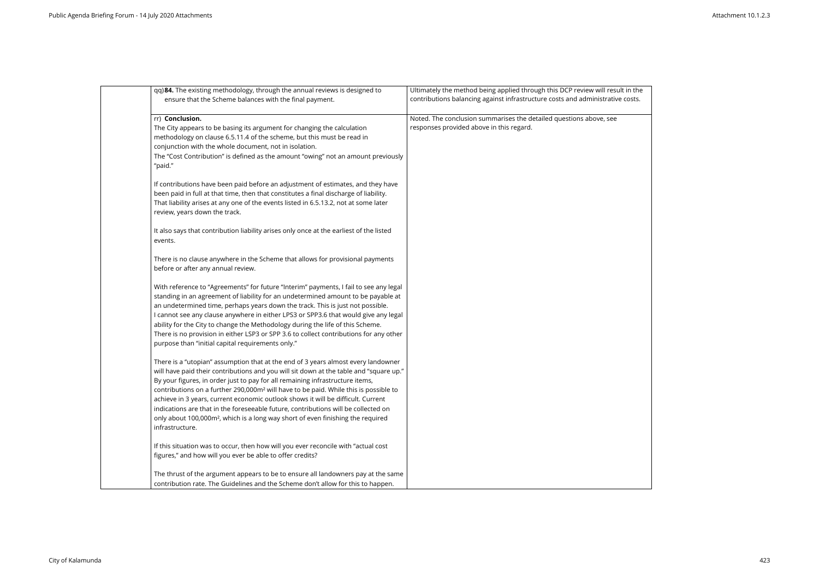| qq) 84. The existing methodology, through the annual reviews is designed to<br>ensure that the Scheme balances with the final payment.                                                                                                                                                                                                                                                                                                                                                                                                                                                                                                                       | Ultimately the method being applied through this DCP review will result in the<br>contributions balancing against infrastructure costs and administrative costs. |
|--------------------------------------------------------------------------------------------------------------------------------------------------------------------------------------------------------------------------------------------------------------------------------------------------------------------------------------------------------------------------------------------------------------------------------------------------------------------------------------------------------------------------------------------------------------------------------------------------------------------------------------------------------------|------------------------------------------------------------------------------------------------------------------------------------------------------------------|
| rr) Conclusion.<br>The City appears to be basing its argument for changing the calculation<br>methodology on clause 6.5.11.4 of the scheme, but this must be read in<br>conjunction with the whole document, not in isolation.<br>The "Cost Contribution" is defined as the amount "owing" not an amount previously<br>"paid."                                                                                                                                                                                                                                                                                                                               | Noted. The conclusion summarises the detailed questions above, see<br>responses provided above in this regard.                                                   |
| If contributions have been paid before an adjustment of estimates, and they have<br>been paid in full at that time, then that constitutes a final discharge of liability.<br>That liability arises at any one of the events listed in 6.5.13.2, not at some later<br>review, years down the track.                                                                                                                                                                                                                                                                                                                                                           |                                                                                                                                                                  |
| It also says that contribution liability arises only once at the earliest of the listed<br>events.                                                                                                                                                                                                                                                                                                                                                                                                                                                                                                                                                           |                                                                                                                                                                  |
| There is no clause anywhere in the Scheme that allows for provisional payments<br>before or after any annual review.                                                                                                                                                                                                                                                                                                                                                                                                                                                                                                                                         |                                                                                                                                                                  |
| With reference to "Agreements" for future "Interim" payments, I fail to see any legal<br>standing in an agreement of liability for an undetermined amount to be payable at<br>an undetermined time, perhaps years down the track. This is just not possible.<br>I cannot see any clause anywhere in either LPS3 or SPP3.6 that would give any legal<br>ability for the City to change the Methodology during the life of this Scheme.<br>There is no provision in either LSP3 or SPP 3.6 to collect contributions for any other<br>purpose than "initial capital requirements only."                                                                         |                                                                                                                                                                  |
| There is a "utopian" assumption that at the end of 3 years almost every landowner<br>will have paid their contributions and you will sit down at the table and "square up."<br>By your figures, in order just to pay for all remaining infrastructure items,<br>contributions on a further 290,000m <sup>2</sup> will have to be paid. While this is possible to<br>achieve in 3 years, current economic outlook shows it will be difficult. Current<br>indications are that in the foreseeable future, contributions will be collected on<br>only about 100,000m <sup>2</sup> , which is a long way short of even finishing the required<br>infrastructure. |                                                                                                                                                                  |
| If this situation was to occur, then how will you ever reconcile with "actual cost<br>figures," and how will you ever be able to offer credits?                                                                                                                                                                                                                                                                                                                                                                                                                                                                                                              |                                                                                                                                                                  |
| The thrust of the argument appears to be to ensure all landowners pay at the same<br>contribution rate. The Guidelines and the Scheme don't allow for this to happen.                                                                                                                                                                                                                                                                                                                                                                                                                                                                                        |                                                                                                                                                                  |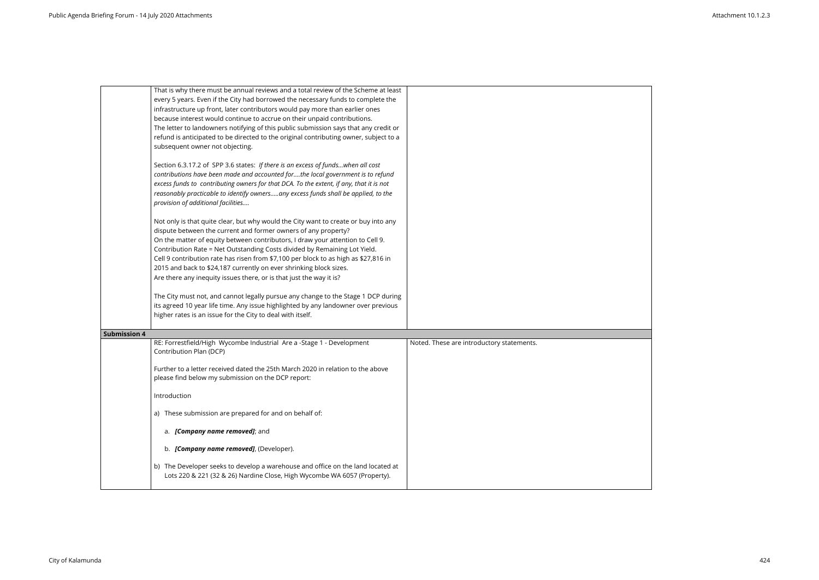| That is why there must be annual reviews and a total review of the Scheme at least<br>every 5 years. Even if the City had borrowed the necessary funds to complete the<br>infrastructure up front, later contributors would pay more than earlier ones<br>because interest would continue to accrue on their unpaid contributions.<br>The letter to landowners notifying of this public submission says that any credit or<br>refund is anticipated to be directed to the original contributing owner, subject to a<br>subsequent owner not objecting.<br>Section 6.3.17.2 of SPP 3.6 states: If there is an excess of fundswhen all cost<br>contributions have been made and accounted forthe local government is to refund<br>excess funds to contributing owners for that DCA. To the extent, if any, that it is not<br>reasonably practicable to identify ownersany excess funds shall be applied, to the<br>provision of additional facilities<br>Not only is that quite clear, but why would the City want to create or buy into any<br>dispute between the current and former owners of any property?<br>On the matter of equity between contributors, I draw your attention to Cell 9.<br>Contribution Rate = Net Outstanding Costs divided by Remaining Lot Yield. |                                           |
|-----------------------------------------------------------------------------------------------------------------------------------------------------------------------------------------------------------------------------------------------------------------------------------------------------------------------------------------------------------------------------------------------------------------------------------------------------------------------------------------------------------------------------------------------------------------------------------------------------------------------------------------------------------------------------------------------------------------------------------------------------------------------------------------------------------------------------------------------------------------------------------------------------------------------------------------------------------------------------------------------------------------------------------------------------------------------------------------------------------------------------------------------------------------------------------------------------------------------------------------------------------------------------|-------------------------------------------|
| Cell 9 contribution rate has risen from \$7,100 per block to as high as \$27,816 in                                                                                                                                                                                                                                                                                                                                                                                                                                                                                                                                                                                                                                                                                                                                                                                                                                                                                                                                                                                                                                                                                                                                                                                         |                                           |
| 2015 and back to \$24,187 currently on ever shrinking block sizes.<br>Are there any inequity issues there, or is that just the way it is?                                                                                                                                                                                                                                                                                                                                                                                                                                                                                                                                                                                                                                                                                                                                                                                                                                                                                                                                                                                                                                                                                                                                   |                                           |
|                                                                                                                                                                                                                                                                                                                                                                                                                                                                                                                                                                                                                                                                                                                                                                                                                                                                                                                                                                                                                                                                                                                                                                                                                                                                             |                                           |
| The City must not, and cannot legally pursue any change to the Stage 1 DCP during<br>its agreed 10 year life time. Any issue highlighted by any landowner over previous<br>higher rates is an issue for the City to deal with itself.                                                                                                                                                                                                                                                                                                                                                                                                                                                                                                                                                                                                                                                                                                                                                                                                                                                                                                                                                                                                                                       |                                           |
| <b>Submission 4</b>                                                                                                                                                                                                                                                                                                                                                                                                                                                                                                                                                                                                                                                                                                                                                                                                                                                                                                                                                                                                                                                                                                                                                                                                                                                         |                                           |
| RE: Forrestfield/High Wycombe Industrial Are a -Stage 1 - Development<br>Contribution Plan (DCP)                                                                                                                                                                                                                                                                                                                                                                                                                                                                                                                                                                                                                                                                                                                                                                                                                                                                                                                                                                                                                                                                                                                                                                            | Noted. These are introductory statements. |
| Further to a letter received dated the 25th March 2020 in relation to the above<br>please find below my submission on the DCP report:                                                                                                                                                                                                                                                                                                                                                                                                                                                                                                                                                                                                                                                                                                                                                                                                                                                                                                                                                                                                                                                                                                                                       |                                           |
| Introduction                                                                                                                                                                                                                                                                                                                                                                                                                                                                                                                                                                                                                                                                                                                                                                                                                                                                                                                                                                                                                                                                                                                                                                                                                                                                |                                           |
| a) These submission are prepared for and on behalf of:                                                                                                                                                                                                                                                                                                                                                                                                                                                                                                                                                                                                                                                                                                                                                                                                                                                                                                                                                                                                                                                                                                                                                                                                                      |                                           |
| a. [Company name removed]; and                                                                                                                                                                                                                                                                                                                                                                                                                                                                                                                                                                                                                                                                                                                                                                                                                                                                                                                                                                                                                                                                                                                                                                                                                                              |                                           |
| b. [Company name removed], (Developer).                                                                                                                                                                                                                                                                                                                                                                                                                                                                                                                                                                                                                                                                                                                                                                                                                                                                                                                                                                                                                                                                                                                                                                                                                                     |                                           |
| b) The Developer seeks to develop a warehouse and office on the land located at<br>Lots 220 & 221 (32 & 26) Nardine Close, High Wycombe WA 6057 (Property).                                                                                                                                                                                                                                                                                                                                                                                                                                                                                                                                                                                                                                                                                                                                                                                                                                                                                                                                                                                                                                                                                                                 |                                           |

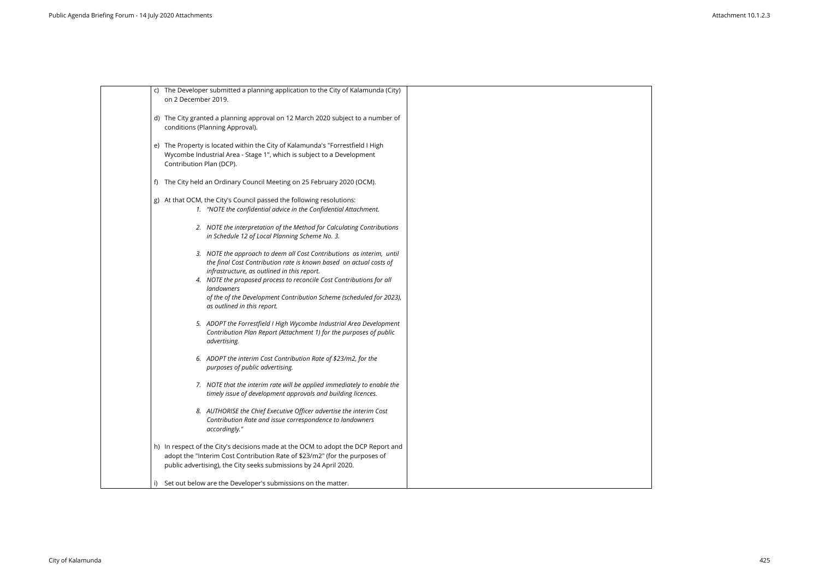| c) The Developer submitted a planning application to the City of Kalamunda (City)<br>on 2 December 2019.                                                                                                                                                                                                                                                                               |  |
|----------------------------------------------------------------------------------------------------------------------------------------------------------------------------------------------------------------------------------------------------------------------------------------------------------------------------------------------------------------------------------------|--|
| d) The City granted a planning approval on 12 March 2020 subject to a number of<br>conditions (Planning Approval).                                                                                                                                                                                                                                                                     |  |
| e) The Property is located within the City of Kalamunda's "Forrestfield I High<br>Wycombe Industrial Area - Stage 1", which is subject to a Development<br>Contribution Plan (DCP).                                                                                                                                                                                                    |  |
| f) The City held an Ordinary Council Meeting on 25 February 2020 (OCM).                                                                                                                                                                                                                                                                                                                |  |
| g) At that OCM, the City's Council passed the following resolutions:<br>1. "NOTE the confidential advice in the Confidential Attachment.                                                                                                                                                                                                                                               |  |
| 2. NOTE the interpretation of the Method for Calculating Contributions<br>in Schedule 12 of Local Planning Scheme No. 3.                                                                                                                                                                                                                                                               |  |
| 3. NOTE the approach to deem all Cost Contributions as interim, until<br>the final Cost Contribution rate is known based on actual costs of<br>infrastructure, as outlined in this report.<br>4. NOTE the proposed process to reconcile Cost Contributions for all<br>landowners<br>of the of the Development Contribution Scheme (scheduled for 2023),<br>as outlined in this report. |  |
| 5. ADOPT the Forrestfield I High Wycombe Industrial Area Development<br>Contribution Plan Report (Attachment 1) for the purposes of public<br>advertising.                                                                                                                                                                                                                             |  |
| 6. ADOPT the interim Cost Contribution Rate of \$23/m2, for the<br>purposes of public advertising.                                                                                                                                                                                                                                                                                     |  |
| 7. NOTE that the interim rate will be applied immediately to enable the<br>timely issue of development approvals and building licences.                                                                                                                                                                                                                                                |  |
| 8. AUTHORISE the Chief Executive Officer advertise the interim Cost<br>Contribution Rate and issue correspondence to landowners<br>accordingly."                                                                                                                                                                                                                                       |  |
| h) In respect of the City's decisions made at the OCM to adopt the DCP Report and<br>adopt the "Interim Cost Contribution Rate of \$23/m2" (for the purposes of<br>public advertising), the City seeks submissions by 24 April 2020.                                                                                                                                                   |  |
| Set out below are the Developer's submissions on the matter.                                                                                                                                                                                                                                                                                                                           |  |
|                                                                                                                                                                                                                                                                                                                                                                                        |  |

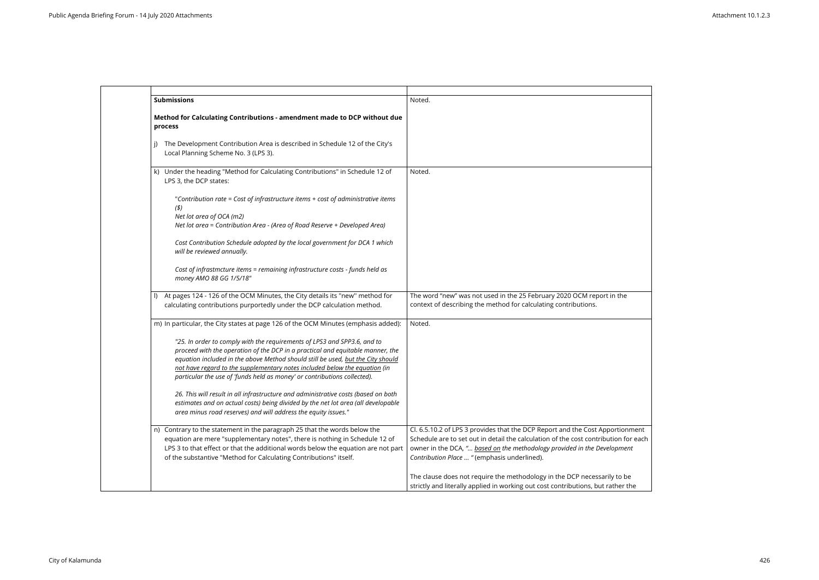| <b>Submissions</b>                                                                                                                                                                                                                                                                                                                                                                                      | Noted.                                                                                                                                                                                                                                                                                  |
|---------------------------------------------------------------------------------------------------------------------------------------------------------------------------------------------------------------------------------------------------------------------------------------------------------------------------------------------------------------------------------------------------------|-----------------------------------------------------------------------------------------------------------------------------------------------------------------------------------------------------------------------------------------------------------------------------------------|
| Method for Calculating Contributions - amendment made to DCP without due<br>process                                                                                                                                                                                                                                                                                                                     |                                                                                                                                                                                                                                                                                         |
| The Development Contribution Area is described in Schedule 12 of the City's<br>Local Planning Scheme No. 3 (LPS 3).                                                                                                                                                                                                                                                                                     |                                                                                                                                                                                                                                                                                         |
| Under the heading "Method for Calculating Contributions" in Schedule 12 of<br>k)<br>LPS 3, the DCP states:                                                                                                                                                                                                                                                                                              | Noted.                                                                                                                                                                                                                                                                                  |
| "Contribution rate = Cost of infrastructure items + cost of administrative items<br>(3)<br>Net lot area of OCA (m2)<br>Net lot area = Contribution Area - (Area of Road Reserve + Developed Area)                                                                                                                                                                                                       |                                                                                                                                                                                                                                                                                         |
| Cost Contribution Schedule adopted by the local government for DCA 1 which<br>will be reviewed annually.                                                                                                                                                                                                                                                                                                |                                                                                                                                                                                                                                                                                         |
| Cost of infrastmcture items = remaining infrastructure costs - funds held as<br>money AMO 88 GG 1/5/18"                                                                                                                                                                                                                                                                                                 |                                                                                                                                                                                                                                                                                         |
| At pages 124 - 126 of the OCM Minutes, the City details its "new" method for<br>$\mathsf{I}$<br>calculating contributions purportedly under the DCP calculation method.                                                                                                                                                                                                                                 | The word "new" was not used in the 25 February 2020 OCM report in the<br>context of describing the method for calculating contributions.                                                                                                                                                |
| m) In particular, the City states at page 126 of the OCM Minutes (emphasis added):                                                                                                                                                                                                                                                                                                                      | Noted.                                                                                                                                                                                                                                                                                  |
| "25. In order to comply with the requirements of LPS3 and SPP3.6, and to<br>proceed with the operation of the DCP in a practical and equitable manner, the<br>equation included in the above Method should still be used, but the City should<br>not have regard to the supplementary notes included below the equation (in<br>particular the use of 'funds held as money' or contributions collected). |                                                                                                                                                                                                                                                                                         |
| 26. This will result in all infrastructure and administrative costs (based on both<br>estimates and on actual costs) being divided by the net lot area (all developable<br>area minus road reserves) and will address the equity issues."                                                                                                                                                               |                                                                                                                                                                                                                                                                                         |
| n) Contrary to the statement in the paragraph 25 that the words below the<br>equation are mere "supplementary notes", there is nothing in Schedule 12 of<br>LPS 3 to that effect or that the additional words below the equation are not part<br>of the substantive "Method for Calculating Contributions" itself.                                                                                      | Cl. 6.5.10.2 of LPS 3 provides that the DCP Report and the Cost Apportionm<br>Schedule are to set out in detail the calculation of the cost contribution for<br>owner in the DCA, " based on the methodology provided in the Development<br>Contribution Place  "(emphasis underlined). |
|                                                                                                                                                                                                                                                                                                                                                                                                         | The clause does not require the methodology in the DCP necessarily to be<br>strictly and literally applied in working out cost contributions, but rather the                                                                                                                            |

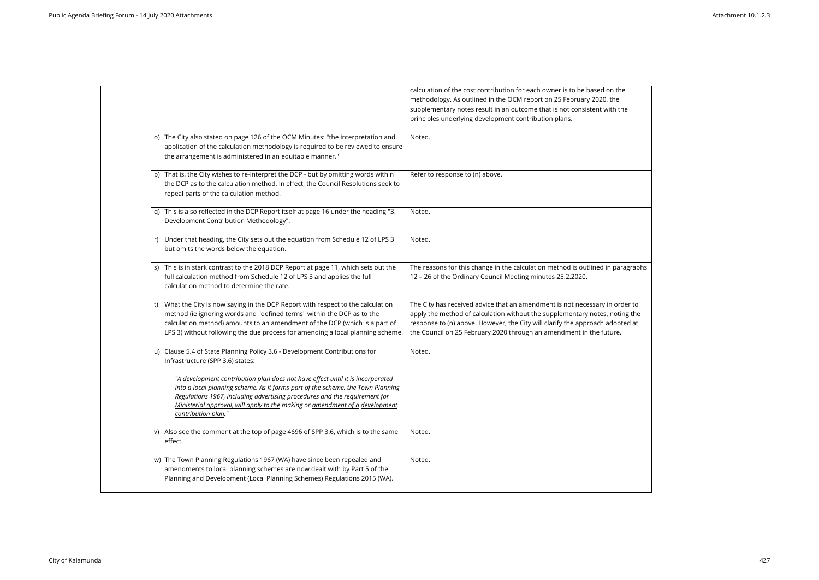|                                                                                                                                                                                                                                                                                                                                                        | calculation of the cost contribution for each owner is to be based on the<br>methodology. As outlined in the OCM report on 25 February 2020, the<br>supplementary notes result in an outcome that is not consistent with the<br>principles underlying development contribution plans.                              |
|--------------------------------------------------------------------------------------------------------------------------------------------------------------------------------------------------------------------------------------------------------------------------------------------------------------------------------------------------------|--------------------------------------------------------------------------------------------------------------------------------------------------------------------------------------------------------------------------------------------------------------------------------------------------------------------|
| o) The City also stated on page 126 of the OCM Minutes: "the interpretation and<br>application of the calculation methodology is required to be reviewed to ensure<br>the arrangement is administered in an equitable manner."                                                                                                                         | Noted.                                                                                                                                                                                                                                                                                                             |
| p) That is, the City wishes to re-interpret the DCP - but by omitting words within<br>the DCP as to the calculation method. In effect, the Council Resolutions seek to<br>repeal parts of the calculation method.                                                                                                                                      | Refer to response to (n) above.                                                                                                                                                                                                                                                                                    |
| This is also reflected in the DCP Report itself at page 16 under the heading "3.<br>Development Contribution Methodology".                                                                                                                                                                                                                             | Noted.                                                                                                                                                                                                                                                                                                             |
| Under that heading, the City sets out the equation from Schedule 12 of LPS 3<br>but omits the words below the equation.                                                                                                                                                                                                                                | Noted.                                                                                                                                                                                                                                                                                                             |
| This is in stark contrast to the 2018 DCP Report at page 11, which sets out the<br>full calculation method from Schedule 12 of LPS 3 and applies the full<br>calculation method to determine the rate.                                                                                                                                                 | The reasons for this change in the calculation method is outlined in paragraphs<br>12 - 26 of the Ordinary Council Meeting minutes 25.2.2020.                                                                                                                                                                      |
| What the City is now saying in the DCP Report with respect to the calculation<br>t)<br>method (ie ignoring words and "defined terms" within the DCP as to the<br>calculation method) amounts to an amendment of the DCP (which is a part of<br>LPS 3) without following the due process for amending a local planning scheme.                          | The City has received advice that an amendment is not necessary in order to<br>apply the method of calculation without the supplementary notes, noting the<br>response to (n) above. However, the City will clarify the approach adopted at<br>the Council on 25 February 2020 through an amendment in the future. |
| u) Clause 5.4 of State Planning Policy 3.6 - Development Contributions for<br>Infrastructure (SPP 3.6) states:                                                                                                                                                                                                                                         | Noted.                                                                                                                                                                                                                                                                                                             |
| "A development contribution plan does not have effect until it is incorporated<br>into a local planning scheme. As it forms part of the scheme. the Town Planning<br>Regulations 1967, including advertising procedures and the requirement for<br>Ministerial approval, will apply to the making or amendment of a development<br>contribution plan." |                                                                                                                                                                                                                                                                                                                    |
| v) Also see the comment at the top of page 4696 of SPP 3.6, which is to the same<br>effect.                                                                                                                                                                                                                                                            | Noted.                                                                                                                                                                                                                                                                                                             |
| w) The Town Planning Regulations 1967 (WA) have since been repealed and<br>amendments to local planning schemes are now dealt with by Part 5 of the<br>Planning and Development (Local Planning Schemes) Regulations 2015 (WA).                                                                                                                        | Noted.                                                                                                                                                                                                                                                                                                             |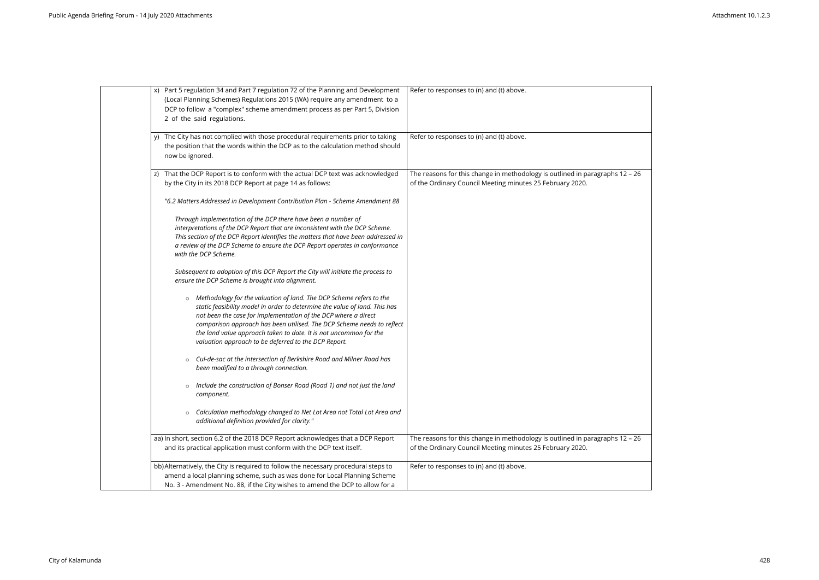| x) Part 5 regulation 34 and Part 7 regulation 72 of the Planning and Development<br>(Local Planning Schemes) Regulations 2015 (WA) require any amendment to a<br>DCP to follow a "complex" scheme amendment process as per Part 5, Division<br>2 of the said regulations.                                                                                                                                                             | Refer to responses to (n) and (t) above.                                                                                          |
|---------------------------------------------------------------------------------------------------------------------------------------------------------------------------------------------------------------------------------------------------------------------------------------------------------------------------------------------------------------------------------------------------------------------------------------|-----------------------------------------------------------------------------------------------------------------------------------|
| y) The City has not complied with those procedural requirements prior to taking<br>the position that the words within the DCP as to the calculation method should<br>now be ignored.                                                                                                                                                                                                                                                  | Refer to responses to (n) and (t) above.                                                                                          |
| z) That the DCP Report is to conform with the actual DCP text was acknowledged<br>by the City in its 2018 DCP Report at page 14 as follows:                                                                                                                                                                                                                                                                                           | The reasons for this change in methodology is outlined in paragraph:<br>of the Ordinary Council Meeting minutes 25 February 2020. |
| "6.2 Matters Addressed in Development Contribution Plan - Scheme Amendment 88<br>Through implementation of the DCP there have been a number of<br>interpretations of the DCP Report that are inconsistent with the DCP Scheme.<br>This section of the DCP Report identifies the matters that have been addressed in<br>a review of the DCP Scheme to ensure the DCP Report operates in conformance<br>with the DCP Scheme.            |                                                                                                                                   |
| Subsequent to adoption of this DCP Report the City will initiate the process to<br>ensure the DCP Scheme is brought into alignment.                                                                                                                                                                                                                                                                                                   |                                                                                                                                   |
| Methodology for the valuation of land. The DCP Scheme refers to the<br>$\circ$<br>static feasibility model in order to determine the value of land. This has<br>not been the case for implementation of the DCP where a direct<br>comparison approach has been utilised. The DCP Scheme needs to reflect<br>the land value approach taken to date. It is not uncommon for the<br>valuation approach to be deferred to the DCP Report. |                                                                                                                                   |
| Cul-de-sac at the intersection of Berkshire Road and Milner Road has<br>$\circ$<br>been modified to a through connection.                                                                                                                                                                                                                                                                                                             |                                                                                                                                   |
| Include the construction of Bonser Road (Road 1) and not just the land<br>$\circ$<br>component.                                                                                                                                                                                                                                                                                                                                       |                                                                                                                                   |
| Calculation methodology changed to Net Lot Area not Total Lot Area and<br>$\circ$<br>additional definition provided for clarity."                                                                                                                                                                                                                                                                                                     |                                                                                                                                   |
| aa) In short, section 6.2 of the 2018 DCP Report acknowledges that a DCP Report<br>and its practical application must conform with the DCP text itself.                                                                                                                                                                                                                                                                               | The reasons for this change in methodology is outlined in paragraph:<br>of the Ordinary Council Meeting minutes 25 February 2020. |
| bb) Alternatively, the City is required to follow the necessary procedural steps to<br>amend a local planning scheme, such as was done for Local Planning Scheme<br>No. 3 - Amendment No. 88, if the City wishes to amend the DCP to allow for a                                                                                                                                                                                      | Refer to responses to (n) and (t) above.                                                                                          |

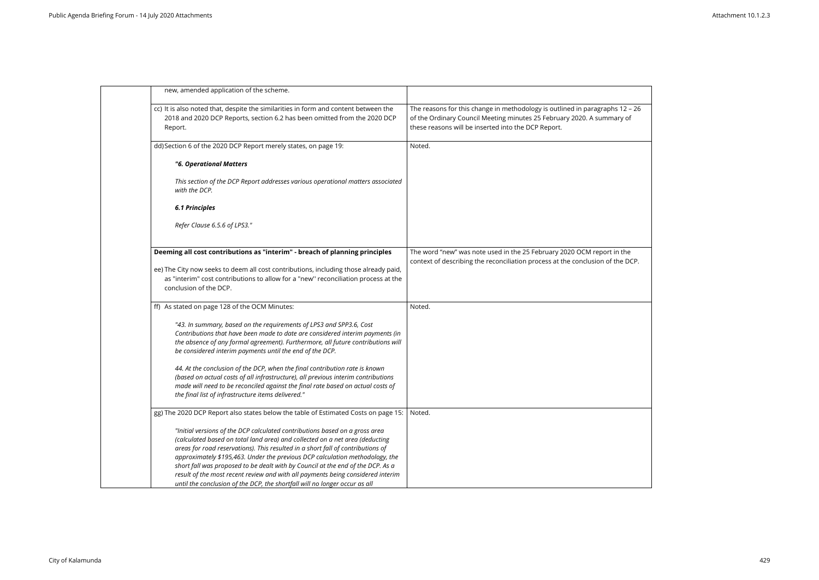

|         | new, amended application of the scheme.                                                                                                                                                                                                                                                                                                                                                                                                                                                                                                                                            |                                                                                                                                                                                                            |
|---------|------------------------------------------------------------------------------------------------------------------------------------------------------------------------------------------------------------------------------------------------------------------------------------------------------------------------------------------------------------------------------------------------------------------------------------------------------------------------------------------------------------------------------------------------------------------------------------|------------------------------------------------------------------------------------------------------------------------------------------------------------------------------------------------------------|
| Report. | cc) It is also noted that, despite the similarities in form and content between the<br>2018 and 2020 DCP Reports, section 6.2 has been omitted from the 2020 DCP                                                                                                                                                                                                                                                                                                                                                                                                                   | The reasons for this change in methodology is outlined in paragraphs 12 -<br>of the Ordinary Council Meeting minutes 25 February 2020. A summary of<br>these reasons will be inserted into the DCP Report. |
|         | dd) Section 6 of the 2020 DCP Report merely states, on page 19:                                                                                                                                                                                                                                                                                                                                                                                                                                                                                                                    | Noted.                                                                                                                                                                                                     |
|         | "6. Operational Matters                                                                                                                                                                                                                                                                                                                                                                                                                                                                                                                                                            |                                                                                                                                                                                                            |
|         | This section of the DCP Report addresses various operational matters associated<br>with the DCP.                                                                                                                                                                                                                                                                                                                                                                                                                                                                                   |                                                                                                                                                                                                            |
|         | <b>6.1 Principles</b>                                                                                                                                                                                                                                                                                                                                                                                                                                                                                                                                                              |                                                                                                                                                                                                            |
|         | Refer Clause 6.5.6 of LPS3."                                                                                                                                                                                                                                                                                                                                                                                                                                                                                                                                                       |                                                                                                                                                                                                            |
|         | Deeming all cost contributions as "interim" - breach of planning principles                                                                                                                                                                                                                                                                                                                                                                                                                                                                                                        | The word "new" was note used in the 25 February 2020 OCM report in the<br>context of describing the reconciliation process at the conclusion of the DC                                                     |
|         | ee) The City now seeks to deem all cost contributions, including those already paid,<br>as "interim" cost contributions to allow for a "new" reconciliation process at the<br>conclusion of the DCP.                                                                                                                                                                                                                                                                                                                                                                               |                                                                                                                                                                                                            |
|         | ff) As stated on page 128 of the OCM Minutes:                                                                                                                                                                                                                                                                                                                                                                                                                                                                                                                                      | Noted.                                                                                                                                                                                                     |
|         | "43. In summary, based on the requirements of LPS3 and SPP3.6, Cost<br>Contributions that have been made to date are considered interim payments (in<br>the absence of any formal agreement). Furthermore, all future contributions will<br>be considered interim payments until the end of the DCP.                                                                                                                                                                                                                                                                               |                                                                                                                                                                                                            |
|         | 44. At the conclusion of the DCP, when the final contribution rate is known<br>(based on actual costs of all infrastructure), all previous interim contributions<br>made will need to be reconciled against the final rate based on actual costs of<br>the final list of infrastructure items delivered."                                                                                                                                                                                                                                                                          |                                                                                                                                                                                                            |
|         | gg) The 2020 DCP Report also states below the table of Estimated Costs on page 15:                                                                                                                                                                                                                                                                                                                                                                                                                                                                                                 | Noted.                                                                                                                                                                                                     |
|         | "Initial versions of the DCP calculated contributions based on a gross area<br>(calculated based on total land area) and collected on a net area (deducting<br>areas for road reservations). This resulted in a short fall of contributions of<br>approximately \$195,463. Under the previous DCP calculation methodology, the<br>short fall was proposed to be dealt with by Council at the end of the DCP. As a<br>result of the most recent review and with all payments being considered interim<br>until the conclusion of the DCP, the shortfall will no longer occur as all |                                                                                                                                                                                                            |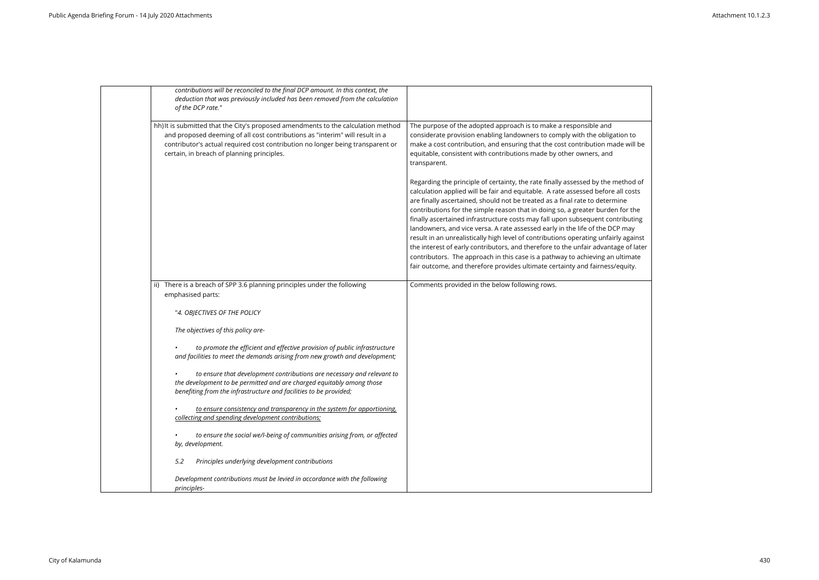| contributions will be reconciled to the final DCP amount. In this context, the<br>deduction that was previously included has been removed from the calculation<br>of the DCP rate."                                                                                                               |                                                                                                                                                                                                                                                                                                                                                                                                                                                                                                                                                                                                                                                                                                                                                                                                                                                       |
|---------------------------------------------------------------------------------------------------------------------------------------------------------------------------------------------------------------------------------------------------------------------------------------------------|-------------------------------------------------------------------------------------------------------------------------------------------------------------------------------------------------------------------------------------------------------------------------------------------------------------------------------------------------------------------------------------------------------------------------------------------------------------------------------------------------------------------------------------------------------------------------------------------------------------------------------------------------------------------------------------------------------------------------------------------------------------------------------------------------------------------------------------------------------|
| hh) It is submitted that the City's proposed amendments to the calculation method<br>and proposed deeming of all cost contributions as "interim" will result in a<br>contributor's actual required cost contribution no longer being transparent or<br>certain, in breach of planning principles. | The purpose of the adopted approach is to make a responsible and<br>considerate provision enabling landowners to comply with the obligation to<br>make a cost contribution, and ensuring that the cost contribution made will be<br>equitable, consistent with contributions made by other owners, and<br>transparent.                                                                                                                                                                                                                                                                                                                                                                                                                                                                                                                                |
|                                                                                                                                                                                                                                                                                                   | Regarding the principle of certainty, the rate finally assessed by the method of<br>calculation applied will be fair and equitable. A rate assessed before all costs<br>are finally ascertained, should not be treated as a final rate to determine<br>contributions for the simple reason that in doing so, a greater burden for the<br>finally ascertained infrastructure costs may fall upon subsequent contributing<br>landowners, and vice versa. A rate assessed early in the life of the DCP may<br>result in an unrealistically high level of contributions operating unfairly against<br>the interest of early contributors, and therefore to the unfair advantage of later<br>contributors. The approach in this case is a pathway to achieving an ultimate<br>fair outcome, and therefore provides ultimate certainty and fairness/equity. |
| ii) There is a breach of SPP 3.6 planning principles under the following<br>emphasised parts:                                                                                                                                                                                                     | Comments provided in the below following rows.                                                                                                                                                                                                                                                                                                                                                                                                                                                                                                                                                                                                                                                                                                                                                                                                        |
| "4. OBJECTIVES OF THE POLICY                                                                                                                                                                                                                                                                      |                                                                                                                                                                                                                                                                                                                                                                                                                                                                                                                                                                                                                                                                                                                                                                                                                                                       |
| The objectives of this policy are-                                                                                                                                                                                                                                                                |                                                                                                                                                                                                                                                                                                                                                                                                                                                                                                                                                                                                                                                                                                                                                                                                                                                       |
| to promote the efficient and effective provision of public infrastructure<br>and facilities to meet the demands arising from new growth and development;                                                                                                                                          |                                                                                                                                                                                                                                                                                                                                                                                                                                                                                                                                                                                                                                                                                                                                                                                                                                                       |
| to ensure that development contributions are necessary and relevant to<br>the development to be permitted and are charged equitably among those<br>benefiting from the infrastructure and facilities to be provided;                                                                              |                                                                                                                                                                                                                                                                                                                                                                                                                                                                                                                                                                                                                                                                                                                                                                                                                                                       |
| to ensure consistency and transparency in the system for apportioning.<br>collecting and spending development contributions;                                                                                                                                                                      |                                                                                                                                                                                                                                                                                                                                                                                                                                                                                                                                                                                                                                                                                                                                                                                                                                                       |
| to ensure the social we/l-being of communities arising from, or affected<br>by, development.                                                                                                                                                                                                      |                                                                                                                                                                                                                                                                                                                                                                                                                                                                                                                                                                                                                                                                                                                                                                                                                                                       |
| 5.2<br>Principles underlying development contributions                                                                                                                                                                                                                                            |                                                                                                                                                                                                                                                                                                                                                                                                                                                                                                                                                                                                                                                                                                                                                                                                                                                       |
| Development contributions must be levied in accordance with the following<br>principles-                                                                                                                                                                                                          |                                                                                                                                                                                                                                                                                                                                                                                                                                                                                                                                                                                                                                                                                                                                                                                                                                                       |

| ion to     |  |
|------------|--|
| le will be |  |

ethod of all costs contributions in tributing y against ge of later -<br>Jltimate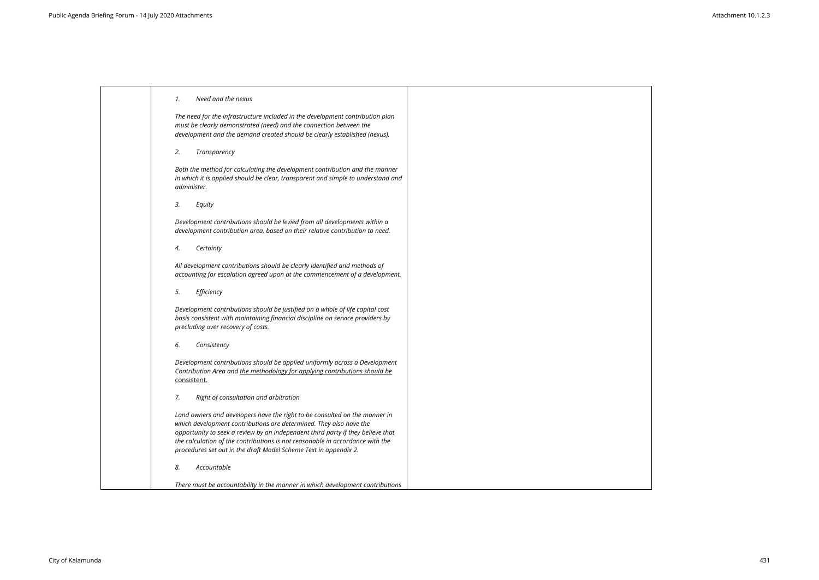|  |  | Need and the nexus |
|--|--|--------------------|
|  |  |                    |

*The need for the infrastructure included in the development contribution plan must be clearly demonstrated (need) and the connection between the development and the demand created should be clearly established (nexus).*

*2. Transparency*

*Both the method for calculating the development contribution and the manner in which it is applied should be clear, transparent and simple to understand and administer.*

*3. Equity*

*Development contributions should be levied from all developments within a development contribution area, based on their relative contribution to need.*

*4. Certainty*

*All development contributions should be clearly identified and methods of accounting for escalation agreed upon at the commencement of a development.*

*5. Efficiency*

*Development contributions should be justified on a whole of life capital cost basis consistent with maintaining financial discipline on service providers by precluding over recovery of costs.*

*6. Consistency*

*Development contributions should be applied uniformly across a Development Contribution Area and the methodology for applying contributions should be* consistent.

*7. Right of consultation and arbitration*

*Land owners and developers have the right to be consulted on the manner in which development contributions are determined. They also have the opportunity to seek a review by an independent third party if they believe that the calculation of the contributions is not reasonable in accordance with the procedures set out in the draft Model Scheme Text in appendix 2.*

*8. Accountable*

*There must be accountability in the manner in which development contributions* 

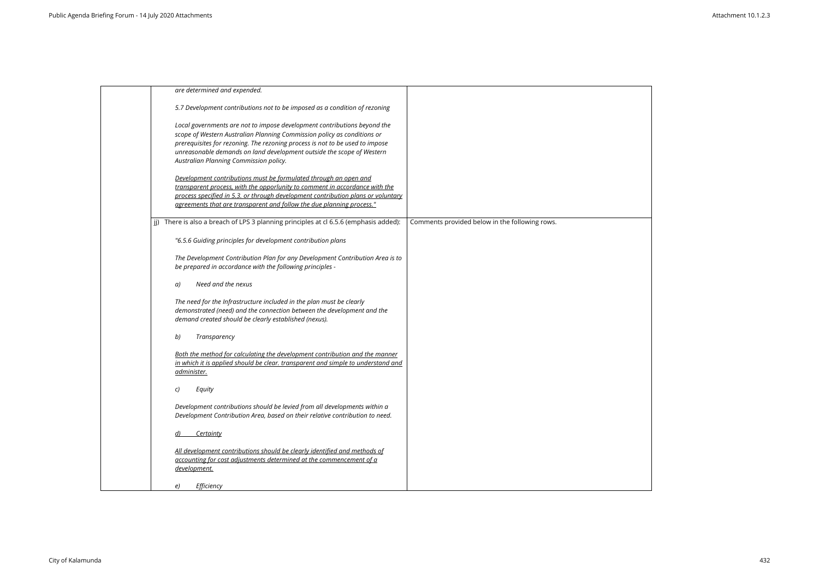| are determined and expended.                                                                                                                                                                                                                                                                                                                           |                                                |
|--------------------------------------------------------------------------------------------------------------------------------------------------------------------------------------------------------------------------------------------------------------------------------------------------------------------------------------------------------|------------------------------------------------|
| 5.7 Development contributions not to be imposed as a condition of rezoning                                                                                                                                                                                                                                                                             |                                                |
| Local governments are not to impose development contributions beyond the<br>scope of Western Australian Planning Commission policy as conditions or<br>prerequisites for rezoning. The rezoning process is not to be used to impose<br>unreasonable demands on land development outside the scope of Western<br>Australian Planning Commission policy. |                                                |
| Development contributions must be formulated through an open and<br>transparent process, with the opporlunity to comment in accordance with the<br>process specified in 5.3. or through development contribution plans or voluntary<br>agreements that are transparent and follow the due planning process."                                           |                                                |
| There is also a breach of LPS 3 planning principles at cl 6.5.6 (emphasis added):                                                                                                                                                                                                                                                                      | Comments provided below in the following rows. |
| "6.5.6 Guiding principles for development contribution plans                                                                                                                                                                                                                                                                                           |                                                |
| The Development Contribution Plan for any Development Contribution Area is to<br>be prepared in accordance with the following principles -                                                                                                                                                                                                             |                                                |
| Need and the nexus<br>a)                                                                                                                                                                                                                                                                                                                               |                                                |
| The need for the Infrastructure included in the plan must be clearly<br>demonstrated (need) and the connection between the development and the<br>demand created should be clearly established (nexus).                                                                                                                                                |                                                |
| Transparency<br>b)                                                                                                                                                                                                                                                                                                                                     |                                                |
| Both the method for calculating the development contribution and the manner<br>in which it is applied should be clear. transparent and simple to understand and<br>administer.                                                                                                                                                                         |                                                |
| Equity<br>C)                                                                                                                                                                                                                                                                                                                                           |                                                |
| Development contributions should be levied from all developments within a<br>Development Contribution Area, based on their relative contribution to need.                                                                                                                                                                                              |                                                |
| Certainty<br>d)                                                                                                                                                                                                                                                                                                                                        |                                                |
| All development contributions should be clearly identified and methods of<br>accounting for cost adjustments determined at the commencement of a<br>development.                                                                                                                                                                                       |                                                |
| Efficiency<br>e)                                                                                                                                                                                                                                                                                                                                       |                                                |
|                                                                                                                                                                                                                                                                                                                                                        |                                                |

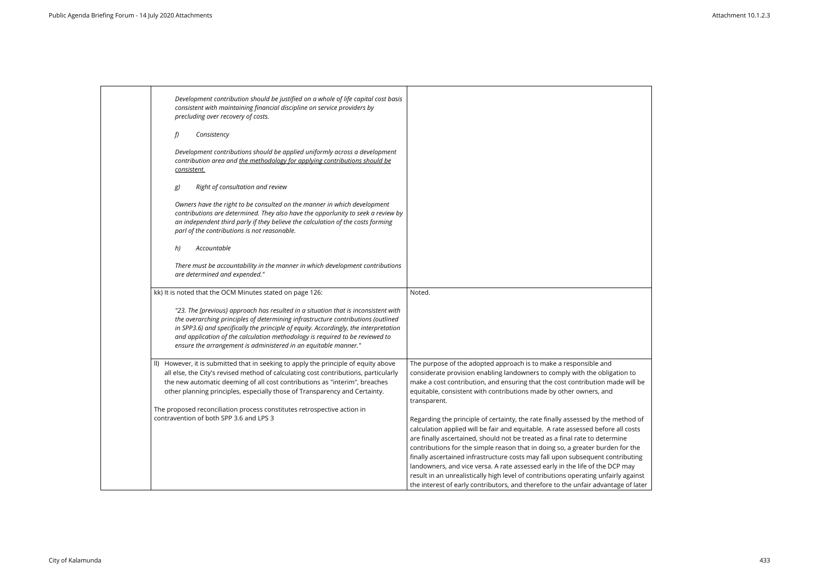| Development contribution should be justified on a whole of life capital cost basis<br>consistent with maintaining financial discipline on service providers by<br>precluding over recovery of costs.                                                                                                                                                                                                              |                                                                                                                                                                                                                                                                                                                                                                                                                                                                                                                                                                                                                                                                                      |
|-------------------------------------------------------------------------------------------------------------------------------------------------------------------------------------------------------------------------------------------------------------------------------------------------------------------------------------------------------------------------------------------------------------------|--------------------------------------------------------------------------------------------------------------------------------------------------------------------------------------------------------------------------------------------------------------------------------------------------------------------------------------------------------------------------------------------------------------------------------------------------------------------------------------------------------------------------------------------------------------------------------------------------------------------------------------------------------------------------------------|
| f)<br>Consistency                                                                                                                                                                                                                                                                                                                                                                                                 |                                                                                                                                                                                                                                                                                                                                                                                                                                                                                                                                                                                                                                                                                      |
| Development contributions should be applied uniformly across a development<br>contribution area and the methodology for applying contributions should be<br><u>consistent.</u>                                                                                                                                                                                                                                    |                                                                                                                                                                                                                                                                                                                                                                                                                                                                                                                                                                                                                                                                                      |
| Right of consultation and review<br>g)                                                                                                                                                                                                                                                                                                                                                                            |                                                                                                                                                                                                                                                                                                                                                                                                                                                                                                                                                                                                                                                                                      |
| Owners have the right to be consulted on the manner in which development<br>contributions are determined. They also have the opporlunity to seek a review by<br>an independent third parly if they believe the calculation of the costs forming<br>parl of the contributions is not reasonable.                                                                                                                   |                                                                                                                                                                                                                                                                                                                                                                                                                                                                                                                                                                                                                                                                                      |
| Accountable<br>h)                                                                                                                                                                                                                                                                                                                                                                                                 |                                                                                                                                                                                                                                                                                                                                                                                                                                                                                                                                                                                                                                                                                      |
| There must be accountability in the manner in which development contributions<br>are determined and expended."                                                                                                                                                                                                                                                                                                    |                                                                                                                                                                                                                                                                                                                                                                                                                                                                                                                                                                                                                                                                                      |
| kk) It is noted that the OCM Minutes stated on page 126:                                                                                                                                                                                                                                                                                                                                                          | Noted.                                                                                                                                                                                                                                                                                                                                                                                                                                                                                                                                                                                                                                                                               |
| "23. The [previous] approach has resulted in a situation that is inconsistent with<br>the overarching principles of determining infrastructure contributions (outlined<br>in SPP3.6) and specifically the principle of equity. Accordingly, the interpretation<br>and application of the calculation methodology is required to be reviewed to<br>ensure the arrangement is administered in an equitable manner." |                                                                                                                                                                                                                                                                                                                                                                                                                                                                                                                                                                                                                                                                                      |
| II) However, it is submitted that in seeking to apply the principle of equity above<br>all else, the City's revised method of calculating cost contributions, particularly<br>the new automatic deeming of all cost contributions as "interim", breaches<br>other planning principles, especially those of Transparency and Certainty.<br>The proposed reconciliation process constitutes retrospective action in | The purpose of the adopted approach is to make a responsible and<br>considerate provision enabling landowners to comply with the obligation to<br>make a cost contribution, and ensuring that the cost contribution made will be<br>equitable, consistent with contributions made by other owners, and<br>transparent.                                                                                                                                                                                                                                                                                                                                                               |
| contravention of both SPP 3.6 and LPS 3                                                                                                                                                                                                                                                                                                                                                                           | Regarding the principle of certainty, the rate finally assessed by the method of<br>calculation applied will be fair and equitable. A rate assessed before all costs<br>are finally ascertained, should not be treated as a final rate to determine<br>contributions for the simple reason that in doing so, a greater burden for the<br>finally ascertained infrastructure costs may fall upon subsequent contributing<br>landowners, and vice versa. A rate assessed early in the life of the DCP may<br>result in an unrealistically high level of contributions operating unfairly against<br>the interest of early contributors, and therefore to the unfair advantage of later |

| ation to      |  |
|---------------|--|
| ade will be   |  |
|               |  |
|               |  |
| method of     |  |
| e all costs   |  |
| mine          |  |
| en for the    |  |
| ntributing    |  |
| CP may        |  |
| irly against  |  |
| tage of later |  |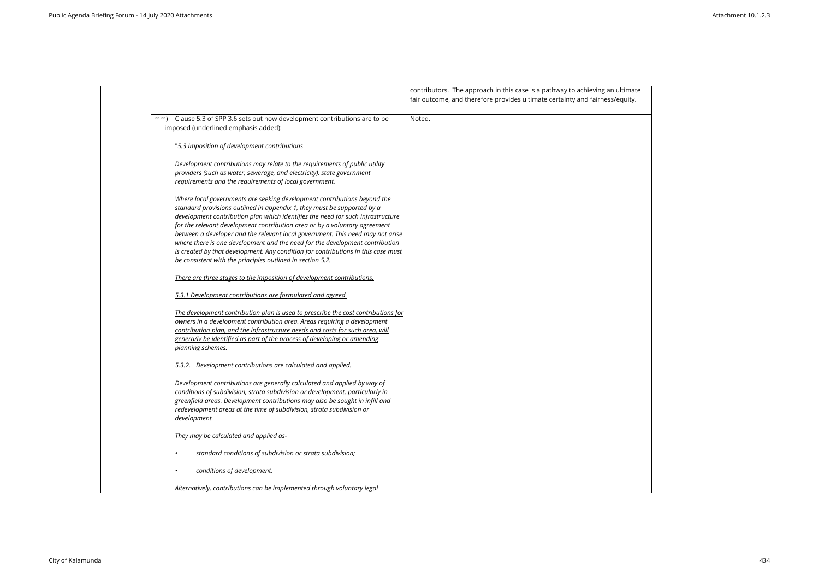

|                                                                                                                                                                                                                                                                                                                                                                                                                                                                                                                                                                                                                                           | contributors. The approach in this case is a pathway to achieving an<br>fair outcome, and therefore provides ultimate certainty and fairness/ |
|-------------------------------------------------------------------------------------------------------------------------------------------------------------------------------------------------------------------------------------------------------------------------------------------------------------------------------------------------------------------------------------------------------------------------------------------------------------------------------------------------------------------------------------------------------------------------------------------------------------------------------------------|-----------------------------------------------------------------------------------------------------------------------------------------------|
| Clause 5.3 of SPP 3.6 sets out how development contributions are to be<br>mm)<br>imposed (underlined emphasis added):                                                                                                                                                                                                                                                                                                                                                                                                                                                                                                                     | Noted.                                                                                                                                        |
| "5.3 Imposition of development contributions                                                                                                                                                                                                                                                                                                                                                                                                                                                                                                                                                                                              |                                                                                                                                               |
| Development contributions may relate to the requirements of public utility<br>providers (such as water, sewerage, and electricity), state government<br>requirements and the requirements of local government.                                                                                                                                                                                                                                                                                                                                                                                                                            |                                                                                                                                               |
| Where local governments are seeking development contributions beyond the<br>standard provisions outlined in appendix 1, they must be supported by a<br>development contribution plan which identifies the need for such infrastructure<br>for the relevant development contribution area or by a voluntary agreement<br>between a developer and the relevant local government. This need may not arise<br>where there is one development and the need for the development contribution<br>is created by that development. Any condition for contributions in this case must<br>be consistent with the principles outlined in section 5.2. |                                                                                                                                               |
| There are three stages to the imposition of development contributions.                                                                                                                                                                                                                                                                                                                                                                                                                                                                                                                                                                    |                                                                                                                                               |
| 5.3.1 Development contributions are formulated and agreed.                                                                                                                                                                                                                                                                                                                                                                                                                                                                                                                                                                                |                                                                                                                                               |
| The development contribution plan is used to prescribe the cost contributions for<br>owners in a development contribution area. Areas requiring a development<br>contribution plan, and the infrastructure needs and costs for such area, will<br>genera/ly be identified as part of the process of developing or amending<br>planning schemes.                                                                                                                                                                                                                                                                                           |                                                                                                                                               |
| 5.3.2. Development contributions are calculated and applied.                                                                                                                                                                                                                                                                                                                                                                                                                                                                                                                                                                              |                                                                                                                                               |
| Development contributions are generally calculated and applied by way of<br>conditions of subdivision, strata subdivision or development, particularly in<br>greenfield areas. Development contributions may also be sought in infill and<br>redevelopment areas at the time of subdivision, strata subdivision or<br>development.                                                                                                                                                                                                                                                                                                        |                                                                                                                                               |
| They may be calculated and applied as-                                                                                                                                                                                                                                                                                                                                                                                                                                                                                                                                                                                                    |                                                                                                                                               |
| standard conditions of subdivision or strata subdivision;                                                                                                                                                                                                                                                                                                                                                                                                                                                                                                                                                                                 |                                                                                                                                               |
| conditions of development.<br>$\bullet$                                                                                                                                                                                                                                                                                                                                                                                                                                                                                                                                                                                                   |                                                                                                                                               |
| Alternatively, contributions can be implemented through voluntary legal                                                                                                                                                                                                                                                                                                                                                                                                                                                                                                                                                                   |                                                                                                                                               |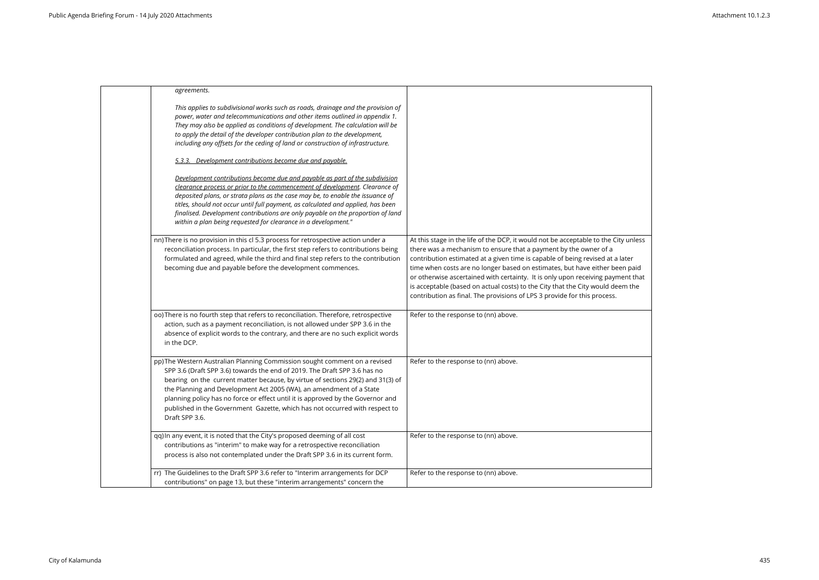| agreements.                                                                                                                                                                                                                                                                                                                                                                                                                                                                                           |                                                                                                                                                                                                                                                                                                                                                                                                                                                                                                                                                                          |
|-------------------------------------------------------------------------------------------------------------------------------------------------------------------------------------------------------------------------------------------------------------------------------------------------------------------------------------------------------------------------------------------------------------------------------------------------------------------------------------------------------|--------------------------------------------------------------------------------------------------------------------------------------------------------------------------------------------------------------------------------------------------------------------------------------------------------------------------------------------------------------------------------------------------------------------------------------------------------------------------------------------------------------------------------------------------------------------------|
| This applies to subdivisional works such as roads, drainage and the provision of<br>power, water and telecommunications and other items outlined in appendix 1.<br>They may also be applied as conditions of development. The calculation will be<br>to apply the detail of the developer contribution plan to the development,<br>including any offsets for the ceding of land or construction of infrastructure.                                                                                    |                                                                                                                                                                                                                                                                                                                                                                                                                                                                                                                                                                          |
| 5.3.3. Development contributions become due and payable.                                                                                                                                                                                                                                                                                                                                                                                                                                              |                                                                                                                                                                                                                                                                                                                                                                                                                                                                                                                                                                          |
| Development contributions become due and payable as part of the subdivision<br>clearance process or prior to the commencement of development. Clearance of<br>deposited plans, or strata plans as the case may be, to enable the issuance of<br>titles, should not occur until full payment, as calculated and applied, has been<br>finalised. Development contributions are only payable on the proportion of land<br>within a plan being requested for clearance in a development."                 |                                                                                                                                                                                                                                                                                                                                                                                                                                                                                                                                                                          |
| nn) There is no provision in this cl 5.3 process for retrospective action under a<br>reconciliation process. In particular, the first step refers to contributions being<br>formulated and agreed, while the third and final step refers to the contribution<br>becoming due and payable before the development commences.                                                                                                                                                                            | At this stage in the life of the DCP, it would not be acceptable to the City unless<br>there was a mechanism to ensure that a payment by the owner of a<br>contribution estimated at a given time is capable of being revised at a later<br>time when costs are no longer based on estimates, but have either been paid<br>or otherwise ascertained with certainty. It is only upon receiving payment that<br>is acceptable (based on actual costs) to the City that the City would deem the<br>contribution as final. The provisions of LPS 3 provide for this process. |
| oo) There is no fourth step that refers to reconciliation. Therefore, retrospective<br>action, such as a payment reconciliation, is not allowed under SPP 3.6 in the<br>absence of explicit words to the contrary, and there are no such explicit words<br>in the DCP.                                                                                                                                                                                                                                | Refer to the response to (nn) above.                                                                                                                                                                                                                                                                                                                                                                                                                                                                                                                                     |
| pp) The Western Australian Planning Commission sought comment on a revised<br>SPP 3.6 (Draft SPP 3.6) towards the end of 2019. The Draft SPP 3.6 has no<br>bearing on the current matter because, by virtue of sections 29(2) and 31(3) of<br>the Planning and Development Act 2005 (WA), an amendment of a State<br>planning policy has no force or effect until it is approved by the Governor and<br>published in the Government Gazette, which has not occurred with respect to<br>Draft SPP 3.6. | Refer to the response to (nn) above.                                                                                                                                                                                                                                                                                                                                                                                                                                                                                                                                     |
| qq) In any event, it is noted that the City's proposed deeming of all cost<br>contributions as "interim" to make way for a retrospective reconciliation<br>process is also not contemplated under the Draft SPP 3.6 in its current form.                                                                                                                                                                                                                                                              | Refer to the response to (nn) above.                                                                                                                                                                                                                                                                                                                                                                                                                                                                                                                                     |
| rr) The Guidelines to the Draft SPP 3.6 refer to "Interim arrangements for DCP<br>contributions" on page 13, but these "interim arrangements" concern the                                                                                                                                                                                                                                                                                                                                             | Refer to the response to (nn) above.                                                                                                                                                                                                                                                                                                                                                                                                                                                                                                                                     |

| City unless                                                            |  |  |
|------------------------------------------------------------------------|--|--|
| $\mathsf a$ later<br>been paid<br>$\gamma$ ment that<br>leem the<br>5. |  |  |
|                                                                        |  |  |
|                                                                        |  |  |
|                                                                        |  |  |
|                                                                        |  |  |
|                                                                        |  |  |
|                                                                        |  |  |

 $\overline{\phantom{0}}$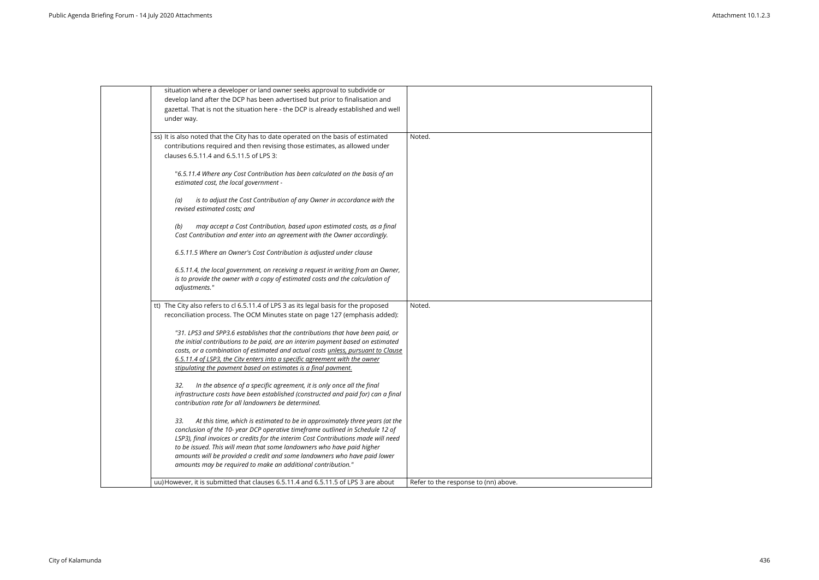| situation where a developer or land owner seeks approval to subdivide or             |                                      |
|--------------------------------------------------------------------------------------|--------------------------------------|
| develop land after the DCP has been advertised but prior to finalisation and         |                                      |
| gazettal. That is not the situation here - the DCP is already established and well   |                                      |
| under way.                                                                           |                                      |
|                                                                                      |                                      |
| ss) It is also noted that the City has to date operated on the basis of estimated    | Noted.                               |
| contributions required and then revising those estimates, as allowed under           |                                      |
| clauses 6.5.11.4 and 6.5.11.5 of LPS 3:                                              |                                      |
|                                                                                      |                                      |
| "6.5.11.4 Where any Cost Contribution has been calculated on the basis of an         |                                      |
| estimated cost, the local government -                                               |                                      |
|                                                                                      |                                      |
| is to adjust the Cost Contribution of any Owner in accordance with the<br>(a)        |                                      |
| revised estimated costs; and                                                         |                                      |
|                                                                                      |                                      |
| (b)<br>may accept a Cost Contribution, based upon estimated costs, as a final        |                                      |
| Cost Contribution and enter into an agreement with the Owner accordingly.            |                                      |
|                                                                                      |                                      |
| 6.5.11.5 Where an Owner's Cost Contribution is adjusted under clause                 |                                      |
|                                                                                      |                                      |
| 6.5.11.4, the local government, on receiving a request in writing from an Owner,     |                                      |
| is to provide the owner with a copy of estimated costs and the calculation of        |                                      |
| adjustments."                                                                        |                                      |
|                                                                                      |                                      |
| tt) The City also refers to cl 6.5.11.4 of LPS 3 as its legal basis for the proposed | Noted.                               |
| reconciliation process. The OCM Minutes state on page 127 (emphasis added):          |                                      |
|                                                                                      |                                      |
| "31. LPS3 and SPP3.6 establishes that the contributions that have been paid, or      |                                      |
| the initial contributions to be paid, are an interim payment based on estimated      |                                      |
| costs, or a combination of estimated and actual costs unless, pursuant to Clause     |                                      |
| 6.5.11.4 of LSP3, the Citv enters into a specific agreement with the owner           |                                      |
| stipulating the payment based on estimates is a final payment.                       |                                      |
|                                                                                      |                                      |
| In the absence of a specific agreement, it is only once all the final<br>32.         |                                      |
| infrastructure costs have been established (constructed and paid for) can a final    |                                      |
| contribution rate for all landowners be determined.                                  |                                      |
|                                                                                      |                                      |
| At this time, which is estimated to be in approximately three years (at the<br>33.   |                                      |
| conclusion of the 10-year DCP operative timeframe outlined in Schedule 12 of         |                                      |
| LSP3), final invoices or credits for the interim Cost Contributions made will need   |                                      |
| to be issued. This will mean that some landowners who have paid higher               |                                      |
| amounts will be provided a credit and some landowners who have paid lower            |                                      |
| amounts may be required to make an additional contribution."                         |                                      |
|                                                                                      |                                      |
| uu) However, it is submitted that clauses 6.5.11.4 and 6.5.11.5 of LPS 3 are about   | Refer to the response to (nn) above. |
|                                                                                      |                                      |

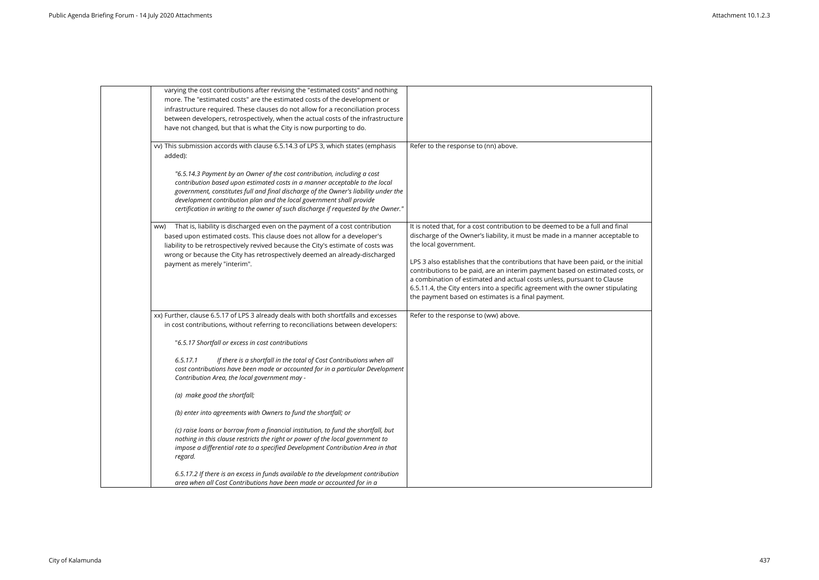| varying the cost contributions after revising the "estimated costs" and nothing<br>more. The "estimated costs" are the estimated costs of the development or<br>infrastructure required. These clauses do not allow for a reconciliation process<br>between developers, retrospectively, when the actual costs of the infrastructure<br>have not changed, but that is what the City is now purporting to do.  |                                                                                                                                                                                                                                                                                                                                                                                                                                                                                                                                                                  |
|---------------------------------------------------------------------------------------------------------------------------------------------------------------------------------------------------------------------------------------------------------------------------------------------------------------------------------------------------------------------------------------------------------------|------------------------------------------------------------------------------------------------------------------------------------------------------------------------------------------------------------------------------------------------------------------------------------------------------------------------------------------------------------------------------------------------------------------------------------------------------------------------------------------------------------------------------------------------------------------|
| vv) This submission accords with clause 6.5.14.3 of LPS 3, which states (emphasis<br>added):                                                                                                                                                                                                                                                                                                                  | Refer to the response to (nn) above.                                                                                                                                                                                                                                                                                                                                                                                                                                                                                                                             |
| "6.5.14.3 Payment by an Owner of the cost contribution, including a cost<br>contribution based upon estimated costs in a manner acceptable to the local<br>government, constitutes full and final discharge of the Owner's liability under the<br>development contribution plan and the local government shall provide<br>certification in writing to the owner of such discharge if requested by the Owner." |                                                                                                                                                                                                                                                                                                                                                                                                                                                                                                                                                                  |
| That is, liability is discharged even on the payment of a cost contribution<br>ww)<br>based upon estimated costs. This clause does not allow for a developer's<br>liability to be retrospectively revived because the City's estimate of costs was<br>wrong or because the City has retrospectively deemed an already-discharged<br>payment as merely "interim".                                              | It is noted that, for a cost contribution to be deemed to be a full and final<br>discharge of the Owner's liability, it must be made in a manner acceptable<br>the local government.<br>LPS 3 also establishes that the contributions that have been paid, or the in<br>contributions to be paid, are an interim payment based on estimated cost<br>a combination of estimated and actual costs unless, pursuant to Clause<br>6.5.11.4, the City enters into a specific agreement with the owner stipulati<br>the payment based on estimates is a final payment. |
| xx) Further, clause 6.5.17 of LPS 3 already deals with both shortfalls and excesses<br>in cost contributions, without referring to reconciliations between developers:                                                                                                                                                                                                                                        | Refer to the response to (ww) above.                                                                                                                                                                                                                                                                                                                                                                                                                                                                                                                             |
| "6.5.17 Shortfall or excess in cost contributions                                                                                                                                                                                                                                                                                                                                                             |                                                                                                                                                                                                                                                                                                                                                                                                                                                                                                                                                                  |
| If there is a shortfall in the total of Cost Contributions when all<br>6.5.17.1<br>cost contributions have been made or accounted for in a particular Development<br>Contribution Area, the local government may -                                                                                                                                                                                            |                                                                                                                                                                                                                                                                                                                                                                                                                                                                                                                                                                  |
| (a) make good the shortfall;                                                                                                                                                                                                                                                                                                                                                                                  |                                                                                                                                                                                                                                                                                                                                                                                                                                                                                                                                                                  |
| (b) enter into agreements with Owners to fund the shortfall; or                                                                                                                                                                                                                                                                                                                                               |                                                                                                                                                                                                                                                                                                                                                                                                                                                                                                                                                                  |
| (c) raise loans or borrow from a financial institution, to fund the shortfall, but<br>nothing in this clause restricts the right or power of the local government to<br>impose a differential rate to a specified Development Contribution Area in that<br>regard.                                                                                                                                            |                                                                                                                                                                                                                                                                                                                                                                                                                                                                                                                                                                  |
| 6.5.17.2 If there is an excess in funds available to the development contribution<br>area when all Cost Contributions have been made or accounted for in a                                                                                                                                                                                                                                                    |                                                                                                                                                                                                                                                                                                                                                                                                                                                                                                                                                                  |

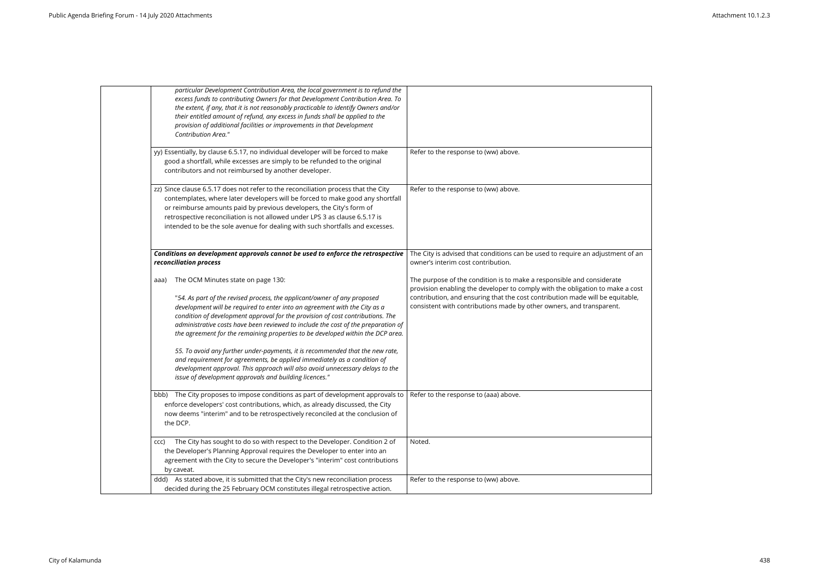| particular Development Contribution Area, the local government is to refund the<br>excess funds to contributing Owners for that Development Contribution Area. To<br>the extent, if any, that it is not reasonably practicable to identify Owners and/or<br>their entitled amount of refund, any excess in funds shall be applied to the<br>provision of additional facilities or improvements in that Development<br><b>Contribution Area."</b>                                                                                                                                                                                                                                                                                                                       |                                                                                                                                                                                                                                                                                                     |
|------------------------------------------------------------------------------------------------------------------------------------------------------------------------------------------------------------------------------------------------------------------------------------------------------------------------------------------------------------------------------------------------------------------------------------------------------------------------------------------------------------------------------------------------------------------------------------------------------------------------------------------------------------------------------------------------------------------------------------------------------------------------|-----------------------------------------------------------------------------------------------------------------------------------------------------------------------------------------------------------------------------------------------------------------------------------------------------|
| yy) Essentially, by clause 6.5.17, no individual developer will be forced to make<br>good a shortfall, while excesses are simply to be refunded to the original<br>contributors and not reimbursed by another developer.                                                                                                                                                                                                                                                                                                                                                                                                                                                                                                                                               | Refer to the response to (ww) above.                                                                                                                                                                                                                                                                |
| zz) Since clause 6.5.17 does not refer to the reconciliation process that the City<br>contemplates, where later developers will be forced to make good any shortfall<br>or reimburse amounts paid by previous developers, the City's form of<br>retrospective reconciliation is not allowed under LPS 3 as clause 6.5.17 is<br>intended to be the sole avenue for dealing with such shortfalls and excesses.                                                                                                                                                                                                                                                                                                                                                           | Refer to the response to (ww) above.                                                                                                                                                                                                                                                                |
| Conditions on development approvals cannot be used to enforce the retrospective<br>reconciliation process                                                                                                                                                                                                                                                                                                                                                                                                                                                                                                                                                                                                                                                              | The City is advised that conditions can be used to require an adjustmen<br>owner's interim cost contribution.                                                                                                                                                                                       |
| The OCM Minutes state on page 130:<br>aaa)<br>"54. As part of the revised process, the applicant/owner of any proposed<br>development will be required to enter into an agreement with the City as a<br>condition of development approval for the provision of cost contributions. The<br>administrative costs have been reviewed to include the cost of the preparation of<br>the agreement for the remaining properties to be developed within the DCP area.<br>55. To avoid any further under-payments, it is recommended that the new rate,<br>and requirement for agreements, be applied immediately as a condition of<br>development approval. This approach will also avoid unnecessary delays to the<br>issue of development approvals and building licences." | The purpose of the condition is to make a responsible and considerate<br>provision enabling the developer to comply with the obligation to make<br>contribution, and ensuring that the cost contribution made will be equit<br>consistent with contributions made by other owners, and transparent. |
| bbb) The City proposes to impose conditions as part of development approvals to<br>enforce developers' cost contributions, which, as already discussed, the City<br>now deems "interim" and to be retrospectively reconciled at the conclusion of<br>the DCP.                                                                                                                                                                                                                                                                                                                                                                                                                                                                                                          | Refer to the response to (aaa) above.                                                                                                                                                                                                                                                               |
| The City has sought to do so with respect to the Developer. Condition 2 of<br>CCC)<br>the Developer's Planning Approval requires the Developer to enter into an<br>agreement with the City to secure the Developer's "interim" cost contributions<br>by caveat.                                                                                                                                                                                                                                                                                                                                                                                                                                                                                                        | Noted.                                                                                                                                                                                                                                                                                              |
| ddd) As stated above, it is submitted that the City's new reconciliation process<br>decided during the 25 February OCM constitutes illegal retrospective action.                                                                                                                                                                                                                                                                                                                                                                                                                                                                                                                                                                                                       | Refer to the response to (ww) above.                                                                                                                                                                                                                                                                |
|                                                                                                                                                                                                                                                                                                                                                                                                                                                                                                                                                                                                                                                                                                                                                                        |                                                                                                                                                                                                                                                                                                     |

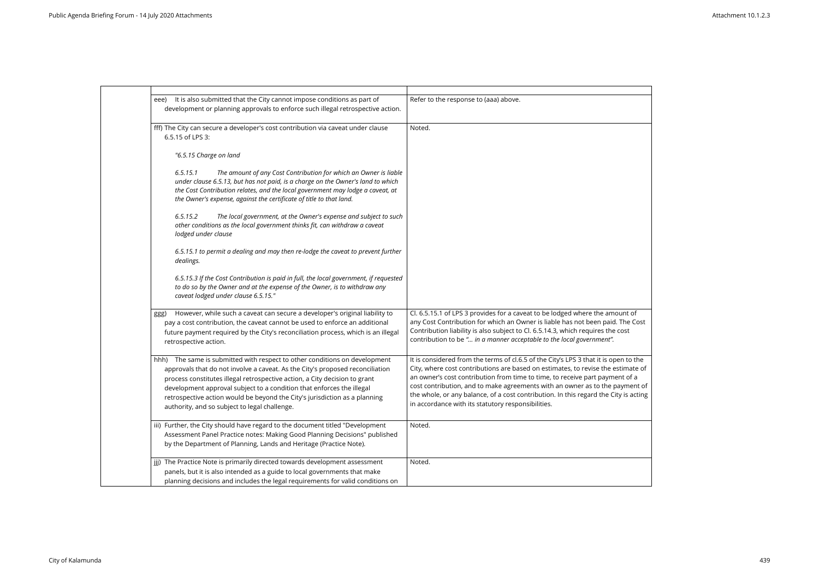| It is also submitted that the City cannot impose conditions as part of<br>eee)<br>development or planning approvals to enforce such illegal retrospective action.                                                                                                                                                                                                                                                                                 | Refer to the response to (aaa) above.                                                                                                                                                                                                                                                                                                                                                                                                                             |
|---------------------------------------------------------------------------------------------------------------------------------------------------------------------------------------------------------------------------------------------------------------------------------------------------------------------------------------------------------------------------------------------------------------------------------------------------|-------------------------------------------------------------------------------------------------------------------------------------------------------------------------------------------------------------------------------------------------------------------------------------------------------------------------------------------------------------------------------------------------------------------------------------------------------------------|
| fff) The City can secure a developer's cost contribution via caveat under clause<br>6.5.15 of LPS 3:                                                                                                                                                                                                                                                                                                                                              | Noted.                                                                                                                                                                                                                                                                                                                                                                                                                                                            |
| "6.5.15 Charge on land                                                                                                                                                                                                                                                                                                                                                                                                                            |                                                                                                                                                                                                                                                                                                                                                                                                                                                                   |
| 6.5.15.1<br>The amount of any Cost Contribution for which an Owner is liable<br>under clause 6.5.13, but has not paid, is a charge on the Owner's land to which<br>the Cost Contribution relates, and the local government may lodge a caveat, at<br>the Owner's expense, against the certificate of title to that land.                                                                                                                          |                                                                                                                                                                                                                                                                                                                                                                                                                                                                   |
| The local government, at the Owner's expense and subject to such<br>6.5.15.2<br>other conditions as the local government thinks fit, can withdraw a caveat<br>lodged under clause                                                                                                                                                                                                                                                                 |                                                                                                                                                                                                                                                                                                                                                                                                                                                                   |
| 6.5.15.1 to permit a dealing and may then re-lodge the caveat to prevent further<br>dealings.                                                                                                                                                                                                                                                                                                                                                     |                                                                                                                                                                                                                                                                                                                                                                                                                                                                   |
| 6.5.15.3 If the Cost Contribution is paid in full, the local government, if requested<br>to do so by the Owner and at the expense of the Owner, is to withdraw any<br>caveat lodged under clause 6.5.15."                                                                                                                                                                                                                                         |                                                                                                                                                                                                                                                                                                                                                                                                                                                                   |
| However, while such a caveat can secure a developer's original liability to<br>ggg)<br>pay a cost contribution, the caveat cannot be used to enforce an additional<br>future payment required by the City's reconciliation process, which is an illegal<br>retrospective action.                                                                                                                                                                  | Cl. 6.5.15.1 of LPS 3 provides for a caveat to be lodged where the amount<br>any Cost Contribution for which an Owner is liable has not been paid. The<br>Contribution liability is also subject to Cl. 6.5.14.3, which requires the cost<br>contribution to be " in a manner acceptable to the local government".                                                                                                                                                |
| hhh) The same is submitted with respect to other conditions on development<br>approvals that do not involve a caveat. As the City's proposed reconciliation<br>process constitutes illegal retrospective action, a City decision to grant<br>development approval subject to a condition that enforces the illegal<br>retrospective action would be beyond the City's jurisdiction as a planning<br>authority, and so subject to legal challenge. | It is considered from the terms of cl.6.5 of the City's LPS 3 that it is open to<br>City, where cost contributions are based on estimates, to revise the estima<br>an owner's cost contribution from time to time, to receive part payment of<br>cost contribution, and to make agreements with an owner as to the payme<br>the whole, or any balance, of a cost contribution. In this regard the City is a<br>in accordance with its statutory responsibilities. |
| iii) Further, the City should have regard to the document titled "Development<br>Assessment Panel Practice notes: Making Good Planning Decisions" published<br>by the Department of Planning, Lands and Heritage (Practice Note).                                                                                                                                                                                                                 | Noted.                                                                                                                                                                                                                                                                                                                                                                                                                                                            |
| jij) The Practice Note is primarily directed towards development assessment<br>panels, but it is also intended as a guide to local governments that make<br>planning decisions and includes the legal requirements for valid conditions on                                                                                                                                                                                                        | Noted.                                                                                                                                                                                                                                                                                                                                                                                                                                                            |

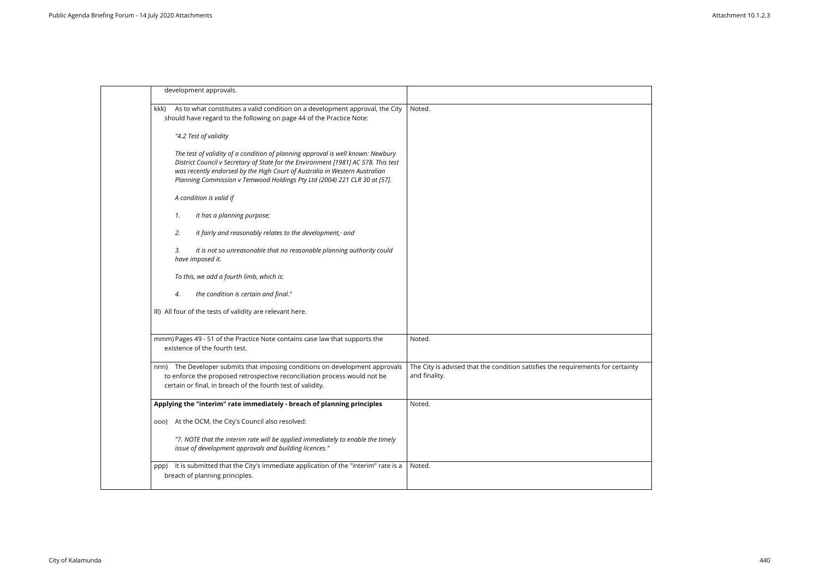| development approvals.                                    |                                                                                                                                                                                                                                                                                                                                  |                                                                                          |
|-----------------------------------------------------------|----------------------------------------------------------------------------------------------------------------------------------------------------------------------------------------------------------------------------------------------------------------------------------------------------------------------------------|------------------------------------------------------------------------------------------|
| kkk)                                                      | As to what constitutes a valid condition on a development approval, the City<br>should have regard to the following on page 44 of the Practice Note:                                                                                                                                                                             | Noted.                                                                                   |
| "4.2 Test of validity                                     |                                                                                                                                                                                                                                                                                                                                  |                                                                                          |
|                                                           | The test of validity of a condition of planning approval is well known: Newbury<br>District Council v Secretary of State for the Environment [1981] AC 578. This test<br>was recently endorsed by the High Court of Australia in Western Australian<br>Planning Commission v Temwood Holdings Pty Ltd (2004) 221 CLR 30 at [57]. |                                                                                          |
| A condition is valid if                                   |                                                                                                                                                                                                                                                                                                                                  |                                                                                          |
| it has a planning purpose;<br>1.                          |                                                                                                                                                                                                                                                                                                                                  |                                                                                          |
| 2.                                                        | it fairly and reasonably relates to the development, and                                                                                                                                                                                                                                                                         |                                                                                          |
| 3.<br>have imposed it.                                    | it is not so unreasonable that no reasonable planning authority could                                                                                                                                                                                                                                                            |                                                                                          |
| To this, we add a fourth limb, which is:                  |                                                                                                                                                                                                                                                                                                                                  |                                                                                          |
| 4.                                                        | the condition is certain and final."                                                                                                                                                                                                                                                                                             |                                                                                          |
| III) All four of the tests of validity are relevant here. |                                                                                                                                                                                                                                                                                                                                  |                                                                                          |
| existence of the fourth test.                             | mmm) Pages 49 - 51 of the Practice Note contains case law that supports the                                                                                                                                                                                                                                                      | Noted.                                                                                   |
|                                                           | nnn) The Developer submits that imposing conditions on development approvals<br>to enforce the proposed retrospective reconciliation process would not be<br>certain or final, in breach of the fourth test of validity.                                                                                                         | The City is advised that the condition satisfies the requirements for o<br>and finality. |
|                                                           | Applying the "interim" rate immediately - breach of planning principles                                                                                                                                                                                                                                                          | Noted.                                                                                   |
| 000)                                                      | At the OCM, the City's Council also resolved:                                                                                                                                                                                                                                                                                    |                                                                                          |
|                                                           | "7. NOTE that the interim rate will be applied immediately to enable the timely<br>issue of development approvals and building licences."                                                                                                                                                                                        |                                                                                          |
| ppp)<br>breach of planning principles.                    | It is submitted that the City's immediate application of the "interim" rate is a                                                                                                                                                                                                                                                 | Noted.                                                                                   |

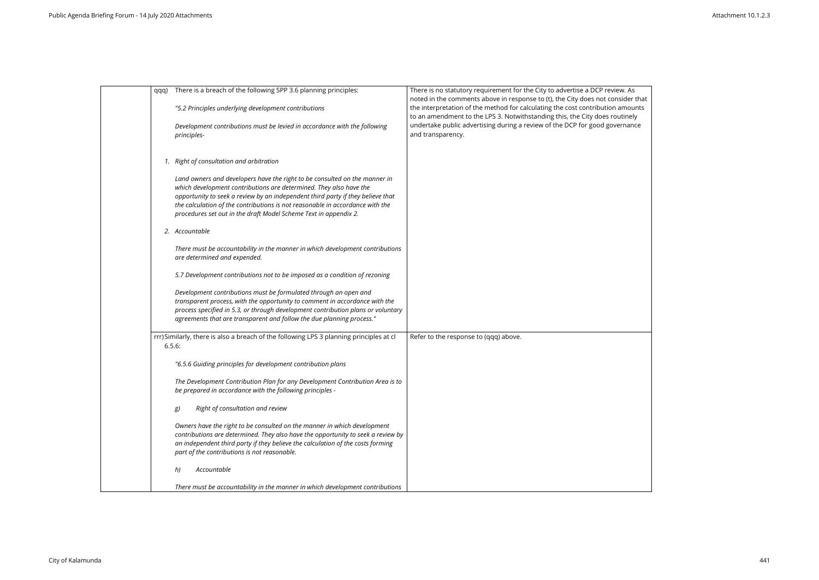| qqq) | There is a breach of the following SPP 3.6 planning principles:                                                                                                                                                                                                                                                                                                                          | There is no statutory requirement for the City to advertise a DCP review. As<br>noted in the comments above in response to (t), the City does not consider that |
|------|------------------------------------------------------------------------------------------------------------------------------------------------------------------------------------------------------------------------------------------------------------------------------------------------------------------------------------------------------------------------------------------|-----------------------------------------------------------------------------------------------------------------------------------------------------------------|
|      | "5.2 Principles underlying development contributions                                                                                                                                                                                                                                                                                                                                     | the interpretation of the method for calculating the cost contribution amounts<br>to an amendment to the LPS 3. Notwithstanding this, the City does routinely   |
|      | Development contributions must be levied in accordance with the following<br>principles-                                                                                                                                                                                                                                                                                                 | undertake public advertising during a review of the DCP for good governance<br>and transparency.                                                                |
|      | 1. Right of consultation and arbitration                                                                                                                                                                                                                                                                                                                                                 |                                                                                                                                                                 |
|      | Land owners and developers have the right to be consulted on the manner in<br>which development contributions are determined. They also have the<br>opportunity to seek a review by an independent third party if they believe that<br>the calculation of the contributions is not reasonable in accordance with the<br>procedures set out in the draft Model Scheme Text in appendix 2. |                                                                                                                                                                 |
|      | 2. Accountable                                                                                                                                                                                                                                                                                                                                                                           |                                                                                                                                                                 |
|      | There must be accountability in the manner in which development contributions<br>are determined and expended.                                                                                                                                                                                                                                                                            |                                                                                                                                                                 |
|      | 5.7 Development contributions not to be imposed as a condition of rezoning                                                                                                                                                                                                                                                                                                               |                                                                                                                                                                 |
|      | Development contributions must be formulated through an open and<br>transparent process, with the opportunity to comment in accordance with the<br>process specified in 5.3, or through development contribution plans or voluntary<br>agreements that are transparent and follow the due planning process."                                                                             |                                                                                                                                                                 |
|      | rrr) Similarly, there is also a breach of the following LPS 3 planning principles at cl<br>6.5.6:                                                                                                                                                                                                                                                                                        | Refer to the response to (qqq) above.                                                                                                                           |
|      | "6.5.6 Guiding principles for development contribution plans                                                                                                                                                                                                                                                                                                                             |                                                                                                                                                                 |
|      | The Development Contribution Plan for any Development Contribution Area is to<br>be prepared in accordance with the following principles -                                                                                                                                                                                                                                               |                                                                                                                                                                 |
|      | Right of consultation and review<br>g)                                                                                                                                                                                                                                                                                                                                                   |                                                                                                                                                                 |
|      | Owners have the right to be consulted on the manner in which development<br>contributions are determined. They also have the opportunity to seek a review by<br>an independent third party if they believe the calculation of the costs forming<br>part of the contributions is not reasonable.                                                                                          |                                                                                                                                                                 |
|      | Accountable<br>h)                                                                                                                                                                                                                                                                                                                                                                        |                                                                                                                                                                 |
|      | There must be accountability in the manner in which development contributions                                                                                                                                                                                                                                                                                                            |                                                                                                                                                                 |

| isider that<br>amounts<br>utinely<br>ernance |
|----------------------------------------------|
|                                              |
|                                              |
|                                              |
|                                              |
|                                              |

 $\blacksquare$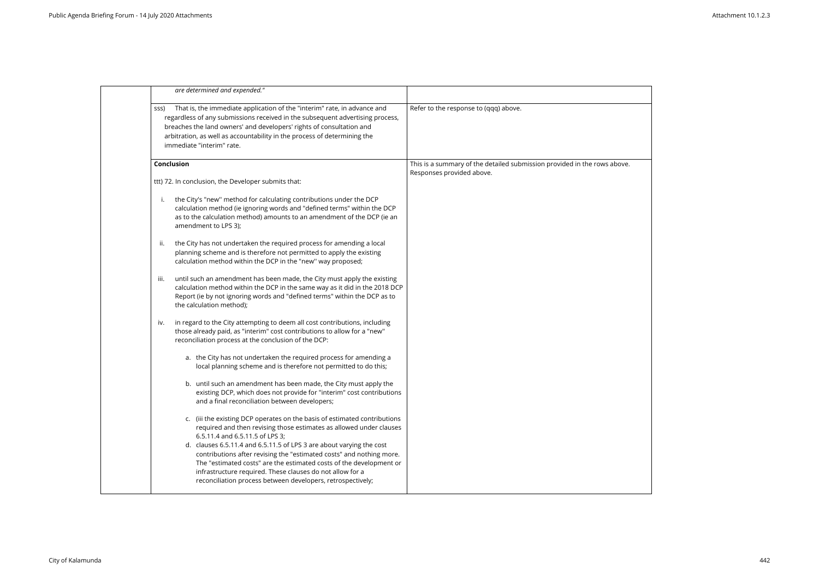| are determined and expended."                                                                                                                                                                                                                                                                                                                      |                                                                                                       |
|----------------------------------------------------------------------------------------------------------------------------------------------------------------------------------------------------------------------------------------------------------------------------------------------------------------------------------------------------|-------------------------------------------------------------------------------------------------------|
| That is, the immediate application of the "interim" rate, in advance and<br>SSS)<br>regardless of any submissions received in the subsequent advertising process,<br>breaches the land owners' and developers' rights of consultation and<br>arbitration, as well as accountability in the process of determining the<br>immediate "interim" rate. | Refer to the response to (qqq) above.                                                                 |
| Conclusion                                                                                                                                                                                                                                                                                                                                         | This is a summary of the detailed submission provided in the rows above.<br>Responses provided above. |
| ttt) 72. In conclusion, the Developer submits that:                                                                                                                                                                                                                                                                                                |                                                                                                       |
| the City's "new" method for calculating contributions under the DCP<br>i.<br>calculation method (ie ignoring words and "defined terms" within the DCP<br>as to the calculation method) amounts to an amendment of the DCP (ie an<br>amendment to LPS 3);                                                                                           |                                                                                                       |
| the City has not undertaken the required process for amending a local<br>ii.<br>planning scheme and is therefore not permitted to apply the existing<br>calculation method within the DCP in the "new" way proposed;                                                                                                                               |                                                                                                       |
| until such an amendment has been made, the City must apply the existing<br>m.<br>calculation method within the DCP in the same way as it did in the 2018 DCP<br>Report (ie by not ignoring words and "defined terms" within the DCP as to<br>the calculation method);                                                                              |                                                                                                       |
| in regard to the City attempting to deem all cost contributions, including<br>IV.<br>those already paid, as "interim" cost contributions to allow for a "new"<br>reconciliation process at the conclusion of the DCP:                                                                                                                              |                                                                                                       |
| a. the City has not undertaken the required process for amending a<br>local planning scheme and is therefore not permitted to do this;                                                                                                                                                                                                             |                                                                                                       |
| b. until such an amendment has been made, the City must apply the<br>existing DCP, which does not provide for "interim" cost contributions<br>and a final reconciliation between developers;                                                                                                                                                       |                                                                                                       |
| c. (iii the existing DCP operates on the basis of estimated contributions<br>required and then revising those estimates as allowed under clauses<br>6.5.11.4 and 6.5.11.5 of LPS 3;                                                                                                                                                                |                                                                                                       |
| d. clauses 6.5.11.4 and 6.5.11.5 of LPS 3 are about varying the cost<br>contributions after revising the "estimated costs" and nothing more.<br>The "estimated costs" are the estimated costs of the development or<br>infrastructure required. These clauses do not allow for a<br>reconciliation process between developers, retrospectively;    |                                                                                                       |
|                                                                                                                                                                                                                                                                                                                                                    |                                                                                                       |

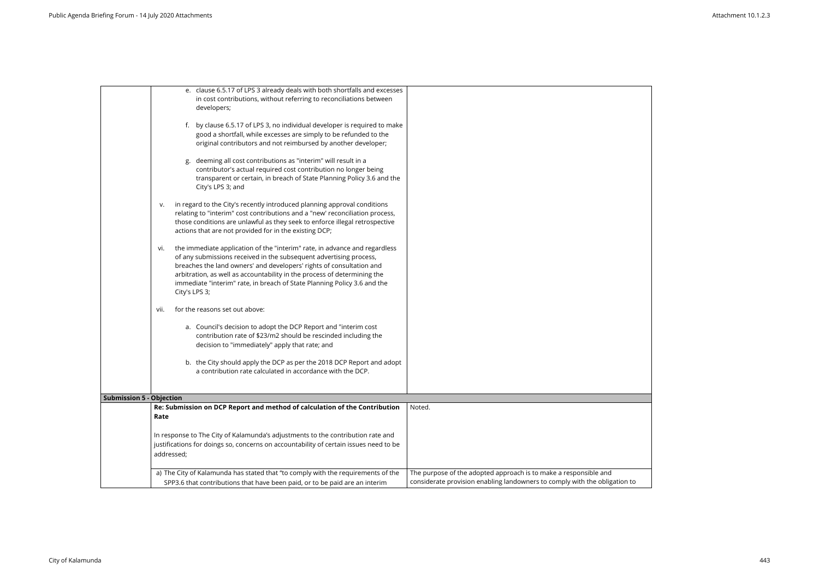|                                 | e. clause 6.5.17 of LPS 3 already deals with both shortfalls and excesses<br>in cost contributions, without referring to reconciliations between<br>developers;                                                                                                                                                                                                                                          |                                                                                                                                         |
|---------------------------------|----------------------------------------------------------------------------------------------------------------------------------------------------------------------------------------------------------------------------------------------------------------------------------------------------------------------------------------------------------------------------------------------------------|-----------------------------------------------------------------------------------------------------------------------------------------|
|                                 | f. by clause 6.5.17 of LPS 3, no individual developer is required to make<br>good a shortfall, while excesses are simply to be refunded to the<br>original contributors and not reimbursed by another developer;                                                                                                                                                                                         |                                                                                                                                         |
|                                 | deeming all cost contributions as "interim" will result in a<br>g.<br>contributor's actual required cost contribution no longer being<br>transparent or certain, in breach of State Planning Policy 3.6 and the<br>City's LPS 3; and                                                                                                                                                                     |                                                                                                                                         |
|                                 | in regard to the City's recently introduced planning approval conditions<br>v.<br>relating to "interim" cost contributions and a "new' reconciliation process,<br>those conditions are unlawful as they seek to enforce illegal retrospective<br>actions that are not provided for in the existing DCP;                                                                                                  |                                                                                                                                         |
|                                 | the immediate application of the "interim" rate, in advance and regardless<br>vi.<br>of any submissions received in the subsequent advertising process,<br>breaches the land owners' and developers' rights of consultation and<br>arbitration, as well as accountability in the process of determining the<br>immediate "interim" rate, in breach of State Planning Policy 3.6 and the<br>City's LPS 3; |                                                                                                                                         |
|                                 | for the reasons set out above:<br>vii.                                                                                                                                                                                                                                                                                                                                                                   |                                                                                                                                         |
|                                 | a. Council's decision to adopt the DCP Report and "interim cost<br>contribution rate of \$23/m2 should be rescinded including the<br>decision to "immediately" apply that rate; and                                                                                                                                                                                                                      |                                                                                                                                         |
|                                 | b. the City should apply the DCP as per the 2018 DCP Report and adopt<br>a contribution rate calculated in accordance with the DCP.                                                                                                                                                                                                                                                                      |                                                                                                                                         |
| <b>Submission 5 - Objection</b> |                                                                                                                                                                                                                                                                                                                                                                                                          |                                                                                                                                         |
|                                 | Re: Submission on DCP Report and method of calculation of the Contribution<br>Rate                                                                                                                                                                                                                                                                                                                       | Noted.                                                                                                                                  |
|                                 | In response to The City of Kalamunda's adjustments to the contribution rate and<br>justifications for doings so, concerns on accountability of certain issues need to be<br>addressed;                                                                                                                                                                                                                   |                                                                                                                                         |
|                                 | a) The City of Kalamunda has stated that "to comply with the requirements of the<br>SPP3.6 that contributions that have been paid, or to be paid are an interim                                                                                                                                                                                                                                          | The purpose of the adopted approach is to make a responsible and<br>considerate provision enabling landowners to comply with the obliga |

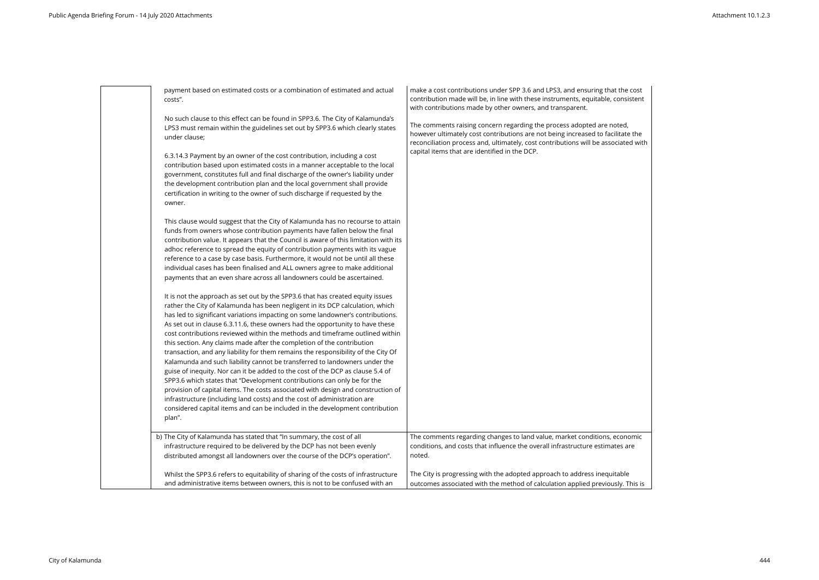payment based on estimated costs or a combination of estimated and actual costs". No such clause to this effect can be found in SPP3.6. The City of Kalamunda's LPS3 must remain within the guidelines set out by SPP3.6 which clearly states under clause; 6.3.14.3 Payment by an owner of the cost contribution, including a cost contribution based upon estimated costs in a manner acceptable to the local

government, constitutes full and final discharge of the owner's liability under the development contribution plan and the local government shall provide certification in writing to the owner of such discharge if requested by the owner.

This clause would suggest that the City of Kalamunda has no recourse to attain funds from owners whose contribution payments have fallen below the final contribution value. It appears that the Council is aware of this limitation with its adhoc reference to spread the equity of contribution payments with its vague reference to a case by case basis. Furthermore, it would not be until all these individual cases has been finalised and ALL owners agree to make additional payments that an even share across all landowners could be ascertained.

make a cost contributions under SPP 3.6 and LPS3, and ensuring that contribution made will be, in line with these instruments, equitable, with contributions made by other owners, and transparent.

The comments raising concern regarding the process adopted are not however ultimately cost contributions are not being increased to fac reconciliation process and, ultimately, cost contributions will be asso capital items that are identified in the DCP.

It is not the approach as set out by the SPP3.6 that has created equity issues rather the City of Kalamunda has been negligent in its DCP calculation, which has led to significant variations impacting on some landowner's contributions. As set out in clause 6.3.11.6, these owners had the opportunity to have these cost contributions reviewed within the methods and timeframe outlined within this section. Any claims made after the completion of the contribution transaction, and any liability for them remains the responsibility of the City Of Kalamunda and such liability cannot be transferred to landowners under the guise of inequity. Nor can it be added to the cost of the DCP as clause 5.4 of SPP3.6 which states that "Development contributions can only be for the provision of capital items. The costs associated with design and construction of infrastructure (including land costs) and the cost of administration are considered capital items and can be included in the development contribution plan".

| As set out in clause 6.3.11.6, these owners had the opportunity to have these      |                                                                                |
|------------------------------------------------------------------------------------|--------------------------------------------------------------------------------|
| cost contributions reviewed within the methods and timeframe outlined within       |                                                                                |
| this section. Any claims made after the completion of the contribution             |                                                                                |
| transaction, and any liability for them remains the responsibility of the City Of  |                                                                                |
| Kalamunda and such liability cannot be transferred to landowners under the         |                                                                                |
| guise of inequity. Nor can it be added to the cost of the DCP as clause 5.4 of     |                                                                                |
| SPP3.6 which states that "Development contributions can only be for the            |                                                                                |
| provision of capital items. The costs associated with design and construction of   |                                                                                |
| infrastructure (including land costs) and the cost of administration are           |                                                                                |
| considered capital items and can be included in the development contribution       |                                                                                |
| plan".                                                                             |                                                                                |
|                                                                                    |                                                                                |
| b) The City of Kalamunda has stated that "In summary, the cost of all              | The comments regarding changes to land value, market conditions, economic      |
| infrastructure required to be delivered by the DCP has not been evenly             | conditions, and costs that influence the overall infrastructure estimates are  |
| distributed amongst all landowners over the course of the DCP's operation".        | noted.                                                                         |
|                                                                                    |                                                                                |
| Whilst the SPP3.6 refers to equitability of sharing of the costs of infrastructure | The City is progressing with the adopted approach to address inequitable       |
| and administrative items between owners, this is not to be confused with an        | outcomes associated with the method of calculation applied previously. This is |

| at the cost<br>consistent             |  |
|---------------------------------------|--|
| oted,<br>cilitate the<br>ociated with |  |
|                                       |  |
|                                       |  |
|                                       |  |
|                                       |  |
|                                       |  |
|                                       |  |
| economic<br>ates are                  |  |
|                                       |  |

sly. This is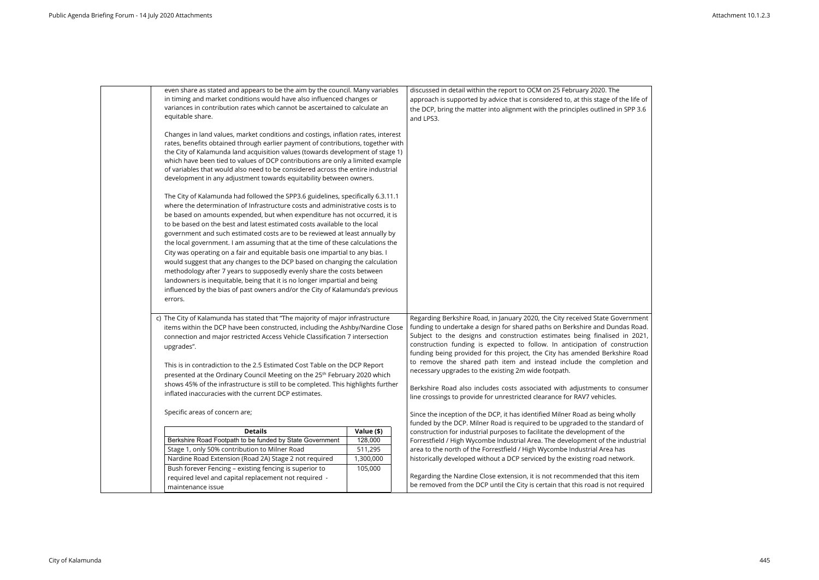| even share as stated and appears to be the aim by the council. Many variables                                                                                      |            | discussed in detail within the report to OCM on 25 February 2020. The               |
|--------------------------------------------------------------------------------------------------------------------------------------------------------------------|------------|-------------------------------------------------------------------------------------|
| in timing and market conditions would have also influenced changes or                                                                                              |            | approach is supported by advice that is considered to, at this stage of the life of |
| variances in contribution rates which cannot be ascertained to calculate an                                                                                        |            | the DCP, bring the matter into alignment with the principles outlined in SPP 3.6    |
| equitable share.                                                                                                                                                   |            | and LPS3.                                                                           |
|                                                                                                                                                                    |            |                                                                                     |
| Changes in land values, market conditions and costings, inflation rates, interest                                                                                  |            |                                                                                     |
| rates, benefits obtained through earlier payment of contributions, together with<br>the City of Kalamunda land acquisition values (towards development of stage 1) |            |                                                                                     |
| which have been tied to values of DCP contributions are only a limited example                                                                                     |            |                                                                                     |
| of variables that would also need to be considered across the entire industrial                                                                                    |            |                                                                                     |
| development in any adjustment towards equitability between owners.                                                                                                 |            |                                                                                     |
|                                                                                                                                                                    |            |                                                                                     |
| The City of Kalamunda had followed the SPP3.6 guidelines, specifically 6.3.11.1                                                                                    |            |                                                                                     |
| where the determination of Infrastructure costs and administrative costs is to                                                                                     |            |                                                                                     |
| be based on amounts expended, but when expenditure has not occurred, it is                                                                                         |            |                                                                                     |
| to be based on the best and latest estimated costs available to the local                                                                                          |            |                                                                                     |
| government and such estimated costs are to be reviewed at least annually by                                                                                        |            |                                                                                     |
| the local government. I am assuming that at the time of these calculations the                                                                                     |            |                                                                                     |
| City was operating on a fair and equitable basis one impartial to any bias. I                                                                                      |            |                                                                                     |
| would suggest that any changes to the DCP based on changing the calculation                                                                                        |            |                                                                                     |
| methodology after 7 years to supposedly evenly share the costs between                                                                                             |            |                                                                                     |
| landowners is inequitable, being that it is no longer impartial and being                                                                                          |            |                                                                                     |
| influenced by the bias of past owners and/or the City of Kalamunda's previous                                                                                      |            |                                                                                     |
| errors.                                                                                                                                                            |            |                                                                                     |
|                                                                                                                                                                    |            |                                                                                     |
| c) The City of Kalamunda has stated that "The majority of major infrastructure                                                                                     |            | Regarding Berkshire Road, in January 2020, the City received State Government       |
| items within the DCP have been constructed, including the Ashby/Nardine Close                                                                                      |            | funding to undertake a design for shared paths on Berkshire and Dundas Road.        |
| connection and major restricted Access Vehicle Classification 7 intersection                                                                                       |            | Subject to the designs and construction estimates being finalised in 2021,          |
| upgrades".                                                                                                                                                         |            | construction funding is expected to follow. In anticipation of construction         |
|                                                                                                                                                                    |            | funding being provided for this project, the City has amended Berkshire Road        |
| This is in contradiction to the 2.5 Estimated Cost Table on the DCP Report                                                                                         |            | to remove the shared path item and instead include the completion and               |
| presented at the Ordinary Council Meeting on the 25 <sup>th</sup> February 2020 which                                                                              |            | necessary upgrades to the existing 2m wide footpath.                                |
| shows 45% of the infrastructure is still to be completed. This highlights further                                                                                  |            | Berkshire Road also includes costs associated with adjustments to consumer          |
| inflated inaccuracies with the current DCP estimates.                                                                                                              |            | line crossings to provide for unrestricted clearance for RAV7 vehicles.             |
|                                                                                                                                                                    |            |                                                                                     |
| Specific areas of concern are;                                                                                                                                     |            | Since the inception of the DCP, it has identified Milner Road as being wholly       |
|                                                                                                                                                                    |            | funded by the DCP. Milner Road is required to be upgraded to the standard of        |
| <b>Details</b>                                                                                                                                                     | Value (\$) | construction for industrial purposes to facilitate the development of the           |
| Berkshire Road Footpath to be funded by State Government                                                                                                           | 128,000    | Forrestfield / High Wycombe Industrial Area. The development of the industrial      |
| Stage 1, only 50% contribution to Milner Road                                                                                                                      | 511,295    | area to the north of the Forrestfield / High Wycombe Industrial Area has            |
| Nardine Road Extension (Road 2A) Stage 2 not required                                                                                                              | 1,300,000  | historically developed without a DCP serviced by the existing road network.         |
| Bush forever Fencing - existing fencing is superior to                                                                                                             | 105,000    |                                                                                     |
| required level and capital replacement not required -                                                                                                              |            | Regarding the Nardine Close extension, it is not recommended that this item         |
| maintenance issue                                                                                                                                                  |            | be removed from the DCP until the City is certain that this road is not required    |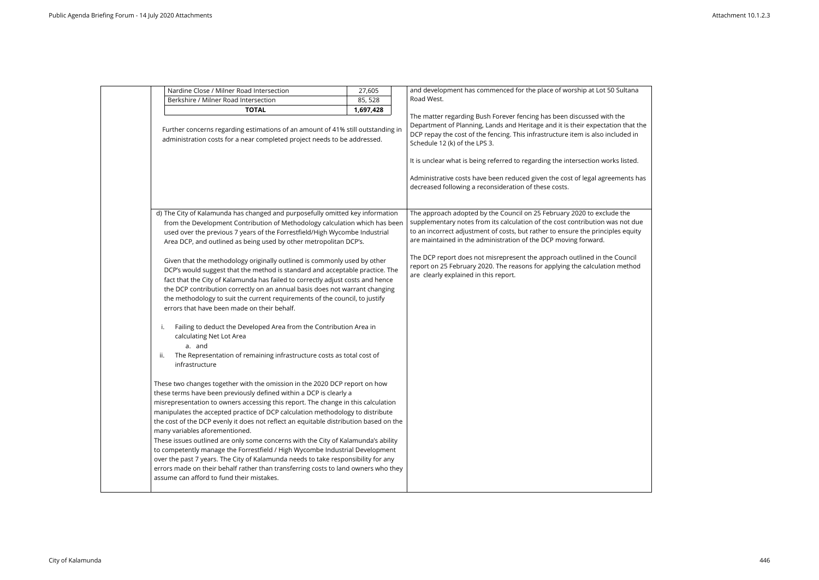|     | Nardine Close / Milner Road Intersection                                                                                                                                                                                                                                                                                                                                                                                                                                                                                                                                                                                                                                                                                                                                                                                                        | 27,605    | and development has commenced for the place of worship at Lot 50 Sultana                                                                                                                                                                                                                                      |
|-----|-------------------------------------------------------------------------------------------------------------------------------------------------------------------------------------------------------------------------------------------------------------------------------------------------------------------------------------------------------------------------------------------------------------------------------------------------------------------------------------------------------------------------------------------------------------------------------------------------------------------------------------------------------------------------------------------------------------------------------------------------------------------------------------------------------------------------------------------------|-----------|---------------------------------------------------------------------------------------------------------------------------------------------------------------------------------------------------------------------------------------------------------------------------------------------------------------|
|     | Berkshire / Milner Road Intersection                                                                                                                                                                                                                                                                                                                                                                                                                                                                                                                                                                                                                                                                                                                                                                                                            | 85, 528   | Road West.                                                                                                                                                                                                                                                                                                    |
|     | <b>TOTAL</b>                                                                                                                                                                                                                                                                                                                                                                                                                                                                                                                                                                                                                                                                                                                                                                                                                                    | 1,697,428 |                                                                                                                                                                                                                                                                                                               |
|     | Further concerns regarding estimations of an amount of 41% still outstanding in<br>administration costs for a near completed project needs to be addressed.                                                                                                                                                                                                                                                                                                                                                                                                                                                                                                                                                                                                                                                                                     |           | The matter regarding Bush Forever fencing has been discussed with the<br>Department of Planning, Lands and Heritage and it is their expectation that the<br>DCP repay the cost of the fencing. This infrastructure item is also included in<br>Schedule 12 (k) of the LPS 3.                                  |
|     |                                                                                                                                                                                                                                                                                                                                                                                                                                                                                                                                                                                                                                                                                                                                                                                                                                                 |           | It is unclear what is being referred to regarding the intersection works listed.                                                                                                                                                                                                                              |
|     |                                                                                                                                                                                                                                                                                                                                                                                                                                                                                                                                                                                                                                                                                                                                                                                                                                                 |           | Administrative costs have been reduced given the cost of legal agreements has<br>decreased following a reconsideration of these costs.                                                                                                                                                                        |
|     |                                                                                                                                                                                                                                                                                                                                                                                                                                                                                                                                                                                                                                                                                                                                                                                                                                                 |           |                                                                                                                                                                                                                                                                                                               |
|     | d) The City of Kalamunda has changed and purposefully omitted key information<br>from the Development Contribution of Methodology calculation which has been<br>used over the previous 7 years of the Forrestfield/High Wycombe Industrial<br>Area DCP, and outlined as being used by other metropolitan DCP's.                                                                                                                                                                                                                                                                                                                                                                                                                                                                                                                                 |           | The approach adopted by the Council on 25 February 2020 to exclude the<br>supplementary notes from its calculation of the cost contribution was not due<br>to an incorrect adjustment of costs, but rather to ensure the principles equity<br>are maintained in the administration of the DCP moving forward. |
|     | Given that the methodology originally outlined is commonly used by other<br>DCP's would suggest that the method is standard and acceptable practice. The<br>fact that the City of Kalamunda has failed to correctly adjust costs and hence<br>the DCP contribution correctly on an annual basis does not warrant changing<br>the methodology to suit the current requirements of the council, to justify<br>errors that have been made on their behalf.                                                                                                                                                                                                                                                                                                                                                                                         |           | The DCP report does not misrepresent the approach outlined in the Council<br>report on 25 February 2020. The reasons for applying the calculation method<br>are clearly explained in this report.                                                                                                             |
| ii. | Failing to deduct the Developed Area from the Contribution Area in<br>calculating Net Lot Area<br>a. and<br>The Representation of remaining infrastructure costs as total cost of<br>infrastructure                                                                                                                                                                                                                                                                                                                                                                                                                                                                                                                                                                                                                                             |           |                                                                                                                                                                                                                                                                                                               |
|     | These two changes together with the omission in the 2020 DCP report on how<br>these terms have been previously defined within a DCP is clearly a<br>misrepresentation to owners accessing this report. The change in this calculation<br>manipulates the accepted practice of DCP calculation methodology to distribute<br>the cost of the DCP evenly it does not reflect an equitable distribution based on the<br>many variables aforementioned.<br>These issues outlined are only some concerns with the City of Kalamunda's ability<br>to competently manage the Forrestfield / High Wycombe Industrial Development<br>over the past 7 years. The City of Kalamunda needs to take responsibility for any<br>errors made on their behalf rather than transferring costs to land owners who they<br>assume can afford to fund their mistakes. |           |                                                                                                                                                                                                                                                                                                               |

| 0 Sultana             |  |
|-----------------------|--|
| h the                 |  |
| tion that the         |  |
| cluded in             |  |
|                       |  |
| rks listed.           |  |
| ements has            |  |
|                       |  |
|                       |  |
| de the                |  |
| as not due            |  |
| bles equity           |  |
|                       |  |
| e Council<br>n method |  |
|                       |  |
|                       |  |
|                       |  |
|                       |  |
|                       |  |
|                       |  |
|                       |  |
|                       |  |
|                       |  |
|                       |  |
|                       |  |
|                       |  |
|                       |  |
|                       |  |
|                       |  |
|                       |  |
|                       |  |
|                       |  |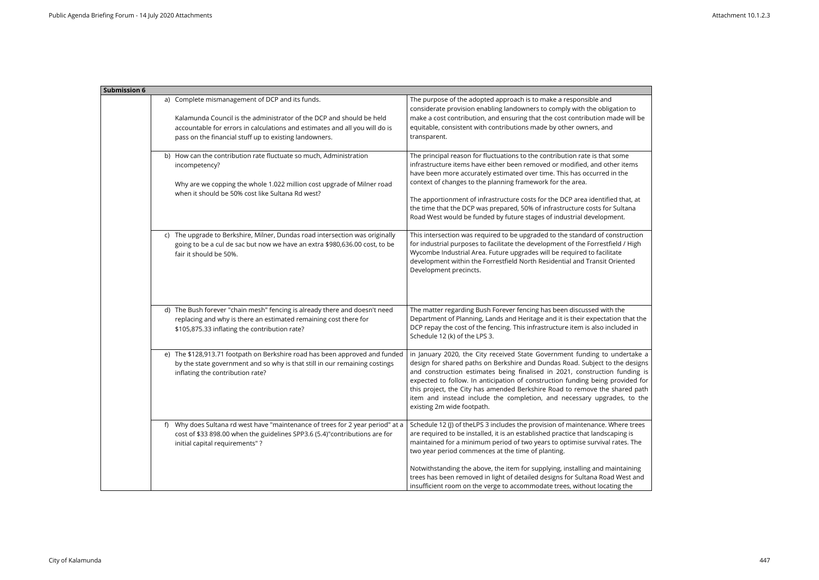| <b>Submission 6</b>                                                                                                                                                                                                                                              |                                                                                                                                                                                                                                                                                                                                                                                                                                                                                                                                              |
|------------------------------------------------------------------------------------------------------------------------------------------------------------------------------------------------------------------------------------------------------------------|----------------------------------------------------------------------------------------------------------------------------------------------------------------------------------------------------------------------------------------------------------------------------------------------------------------------------------------------------------------------------------------------------------------------------------------------------------------------------------------------------------------------------------------------|
| a) Complete mismanagement of DCP and its funds.<br>Kalamunda Council is the administrator of the DCP and should be held<br>accountable for errors in calculations and estimates and all you will do is<br>pass on the financial stuff up to existing landowners. | The purpose of the adopted approach is to make a responsible and<br>considerate provision enabling landowners to comply with the obligation to<br>make a cost contribution, and ensuring that the cost contribution made will be<br>equitable, consistent with contributions made by other owners, and<br>transparent.                                                                                                                                                                                                                       |
| b) How can the contribution rate fluctuate so much, Administration<br>incompetency?<br>Why are we copping the whole 1.022 million cost upgrade of Milner road<br>when it should be 50% cost like Sultana Rd west?                                                | The principal reason for fluctuations to the contribution rate is that some<br>infrastructure items have either been removed or modified, and other items<br>have been more accurately estimated over time. This has occurred in the<br>context of changes to the planning framework for the area.<br>The apportionment of infrastructure costs for the DCP area identified that, at<br>the time that the DCP was prepared, 50% of infrastructure costs for Sultana<br>Road West would be funded by future stages of industrial development. |
| c) The upgrade to Berkshire, Milner, Dundas road intersection was originally<br>going to be a cul de sac but now we have an extra \$980,636.00 cost, to be<br>fair it should be 50%.                                                                             | This intersection was required to be upgraded to the standard of construction<br>for industrial purposes to facilitate the development of the Forrestfield / High<br>Wycombe Industrial Area. Future upgrades will be required to facilitate<br>development within the Forrestfield North Residential and Transit Oriented<br>Development precincts.                                                                                                                                                                                         |
| d) The Bush forever "chain mesh" fencing is already there and doesn't need<br>replacing and why is there an estimated remaining cost there for<br>\$105,875.33 inflating the contribution rate?                                                                  | The matter regarding Bush Forever fencing has been discussed with the<br>Department of Planning, Lands and Heritage and it is their expectation that the<br>DCP repay the cost of the fencing. This infrastructure item is also included in<br>Schedule 12 (k) of the LPS 3.                                                                                                                                                                                                                                                                 |
| e) The \$128,913.71 footpath on Berkshire road has been approved and funded<br>by the state government and so why is that still in our remaining costings<br>inflating the contribution rate?                                                                    | in January 2020, the City received State Government funding to undertake a<br>design for shared paths on Berkshire and Dundas Road. Subject to the designs<br>and construction estimates being finalised in 2021, construction funding is<br>expected to follow. In anticipation of construction funding being provided for<br>this project, the City has amended Berkshire Road to remove the shared path<br>item and instead include the completion, and necessary upgrades, to the<br>existing 2m wide footpath.                          |
| Why does Sultana rd west have "maintenance of trees for 2 year period" at a<br>f).<br>cost of \$33 898.00 when the guidelines SPP3.6 (5.4)"contributions are for<br>initial capital requirements"?                                                               | Schedule 12 (J) of the LPS 3 includes the provision of maintenance. Where trees<br>are required to be installed, it is an established practice that landscaping is<br>maintained for a minimum period of two years to optimise survival rates. The<br>two year period commences at the time of planting.                                                                                                                                                                                                                                     |
|                                                                                                                                                                                                                                                                  | Notwithstanding the above, the item for supplying, installing and maintaining<br>trees has been removed in light of detailed designs for Sultana Road West and<br>insufficient room on the verge to accommodate trees, without locating the                                                                                                                                                                                                                                                                                                  |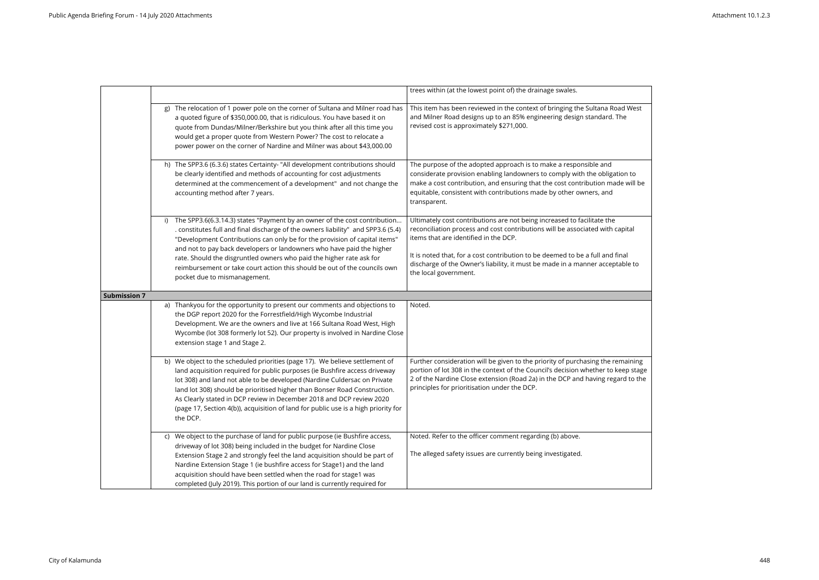|                     |                                                                                                                                                                                                                                                                                                                                                                                                                                                                                               | trees within (at the lowest point of) the drainage swales.                                                                                                                                                                                                                                                             |
|---------------------|-----------------------------------------------------------------------------------------------------------------------------------------------------------------------------------------------------------------------------------------------------------------------------------------------------------------------------------------------------------------------------------------------------------------------------------------------------------------------------------------------|------------------------------------------------------------------------------------------------------------------------------------------------------------------------------------------------------------------------------------------------------------------------------------------------------------------------|
|                     | The relocation of 1 power pole on the corner of Sultana and Milner road has<br>g)<br>a quoted figure of \$350,000.00, that is ridiculous. You have based it on<br>quote from Dundas/Milner/Berkshire but you think after all this time you<br>would get a proper quote from Western Power? The cost to relocate a<br>power power on the corner of Nardine and Milner was about \$43,000.00                                                                                                    | This item has been reviewed in the context of bringing the Sultana Road West<br>and Milner Road designs up to an 85% engineering design standard. The<br>revised cost is approximately \$271,000.                                                                                                                      |
|                     | h) The SPP3.6 (6.3.6) states Certainty- "All development contributions should<br>be clearly identified and methods of accounting for cost adjustments<br>determined at the commencement of a development" and not change the<br>accounting method after 7 years.                                                                                                                                                                                                                              | The purpose of the adopted approach is to make a responsible and<br>considerate provision enabling landowners to comply with the obligation to<br>make a cost contribution, and ensuring that the cost contribution made will be<br>equitable, consistent with contributions made by other owners, and<br>transparent. |
|                     | The SPP3.6(6.3.14.3) states "Payment by an owner of the cost contribution<br>i)<br>. constitutes full and final discharge of the owners liability" and SPP3.6 (5.4)<br>"Development Contributions can only be for the provision of capital items"<br>and not to pay back developers or landowners who have paid the higher                                                                                                                                                                    | Ultimately cost contributions are not being increased to facilitate the<br>reconciliation process and cost contributions will be associated with capital<br>items that are identified in the DCP.                                                                                                                      |
|                     | rate. Should the disgruntled owners who paid the higher rate ask for<br>reimbursement or take court action this should be out of the councils own<br>pocket due to mismanagement.                                                                                                                                                                                                                                                                                                             | It is noted that, for a cost contribution to be deemed to be a full and final<br>discharge of the Owner's liability, it must be made in a manner acceptable to<br>the local government.                                                                                                                                |
| <b>Submission 7</b> |                                                                                                                                                                                                                                                                                                                                                                                                                                                                                               |                                                                                                                                                                                                                                                                                                                        |
|                     | a) Thankyou for the opportunity to present our comments and objections to<br>the DGP report 2020 for the Forrestfield/High Wycombe Industrial<br>Development. We are the owners and live at 166 Sultana Road West, High<br>Wycombe (lot 308 formerly lot 52). Our property is involved in Nardine Close<br>extension stage 1 and Stage 2.                                                                                                                                                     | Noted.                                                                                                                                                                                                                                                                                                                 |
|                     | b) We object to the scheduled priorities (page 17). We believe settlement of<br>land acquisition required for public purposes (ie Bushfire access driveway<br>lot 308) and land not able to be developed (Nardine Culdersac on Private<br>land lot 308) should be prioritised higher than Bonser Road Construction.<br>As Clearly stated in DCP review in December 2018 and DCP review 2020<br>(page 17, Section 4(b)), acquisition of land for public use is a high priority for<br>the DCP. | Further consideration will be given to the priority of purchasing the remaining<br>portion of lot 308 in the context of the Council's decision whether to keep stage<br>2 of the Nardine Close extension (Road 2a) in the DCP and having regard to the<br>principles for prioritisation under the DCP.                 |
|                     | c) We object to the purchase of land for public purpose (ie Bushfire access,<br>driveway of lot 308) being included in the budget for Nardine Close                                                                                                                                                                                                                                                                                                                                           | Noted. Refer to the officer comment regarding (b) above.                                                                                                                                                                                                                                                               |
|                     | Extension Stage 2 and strongly feel the land acquisition should be part of                                                                                                                                                                                                                                                                                                                                                                                                                    | The alleged safety issues are currently being investigated.                                                                                                                                                                                                                                                            |
|                     | Nardine Extension Stage 1 (ie bushfire access for Stage1) and the land                                                                                                                                                                                                                                                                                                                                                                                                                        |                                                                                                                                                                                                                                                                                                                        |
|                     | acquisition should have been settled when the road for stage1 was                                                                                                                                                                                                                                                                                                                                                                                                                             |                                                                                                                                                                                                                                                                                                                        |

| ad West<br>he                                    |
|--------------------------------------------------|
| ion to<br>le will be                             |
| apital                                           |
| nal<br>able to                                   |
|                                                  |
|                                                  |
| maining<br>eep stag <mark>e</mark><br>ird to the |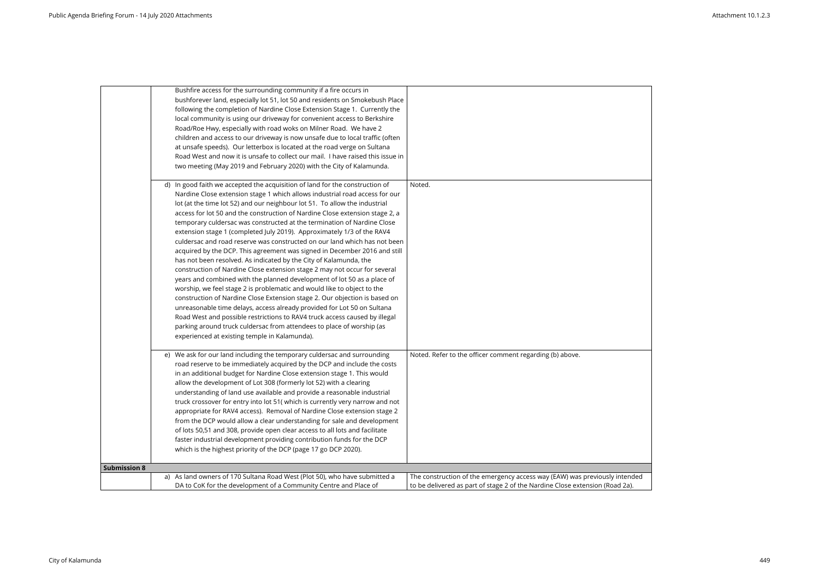| which is the highest priority of the DCP (page 17 go DCP 2020).                                                                                       |                                                          |
|-------------------------------------------------------------------------------------------------------------------------------------------------------|----------------------------------------------------------|
| of lots 50,51 and 308, provide open clear access to all lots and facilitate<br>faster industrial development providing contribution funds for the DCP |                                                          |
| from the DCP would allow a clear understanding for sale and development                                                                               |                                                          |
| appropriate for RAV4 access). Removal of Nardine Close extension stage 2                                                                              |                                                          |
| truck crossover for entry into lot 51( which is currently very narrow and not                                                                         |                                                          |
| understanding of land use available and provide a reasonable industrial                                                                               |                                                          |
| allow the development of Lot 308 (formerly lot 52) with a clearing                                                                                    |                                                          |
| in an additional budget for Nardine Close extension stage 1. This would                                                                               |                                                          |
| e) We ask for our land including the temporary culdersac and surrounding<br>road reserve to be immediately acquired by the DCP and include the costs  | Noted. Refer to the officer comment regarding (b) above. |
| experienced at existing temple in Kalamunda).                                                                                                         |                                                          |
| parking around truck culdersac from attendees to place of worship (as                                                                                 |                                                          |
| Road West and possible restrictions to RAV4 truck access caused by illegal                                                                            |                                                          |
| unreasonable time delays, access already provided for Lot 50 on Sultana                                                                               |                                                          |
| construction of Nardine Close Extension stage 2. Our objection is based on                                                                            |                                                          |
| worship, we feel stage 2 is problematic and would like to object to the                                                                               |                                                          |
| years and combined with the planned development of lot 50 as a place of                                                                               |                                                          |
| construction of Nardine Close extension stage 2 may not occur for several                                                                             |                                                          |
| has not been resolved. As indicated by the City of Kalamunda, the                                                                                     |                                                          |
| acquired by the DCP. This agreement was signed in December 2016 and still                                                                             |                                                          |
| extension stage 1 (completed July 2019). Approximately 1/3 of the RAV4<br>culdersac and road reserve was constructed on our land which has not been   |                                                          |
| temporary culdersac was constructed at the termination of Nardine Close                                                                               |                                                          |
| access for lot 50 and the construction of Nardine Close extension stage 2, a                                                                          |                                                          |
| lot (at the time lot 52) and our neighbour lot 51. To allow the industrial                                                                            |                                                          |
| Nardine Close extension stage 1 which allows industrial road access for our                                                                           |                                                          |
| d) In good faith we accepted the acquisition of land for the construction of                                                                          | Noted.                                                   |
| two meeting (May 2019 and February 2020) with the City of Kalamunda.                                                                                  |                                                          |
| Road West and now it is unsafe to collect our mail. I have raised this issue in                                                                       |                                                          |
| at unsafe speeds). Our letterbox is located at the road verge on Sultana                                                                              |                                                          |
| children and access to our driveway is now unsafe due to local traffic (often                                                                         |                                                          |
| Road/Roe Hwy, especially with road woks on Milner Road. We have 2                                                                                     |                                                          |
| local community is using our driveway for convenient access to Berkshire                                                                              |                                                          |
| following the completion of Nardine Close Extension Stage 1. Currently the                                                                            |                                                          |
| bushforever land, especially lot 51, lot 50 and residents on Smokebush Place                                                                          |                                                          |
| Bushfire access for the surrounding community if a fire occurs in                                                                                     |                                                          |